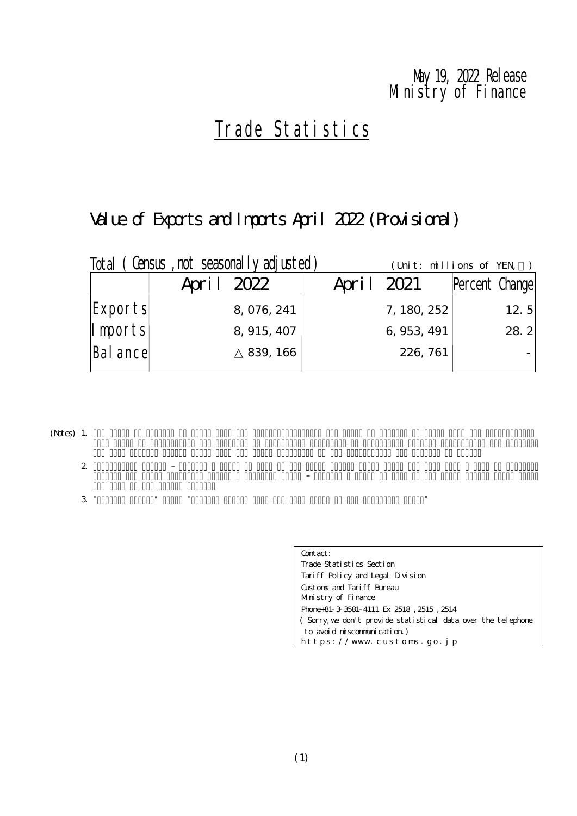### Ministry of Finance Nay 19, 2022 Release

# Trade Statistics

# Value of Exports and Imports April 2022 (Provisional)

| Total    | (Census, not seasonally adjusted) | (Unit: millions of YEN) |                |
|----------|-----------------------------------|-------------------------|----------------|
|          | April 2022                        | April 2021              | Percent Change |
| Exports  | 8, 076, 241                       | 7, 180, 252             | 12. $5$        |
| Imports  | 8, 915, 407                       | 6, 953, 491             | 28.2           |
| Bal ance | 839, 166                          | 226, 761                |                |
|          |                                   |                         |                |

(Notes) 1.

2.

 $3$  "Percent Change from the same month in the same month in the preceding year."

| Contact:                                                     |
|--------------------------------------------------------------|
| Trade Statistics Section                                     |
| Tariff Policy and Legal Division                             |
| Gistons and Tariff Bureau                                    |
| Munistry of Finance                                          |
| Phone+81-3 3581-4111 Ex 2518, 2515, 2514                     |
| (Sorry, we don't provide statistical data over the telephone |
| to avoid miscommunication)                                   |
| https://www.customs.go.jp                                    |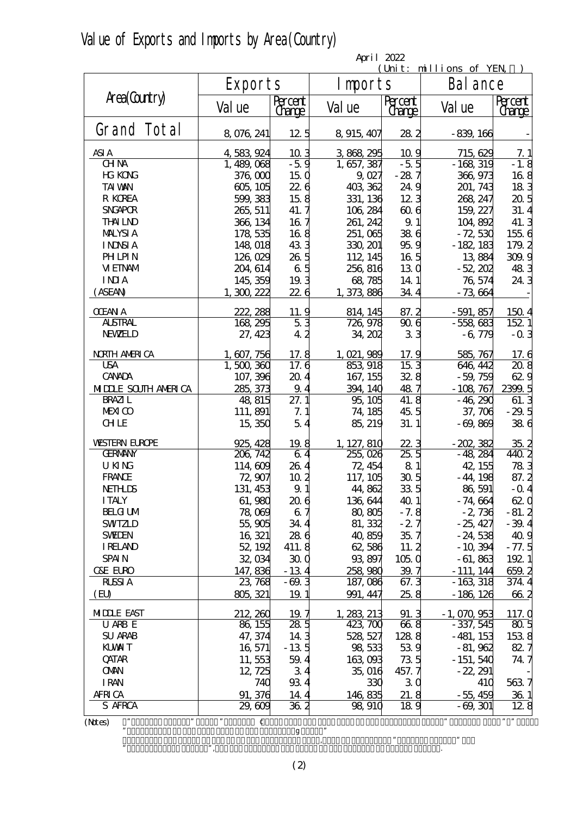|  | Value of Exports and Imports by Area (Country) |  |  |  |  |  |
|--|------------------------------------------------|--|--|--|--|--|
|--|------------------------------------------------|--|--|--|--|--|

|                            | April 2022          |                          |             |                          |                       |                          |  |  |  |  |
|----------------------------|---------------------|--------------------------|-------------|--------------------------|-----------------------|--------------------------|--|--|--|--|
|                            |                     |                          |             |                          | Unit: millions of YEN |                          |  |  |  |  |
|                            | Export <sub>s</sub> |                          | I mports    |                          | Bal ance              |                          |  |  |  |  |
| Area(Country)              | Val ue              | Percent<br><u>Grange</u> | Val ue      | Percent<br><u>Change</u> | Val ue                | Percent<br><u>Grange</u> |  |  |  |  |
| Grand Total                |                     |                          |             |                          |                       |                          |  |  |  |  |
|                            | 8,076,241           | 12.5                     | 8 915 407   | 282                      | $-839,166$            |                          |  |  |  |  |
| ASI A                      | 4,583,924           | 103                      | 3868295     | 10.9                     | 715, 629              | 7.1                      |  |  |  |  |
| <b>CHNA</b>                | 1, 489, 068         | $-5.9$                   | 1, 657, 387 | $-5.5$                   | $-168,319$            | $-1.8$                   |  |  |  |  |
| <b>HG KONG</b>             | 376,000             | 150                      | 9027        | $-287$                   | 366, 973              | 168                      |  |  |  |  |
| <b>TAI VAN</b>             | 605, 105            | 226                      | 403 362     | 24.9                     | 201, 743              | 183                      |  |  |  |  |
| R KOREA                    | 599, 383            | 158                      | 331, 136    | 123                      | 268, 247              | 205                      |  |  |  |  |
| <b>SNGAPOR</b>             | 265, 511            | 41.7                     | 106, 284    | 606                      | 159, 227              | 31.4                     |  |  |  |  |
| <b>THALND</b>              | 366, 134            | 16 7                     | 261, 242    | 9.1                      | 104,892               | 41.3                     |  |  |  |  |
| <b>MALYSIA</b>             | 178,535             | 168                      | 251,065     | 386                      | $-72,530$             | 1556                     |  |  |  |  |
| <b>INNSIA</b>              | 148,018             | 433                      | 330, 201    | 959                      | $-182, 183$           | 179.2                    |  |  |  |  |
| <b>PHLPIN</b>              | 126,029             | 26.5                     | 112, 145    | 16 <sub>5</sub>          | 13884                 | 309.9                    |  |  |  |  |
| <b>VIEINAM</b>             | 204, 614            | 65                       | 256, 816    | 130                      | $-52,202$             | 483                      |  |  |  |  |
| <b>INIA</b>                | 145, 359            | 19.3                     | 68,785      | 14 1                     | 76,574                | 24.3                     |  |  |  |  |
| (ASEAN)                    | 1, 300, 222         | 226                      | 1, 373, 886 | 34.4                     | $-73664$              |                          |  |  |  |  |
| <b>OEAN A</b>              | 222, 288            | 11.9                     | 814, 145    | 87.2                     | $-591,857$            | 1504                     |  |  |  |  |
| <b>ALSTRAL</b>             | 168, 295            | 53                       | 726, 978    | 906                      | $-558,683$            | 152 1                    |  |  |  |  |
| <b>NEWELD</b>              | 27, 423             | 42                       | 34, 202     | 33                       | $-6,779$              | $-0.3$                   |  |  |  |  |
| <b>NRIH AMRICA</b>         | 1, 607, 756         | 17.8                     | 1, 021, 989 | 17.9                     | 585, 767              | 17.6                     |  |  |  |  |
| <b>USA</b>                 | 1,500,360           | 17.6                     | 853 918     | 153                      | 646, 442              | 208                      |  |  |  |  |
| <b>CANADA</b>              | 107, 396            | 204                      | 167, 155    | 328                      | $-59,759$             | 629                      |  |  |  |  |
| <b>MIDLE SOUTH AMERICA</b> | 285, 373            | 9.4                      | 394, 140    | 487                      | $-108,767$            | 2399.5                   |  |  |  |  |
| <b>BRAZI</b> L             | 48,815              | 27. 1                    | 95,105      | 41.8                     | $-46,290$             | 61.3                     |  |  |  |  |
| <b>MEXICO</b>              | 111, 891            | 7.1                      | 74, 185     | 45.5                     | 37, 706               | $-29.5$                  |  |  |  |  |
| <b>CHLE</b>                | 15,350              | 54                       | 85, 219     | 31.1                     | $-69,869$             | 386                      |  |  |  |  |
| <b>WSTERN EUROPE</b>       | 925, 428            | 19.8                     | 1, 127, 810 | 223                      | $-202,382$            | 35.2                     |  |  |  |  |
| <b>GERMANY</b>             | 206, 742            | 64                       | 255,026     | 25.5                     | $-48.284$             | 440 2                    |  |  |  |  |
| <b>UKNG</b>                | 114,609             | 264                      | 72, 454     | 81                       | 42, 155               | 783                      |  |  |  |  |
| <b>FRANCE</b>              | 72,907              | 10 <sub>2</sub>          | 117, 105    | 30 <sub>5</sub>          | $-44,198$             | 87.2                     |  |  |  |  |
| <b>NETHLIS</b>             | 131, 453            | 9.1                      | 44,862      | 335                      | 86,591                | $-$ Q 4                  |  |  |  |  |
| <b>ITALY</b>               | 61,980              | 206                      | 136,644     | 40.1                     | - 74, 664             | 620                      |  |  |  |  |
| <b>BELG UM</b>             | 78,069              | 67                       | 80,805      | $-7.8$                   | $-2,736$              | $-81.2$                  |  |  |  |  |
| <b>SWIZLD</b>              | 55,905              | 344                      | 81, 332     | $-27$                    | $-25,427$             | $-39.4$                  |  |  |  |  |
| <b>SWIEN</b>               | 16, 321             | 286                      | 40,859      | 35.7                     | $-24,538$             | 40.9                     |  |  |  |  |
| <b>IRELAND</b>             | 52, 192             | 411.8                    | 62,586      | 11.2                     | $-10,394$             | $-77.5$                  |  |  |  |  |
| <b>SPAIN</b>               | 32,034              | 300                      | 93,897      | 1050                     | $-61,863$             | 1921                     |  |  |  |  |
| <b>C&amp;E EURO</b>        | 147,836             | $-134$                   | 258,980     | 39.7                     | $-111, 144$           | 659.2                    |  |  |  |  |
| <b>RLSSIA</b>              | 23,768              | $-69.3$                  | 187, 086    | 67.3                     | $-163,318$            | 374.4                    |  |  |  |  |
| (EU)                       | 805 321             | 19.1                     | 991, 447    | 25.8                     | $-186, 126$           | 662                      |  |  |  |  |
| <b>MIDLE EAST</b>          | 212, 260            | 19.7                     | 1, 283, 213 | 91.3                     | $-1,070,953$          | 117. Q                   |  |  |  |  |
| U ARB E                    | 86, 155             | 28.5                     | 423, 700    | 66.8                     | $-337,545$            | 80 <sub>5</sub>          |  |  |  |  |
| <b>SU ARAB</b>             | 47, 374             | 14 3                     | 528, 527    | 1288                     | $-481, 153$           | 1538                     |  |  |  |  |
| <b>KUWIT</b>               | 16,571              | $-13.5$                  | 98,533      | 539                      | $-81,962$             | 827                      |  |  |  |  |
| <b>QATAR</b>               | 11,553              | 59.4                     | 163,093     | 735                      | $-151,540$            | 74.7                     |  |  |  |  |
| <b>OMN</b>                 | 12, 725             | 34                       | 35,016      | 457.7                    | $-22,291$             |                          |  |  |  |  |
| <b>IRAN</b>                | 740                 | 934                      | 330         | 30                       | 410                   | 5637                     |  |  |  |  |
| <b>AFRICA</b>              | 91, 376             | 14.4                     | 146,835     | 21.8                     | $-55,459$             | 361                      |  |  |  |  |
| S AFRCA                    | 29,609              | 362                      | 98, 910     | 189                      | $-69,301$             | 128                      |  |  |  |  |
| ,,<br>(Mtes)               | ,,<br>$\mathbf c$   |                          |             |                          | $\pmb{\mathfrak{y}}$  | $, \, \, \cdots$         |  |  |  |  |

 $\mathbf g$  " , we calculate the EU in the preceding  $\mathcal{V}$ 

 $\mathcal{C}$ , are the quantity and value of the current EU member states.

(2)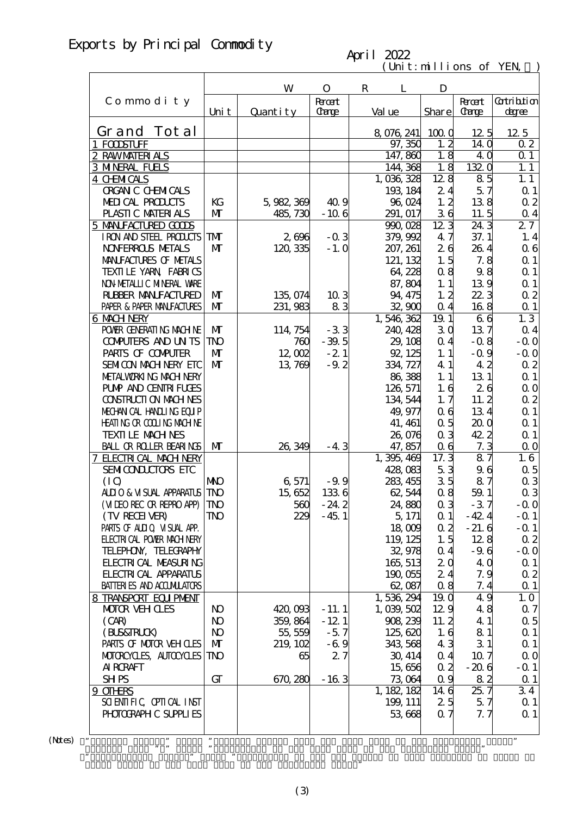## Exports by Principal Commodity

### April 2022

 $(\text{Uni t}: \text{mi} \text{lli} \text{ons of } \text{YEN})$ 

|                                                    |                            | W              | $\mathbf{O}$ | $\mathbf R$<br>L    | D                    |                         |                      |
|----------------------------------------------------|----------------------------|----------------|--------------|---------------------|----------------------|-------------------------|----------------------|
| Commodity                                          |                            |                | <b>Root</b>  |                     |                      | <b>Root</b>             | <b>Cotribtion</b>    |
|                                                    | Uni t                      | Quantity       | <b>Carge</b> | Val ue              | Share                | <b>Carge</b>            | degree               |
| Grand Tot al                                       |                            |                |              |                     |                      |                         |                      |
| 1 FOODSTUFF                                        |                            |                |              | 8 076 241<br>97,350 | 1000<br>1, 2         | 12.5<br>14 <sub>0</sub> | 12 5<br>02           |
|                                                    |                            |                |              | 147,860             | 1.8                  | 4 Q                     | $\Omega$ 1           |
| 2 RAWMATERIALS<br><b>3 MNERAL FUELS</b>            |                            |                |              | 144, 368            | 1.8                  | 1320                    | 1.1                  |
| 4 CHMICALS                                         |                            |                |              | 1,036,328           | 128                  | 85                      | 1.1                  |
| <b>ORGAN C CHEMICALS</b>                           |                            |                |              | 193, 184            | 24                   | 57                      | Q <sub>1</sub>       |
| MEDICAL PRODUCTS                                   | KG                         | 5,982,369      | 40.9         | 96,024              | 1, 2                 | 138                     | $\alpha$ 2           |
| PLASTIC MATERIALS                                  | $\mathbf{M}$               | 485,730        | $-106$       | 291, 017            | 36                   | 11.5                    | $\alpha$ 4           |
| 5 MANIFACTURED GODS                                |                            |                |              | 990,028             | 123                  | 24.3                    | 27                   |
| I RON AND STEEL PRODUCTS                           | <b>TM</b>                  | 2,696          | $-0.3$       | 379,992             | 47                   | 37.1                    | 1.4                  |
| <b>NOVERROLS METALS</b>                            | $\mathbf{M}$               | 120, 335       | $-1.0$       | 207, 261            | 26                   | 264                     | 06                   |
| MANIFACTURES OF METALS                             |                            |                |              | 121, 132            | 1.5                  | 7.8                     | $\Omega$ 1           |
| TEXILLE YARN FABRICS                               |                            |                |              | 64,228              | 08                   | 98                      | $\Omega$ 1           |
| NON METALLIC MINERAL WARE                          |                            |                |              | 87, 804             | 1.1                  | 139                     | Q <sub>1</sub>       |
| RUBBER MANUFACTURED                                | $\mathbf{M}$               | 135,074        | 103          | 94, 475             | 1, 2                 | 22.3                    | $\alpha$ 2           |
| PAPER & PAPER MANJFACTURES                         | $\mathbf{M}$               | 231,983        | 83           | 32,900              | $\alpha$ 4           | 168                     | $\Omega$ 1           |
| 6 MACH NERY                                        |                            |                |              | 1,546,362           | 19.1                 | 66                      | $1.\overline{3}$     |
| POWER GENERATING MACHINE                           | $\mathbf{M}$               | 114, 754       | $-33$        | 240, 428            | 30                   | 137                     | $\alpha$ 4           |
| <b>CONFUTERS AND UNTS</b>                          | <b>TNO</b>                 | 760            | $-39.5$      | 29, 108             | 0.4                  | $-0.8$                  | $-0.0$               |
| PARIS OF COMPUTER                                  | $\mathbf{M}$               | 12,002         | $-21$        | 92, 125             | 1.1                  | $-0.9$                  | $-0.0$               |
| SEMICON MACH NERY EIC                              | $\mathbf{M}$               | 13,769         | $-9.2$       | 334, 727            | 41                   | 42                      | $\alpha$ 2           |
| METALWORKING MACH NERY                             |                            |                |              | 86,388              | 1.1                  | 13 1                    | $\Omega$ 1           |
| <b>PUMP AND CENTRI FUGES</b>                       |                            |                |              | 126, 571            | 1.6                  | 26                      | $\Omega$ O           |
| CONSTRUCTION MACHINES                              |                            |                |              | 134, 544            | 1, 7                 | 11.2                    | $\alpha$ 2           |
| MECHANICAL HANDLING EQUIP                          |                            |                |              | 49, 977             | 06                   | 134                     | $\Omega$ 1           |
| <b>HEATING OR COLLING MACHINE</b>                  |                            |                |              | 41, 461             | 0.5                  | 20 <sub>0</sub>         | $\Omega$ 1           |
| <b>TEXTILE MACHNES</b>                             |                            |                |              | 26,076              | 0 <sub>3</sub>       | 42.2                    | $\Omega$ 1           |
| <b>BALL OR ROLLER BEARINGS</b>                     | $\mathbf{M}$               | 26,349         | $-43$        | 47,857              | 0 <sub>6</sub>       | 7.3                     | $\Omega$ O           |
| 7 ELECTRICAL MACH NERY                             |                            |                |              | 1,395,469           | 17.3                 | 87                      | 1.6                  |
| SEMICONDUCTORS ETC                                 |                            |                |              | 428,083             | 53                   | 96                      | $\alpha$ 5           |
| (IQ)                                               | <b>NIO</b>                 | 6,571          | $-9.9$       | 283, 455            | 35                   | 87                      | $\alpha$ 3           |
| ALLIO & VISUAL APPARATUS                           | <b>TNO</b>                 | 15,652         | 1336         | 62,544              | 0.8                  | 59.1                    | $\alpha$ 3           |
| (MIEO REC OR REPRO APP)                            | <b>TNO</b>                 | 560            | $-24.2$      | 24,880              | 0 <sub>3</sub>       | $-37$                   | $-0.0$               |
| (TV RECEIVER)                                      | $\mathbf{T} \mathbf{N}$    | 229            | $-45.1$      | 5, 171              | $\alpha$ 1           | $-42.4$                 | $-Q_1$               |
| PARIS OF ALILO VISUAL APP.                         |                            |                |              | 18009               | 0.2                  | $-21.6$                 | $-Q_1$               |
| <b>ELECTRICAL POWIR MACH NERY</b>                  |                            |                |              | 119, 125            | 1.5                  | 128                     | 02                   |
| TELEPHON, TELECRAPHY                               |                            |                |              | 32,978              | 0.4                  | $-9.6$                  | $-0.0$               |
| <b>FLECTRICAL MEASURING</b>                        |                            |                |              | 165, 513            | 20                   | 4 Q                     | $\Omega$ 1           |
| <b>FLECTRICAL APPARATUS</b>                        |                            |                |              | 190,055             | 24                   | 7.9                     | 02                   |
| <b>BATTERIES AND ACCUMULATORS</b>                  |                            |                |              | 62,087              | 08                   | 7.4                     | $\Omega$ 1           |
| 8 TRANSPORT EQUIPMENT                              |                            |                |              | 1,536,294           | 19 Q                 | 49                      | 1.0                  |
| <b>MOTOR VEHOLES</b>                               | N <sub>O</sub>             | 420,093        | $-11.1$      | 1,039,502           | 129                  | 48                      | $\alpha$ 7           |
| (CAB)                                              | N <sub>O</sub>             | 359, 864       | $-12.1$      | 908 239             | 11.2                 | 4 1                     | $\alpha$ 5           |
| (BLS&TRLCK)                                        | N <sub>O</sub>             | 55, 559        | $-57$        | 125,620             | 1.6                  | 81                      | $\Omega$ 1           |
| PARIS OF MOTOR VEH CLES<br>MOTORCYCLES, AUTOCYCLES | $\mathbf{M}$<br><b>TNO</b> | 219, 102<br>65 | $-6.9$<br>27 | 343, 568<br>30, 414 | 43<br>0 <sub>4</sub> | 31<br>10.7              | $\Omega$ 1           |
| <b>AI RCRAFT</b>                                   |                            |                |              | 15,656              | $\alpha$ 2           | $-206$                  | $\Omega$ O<br>$-Q_1$ |
| <b>SHPS</b>                                        | GT                         | 670, 280       | $-163$       | 73,064              | 0.9                  | 82                      | $\Omega$ 1           |
| 9 OTHRS                                            |                            |                |              | 1, 182, 182         | 14 6                 | 257                     | 34                   |
| SCIENTIFIC CPIICAL INST                            |                            |                |              | 199, 111            | 25                   | 5.7                     | $\Omega$ 1           |
| PHOTOGRAPH C SUPPLIES                              |                            |                |              | 53,668              | 0.7                  | 7.7                     | $\Omega$ 1           |
|                                                    |                            |                |              |                     |                      |                         |                      |
| 99                                                 | ,,                         |                |              |                     |                      |                         | $\pmb{\mathfrak{y}}$ |

 $(N$ tes)  $"$ 

Grand Total of the same term in the preceding year."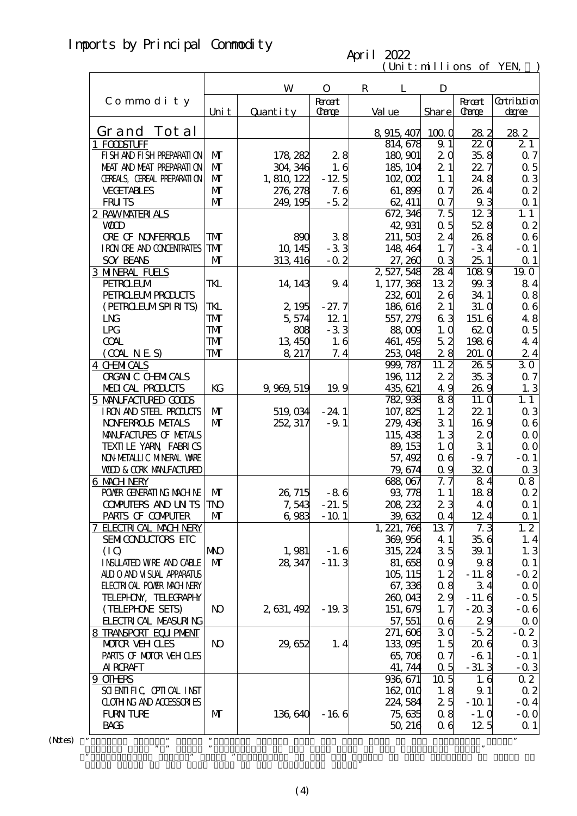### Imports by Principal Commodity

#### $(\text{Uni t}: \text{mi} \text{lli} \text{ons of } \text{YEN})$ April 2022

|                                   |                | W           | $\mathbf{O}$ | $\mathbf R$<br>L | D               |                  |                   |
|-----------------------------------|----------------|-------------|--------------|------------------|-----------------|------------------|-------------------|
| Commodity                         |                |             | <b>Root</b>  |                  |                 | <b>Root</b>      | <b>Cotribtion</b> |
|                                   | Uni t          | Quantity    | Carge        | Val ue           | Share           | <b>Carge</b>     | <u>degree</u>     |
|                                   |                |             |              |                  |                 |                  |                   |
| Grand Tot al                      |                |             |              | 8 915 407        | 1000            | 282              | 282               |
| 1 FOOSTUFF                        |                |             |              | 814, 678         | 9.1             | 220              | 21                |
| FI SH AND FI SH PREPARATI ON      | $\mathbf{M}$   | 178, 282    | 28           | 180, 901         | 20              | 35.8             | 0.7               |
| MEAT AND MEAT PREPARAII ON        | $\mathbf{M}$   | 304, 346    | 1.6          | 185, 104         | 21              | 22.7             | $\alpha$ 5        |
| CEREALS, CEREAL PREPARATION       | $\mathbf{M}$   | 1, 810, 122 | $-12.5$      | 102,002          | 1.1             | 24.8             | $\alpha$ 3        |
| <b>VECETABLES</b>                 | $\mathbf{M}$   | 276, 278    | 7.6          | 61,899           | 0.7             | 26.4             | $\alpha$ 2        |
| <b>FRUTS</b>                      | $\mathbf{M}$   | 249, 195    | $-5.2$       | 62, 411          | 0.7             | 93               | $\Omega$ 1        |
| 2 RAWMATERIALS                    |                |             |              | 672, 346         | 7.5             | $12\overline{3}$ | 1.1               |
| <b>WD</b>                         |                |             |              | 42,931           | 0.5             | 528              | $\alpha$ 2        |
| <b>ORE OF NONFERROLS</b>          | TMT            | 890         | 38           | 211,503          | 24              | 26.8             | 06                |
| I RON ORE AND CONENTRATES         | TMT            | 10, 145     | $-33$        | 148, 464         | 1, 7            | $-34$            | $-$ Q 1           |
| <b>SOY BEANS</b>                  | $\mathbf{M}$   | 313, 416    | $-0.2$       | 27,260           | 0 <sub>3</sub>  | 251              | $\Omega$ 1        |
| <b>3 MNERAL FUELS</b>             |                |             |              | 2, 527, 548      | 284             | 1089             | 19.0              |
| <b>PEIROEUM</b>                   | TKL            | 14, 143     | 9.4          | 1, 177, 368      | 132             | 99.3             | 84                |
| <b>PEIRO EUMPROUCIS</b>           |                |             |              | 232, 601         | 26              | 34.1             | 0.8               |
| (PEIRCELMSPIRITS)                 | TKL            | 2,195       | $-27.7$      | 186, 616         | 21              | 31. Q            | 06                |
| <b>LNG</b>                        | TMT            | 5,574       | 12 1         | 557, 279         | 63              | 151.6            | 48                |
| <b>LPG</b>                        | TMT            | 808         | $-33$        | 88,009           | 1.0             | 620              | $\alpha$ 5        |
| <b>COAL</b>                       | TMT            | 13,450      | 1.6          | 461, 459         | 52              | 1986             | 44                |
| (OMINES)                          | TMT            | 8 217       | 7.4          | 253,048          | 28              | 201.0            | 24                |
| <b>4 CHMICALS</b>                 |                |             |              | 999, 787         | 11.2            | 26.5             | 30                |
| <b>ORGAN C CHEMICALS</b>          |                |             |              | 196, 112         | 22              | 35.3             | 07                |
| MEDICAL PRODUCTS                  | KG             | 9, 969, 519 | 19.9         | 435, 621         | 49              | 26.9             | 1.3               |
| 5 MANIFACTURED GOODS              |                |             |              | 782,938          | 88              | 11. Q            | 1.1               |
| IRON AND STEEL PRODUCTS           | $\mathbf{M}$   | 519, 034    | $-24.1$      | 107, 825         | 1, 2            | 22 1             | 0 <sub>3</sub>    |
| <b>NOVERROLS METALS</b>           | M              | 252, 317    | $-9.1$       | 279, 436         | 31              | 169              | 06                |
| MANIFACTURES OF METALS            |                |             |              | 115, 438         | 1.3             | 20               | 0 <sub>0</sub>    |
| TEXTILE YARN FABRICS              |                |             |              | 89, 153          | 1.0             | 31               | $\Omega$ O        |
| NON METALLIC MINERAL WARE         |                |             |              | 57, 492          | 06              | $-9.7$           | $-0.1$            |
| <b>WOD &amp; CORK MANEACTURED</b> |                |             |              | 79, 674          | 0.9             | 320              | $\alpha$ 3        |
| 6 MACH NERY                       |                |             |              | 688,067          | 7. 7            | 84               | 08                |
| POWER GENERATING MACHINE          | $\mathbf{M}$   | 26, 715     | $-86$        | 93,778           | 1.1             | 188              | $\alpha$ 2        |
| <b>COMPUTERS AND UNTS TNO</b>     |                |             | $-21.5$      | 208, 232         | 23              | 4 Q              | $\Omega$ 1        |
|                                   |                | 7,543       |              |                  |                 |                  |                   |
| PARIS OF COMPUTER                 | M              | 6,983       | $-101$       | 39, 632          | 0.4             | 12.4<br>7.3      | $\alpha$ 1<br>1.2 |
| 7 FLECTRICAL MACH NERY            |                |             |              | 1, 221, 766      | 137             |                  |                   |
| SEMICONDUCTORS ETC                |                |             |              | 369, 956         | 4 1             | 356              | 1.4               |
| (IO)                              | <b>NNO</b>     | 1,981       | $-1.6$       | 315, 224         | 3 <sub>5</sub>  | 39.1             | 1.3               |
| <b>INSUATED WRE AND CABLE</b>     | $\mathbf{M}$   | 28, 347     | $-11.3$      | 81, 658          | 0.9             | 98               | $\Omega$ 1        |
| ALLIO AND VISUAL APPARATUS        |                |             |              | 105, 115         | 1, 2            | $-11.8$          | $-0.2$            |
| <b>ELECTRICAL POWER MACHINERY</b> |                |             |              | 67, 336          | 08              | 34               | 0 <sub>0</sub>    |
| TELEPHON, TELECRAPHY              |                |             |              | 260,043          | 29              | $-11.6$          | $-0.5$            |
| (TELEPHONE SETS)                  | N <sub>O</sub> | 2, 631, 492 | $-19.3$      | 151, 679         | 1, 7            | $-203$           | $-0.6$            |
| <b>FLECTRICAL MEASURING</b>       |                |             |              | 57, 551          | 06              | 29               | $\Omega$ O        |
| 8 TRANSPORT EQUIPMENT             |                |             |              | 271, 606         | 30              | $-5.2$           | $-0.2$            |
| <b>MOTOR VEH CLES</b>             | N <sub>O</sub> | 29,652      | 1.4          | 133,095          | 1.5             | 206              | 0 <sub>3</sub>    |
| PARIS OF MOTOR VEH OLES           |                |             |              | 65,706           | 0.7             | $-61$            | $ \Omega$ 1       |
| AI RORAFT                         |                |             |              | 41, 744          | 0.5             | $-31.3$          | $-0.3$            |
| 9 OTHRS                           |                |             |              | 936, 671         | 10 <sub>5</sub> | 1.6              | $\overline{02}$   |
| SCIENTIFIC CPIICAL INST           |                |             |              | 162,010          | 1.8             | 9.1              | $\alpha$ 2        |
|                                   |                |             |              | 224, 584         | 25              | $-101$           | $-$ Q 4           |
| CLOTHING AND ACCESSORIES          |                |             |              |                  |                 |                  |                   |
| <b>FURN TURE</b><br><b>BACS</b>   | M              | 136,640     | $-166$       | 75,635           | 08              | $-1.0$           | $-0.0$            |

 $(N$ tes $)$ 

Grand Total of the same term in the preceding year."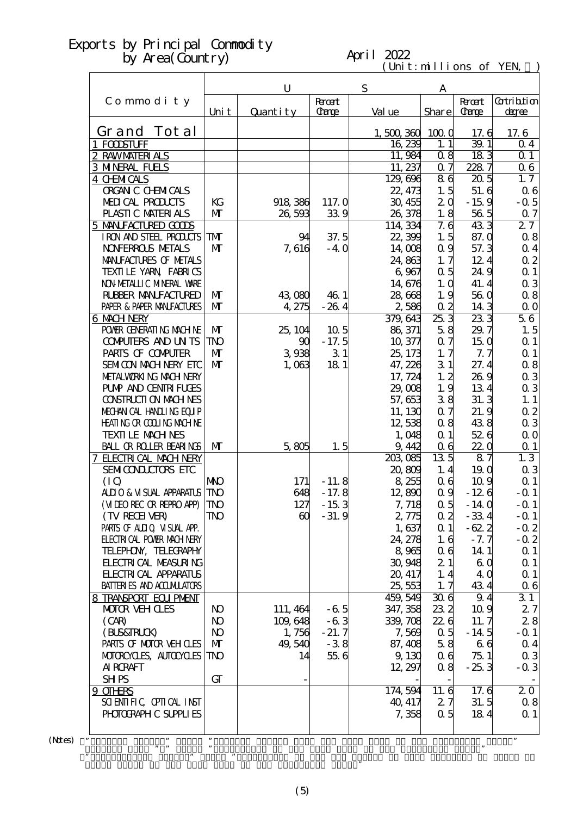#### April 2022

 $(\text{Uni t}: \text{mi} \text{lli} \text{ons of } \text{YEN})$ 

|                                                |                          | U                     | S                 | A                  |                       |                   |                       |
|------------------------------------------------|--------------------------|-----------------------|-------------------|--------------------|-----------------------|-------------------|-----------------------|
| Commodity                                      |                          |                       | <b>Root</b>       |                    |                       | <b>Root</b>       | <b>Cotribtion</b>     |
|                                                | Uni t                    | Quantity              | <b>Carge</b>      | Val ue             | Share                 | <b>Carge</b>      | degree                |
| Grand Tot al                                   |                          |                       |                   | 1,500,360          | 1000                  | 17.6              | 17.6                  |
| 1 FOODSTUFF                                    |                          |                       |                   | 16,239             | 1.1                   | 39.1              | $\Omega$ 4            |
| 2 RAWMATERIALS                                 |                          |                       |                   | 11,984             | 08                    | 183               | $Q_1$                 |
| <b>3 MNERAL FUELS</b>                          |                          |                       |                   | 11, 237            | 0.7                   | 2287              | 06                    |
| <b>4 CHMICALS</b>                              |                          |                       |                   | 129,696            | 86                    | 205               | 1, 7                  |
| <b>ORGAN C CHEMICALS</b>                       |                          |                       |                   | 22, 473            | 1.5                   | 51.6              | 06                    |
| MEDICAL PRODUCTS<br>PLASTIC MATERIALS          | KG<br>M                  | 918 386<br>26,593     | 117. Q<br>339     | 30, 455            | 2 <sub>0</sub><br>1.8 | $-159$<br>56.5    | $-0.5$                |
| 5 MANIFACTURED GOODS                           |                          |                       |                   | 26,378<br>114, 334 | 7.6                   | 433               | $\alpha$ 7<br>27      |
| IRON AND STEEL PRODUCTS                        | <b>TM</b>                | 94                    | 37.5              | 22,399             | 1.5                   | 87.0              | 0.8                   |
| <b>NOVERROLS METALS</b>                        | $\mathbf{M}$             | 7,616                 | $-40$             | 14,008             | 0.9                   | 57.3              | $\alpha$ 4            |
| MANIFACTURES OF METALS                         |                          |                       |                   | 24,863             | 1, 7                  | 12.4              | $\alpha$ 2            |
| TEXILE YARN FABRICS                            |                          |                       |                   | 6,967              | 0.5                   | 24.9              | $\Omega$ 1            |
| NON METALLIC MINERAL VARE                      |                          |                       |                   | 14,676             | 1.0                   | 41.4              | $\alpha$ 3            |
| <b>RUBBER MANUFACTURED</b>                     | $\mathbf{M}$             | 43,080                | 46.1              | 28,668             | 1.9                   | 560               | 0.8                   |
| PAPER & PAPER MANJFACTURES                     | M                        | 4,275                 | $-264$            | 2,586              | 0.2                   | 14 3              | $\Omega$ O            |
| <b>6 MACH NERY</b>                             |                          |                       |                   | 379, 643           | 253                   | $\overline{233}$  | 56                    |
| POWER GENERATING MACHINE                       | $\mathbf{M}$             | 25, 104               | 10 <sub>5</sub>   | 86, 371            | 58                    | 29.7              | 1.5                   |
| <b>CONPUTERS AND UNTS</b><br>PARIS OF COMPUTER | <b>TNO</b><br>M          | 90                    | $-17.5$           | 10, 377            | 0.7                   | 150               | $\Omega$ 1            |
| SEMICON MACH NERY ETC                          | $\mathbf{M}$             | 3,938<br>1,063        | 31<br>18 1        | 25, 173<br>47, 226 | 1.7<br>31             | 7.7<br>27.4       | $\Omega$ 1<br>0.8     |
| METALWORKING MACH NERY                         |                          |                       |                   | 17, 724            | 1, 2                  | 269               | $\alpha$ 3            |
| <b>PUMP AND CENTRI FUGES</b>                   |                          |                       |                   | 29,008             | 1.9                   | 134               | $\alpha$ 3            |
| <b>CONSTRUCTION MACHINES</b>                   |                          |                       |                   | 57,653             | 38                    | 31.3              | 1.1                   |
| MECHANICAL HANDLING EQUIP                      |                          |                       |                   | 11, 130            | 0.7                   | 21.9              | $\alpha$ 2            |
| <b>HEATING OR COLLING MACHINE</b>              |                          |                       |                   | 12,538             | 08                    | 438               | $\alpha$ 3            |
| <b>TEXTILE MACHNES</b>                         |                          |                       |                   | 1,048              | $\alpha$ 1            | 526               | $\Omega$ O            |
| <b>BALL OR ROLLER BEARINGS</b>                 | $\mathbf{M}$             | 5,805                 | 1.5               | 9,442              | 0 <sub>6</sub>        | <b>220</b>        | $\Omega$ 1            |
| 7 ELECTRICAL MACH NERY                         |                          |                       |                   | 203,085            | 13 <sub>5</sub>       | $\overline{87}$   | $1.\overline{3}$      |
| SEMICONDUCTORS ETC                             |                          |                       |                   | 20,809             | 1.4                   | 19.0              | $\alpha$ 3            |
| (IQ)<br>ALIO & VISUAL APPARATUS                | <b>NIO</b><br><b>TNO</b> | 171<br>648            | $-11.8$           | 8 255              | 0 <sub>6</sub>        | 10.9              | $\Omega$ 1            |
| (MIEO REC OR REPRO APP)                        | <b>TNO</b>               | 127                   | $-17.8$<br>$-153$ | 12,890<br>7, 718   | 0.9<br>$\alpha$ 5     | $-126$<br>$-14.0$ | $-Q_1$<br>$-$ Q 1     |
| (TV RECEIVER)                                  | TNO                      | $\boldsymbol{\omega}$ | $-31.9$           | 2,775              | $\alpha$ 2            | $-33.4$           | $-0.1$                |
| PARIS OF ALLIQ VISUAL APP.                     |                          |                       |                   | 1,637              | $\alpha$ 1            | $-62.2$           | $-0.2$                |
| <b>ELECTRICAL POWIR MACH NERY</b>              |                          |                       |                   | 24, 278            | 1.6                   | $-7.7$            | $-0.2$                |
| TELEPHON, TELECRAPHY                           |                          |                       |                   | 8 9 65             | 06                    | 14.1              | $\alpha$ 1            |
| <b>FLECTRICAL MEASURING</b>                    |                          |                       |                   | 30,948             | 21                    | 60                | $\alpha$ 1            |
| <b>FLECTRICAL APPARATUS</b>                    |                          |                       |                   | 20, 417            | 1, 4                  | 4 Q               | $\alpha$ 1            |
| <b>BATTERIES AND ACCUMULATORS</b>              |                          |                       |                   | 25, 553            | 1, 7                  | 434               | 06                    |
| 8 TRANSPORT EQUIPMENT                          |                          |                       |                   | 459, 549           | 306                   | 9.4               | 31                    |
| <b>MOTOR VEHOLES</b>                           | N <sub>O</sub>           | 111, 464              | $-65$             | 347, 358           | 232                   | 10.9              | 27                    |
| (CAB)                                          | N <sub>O</sub>           | 109,648               | $-63$             | 339, 708           | 226                   | 11.7              | 28                    |
| (BLS&TRLCK)<br>PARIS OF MOTOR VEH CLES         | $\bf{N}$<br>$\mathbf{M}$ | 1,756<br>49,540       | $-21.7$<br>$-38$  | 7,569<br>87, 408   | 0.5<br>58             | $-14.5$<br>66     | $-$ Q 1<br>$\alpha$ 4 |
| MOTOROYCLES, AUTOCYCLES                        | <b>TNO</b>               | 14                    | 55 6              | 9,130              | 06                    | 751               | 0 <sub>3</sub>        |
| <b>AI RCRAFT</b>                               |                          |                       |                   | 12, 297            | 08                    | $-253$            | $-0.3$                |
| <b>SHPS</b>                                    | GT                       |                       |                   |                    |                       |                   |                       |
| 9 OTHRS                                        |                          |                       |                   | 174, 594           | 11.6                  | 17.6              | 20                    |
| SCIENTIFIC CPIICAL INST                        |                          |                       |                   | 40, 417            | 27                    | 31.5              | 08                    |
| PHOTOGRAPH C SUPPLIES                          |                          |                       |                   | 7,358              | 0.5                   | 184               | $\Omega$ 1            |
|                                                |                          |                       |                   |                    |                       |                   |                       |
|                                                | ,,                       |                       |                   |                    |                       |                   | $\pmb{\mathfrak{y}}$  |

 $(Mtes)$  "

Grand Total of the same term in the preceding year."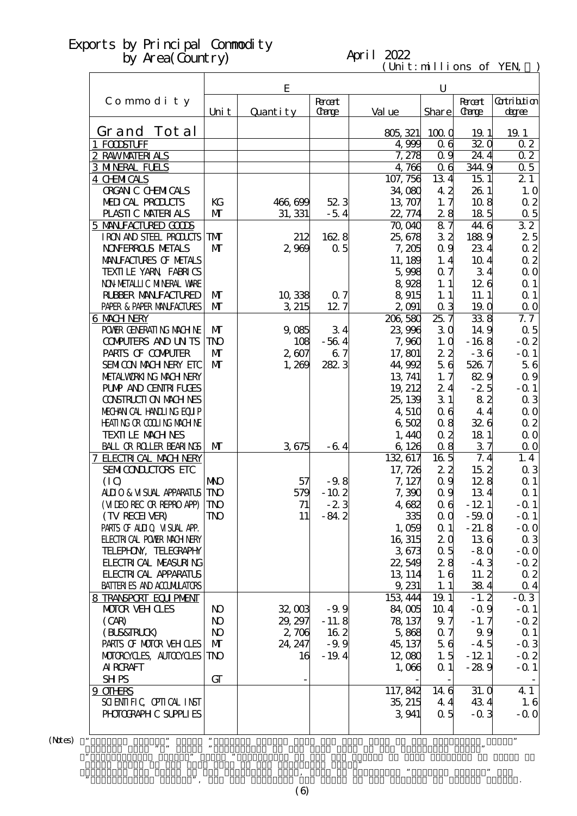#### April 2022

 $(\text{Uni t}: \text{mi} \text{lli} \text{ons of } \text{YEN})$ 

|                                            |                | E        |                             |                     | $\mathbf U$     |                             |                             |  |
|--------------------------------------------|----------------|----------|-----------------------------|---------------------|-----------------|-----------------------------|-----------------------------|--|
| Commodity                                  | Uni t          | Quantity | <b>Root</b><br><b>Carge</b> | Val ue              | <b>Share</b>    | <b>Root</b><br><b>Carge</b> | <b>Cotribtion</b><br>degree |  |
|                                            |                |          |                             |                     |                 |                             |                             |  |
| Grand Tot al                               |                |          |                             | 805, 321            | 1000            | 19.1                        | 19.1                        |  |
| 1 FOODSTUFF                                |                |          |                             | 4,999               | 0 <sub>6</sub>  | 320                         | 02                          |  |
| 2 RAWMATERIALS                             |                |          |                             | 7,278               | 0.9             | 24.4                        | 02                          |  |
| <b>3 MNERAL FUELS</b><br><b>4 CHMICALS</b> |                |          |                             | 4,766               | 0 <sub>6</sub>  | 344.9                       | 0.5<br>21                   |  |
| <b>ORGAN C CHEMICALS</b>                   |                |          |                             | 107, 756<br>34,080  | 134<br>42       | 15 1<br>26 1                | 1.0                         |  |
| MEDICAL PRODUCTS                           | KG             | 466,699  | 523                         | 13, 707             | 1, 7            | 108                         | $\alpha$ 2                  |  |
| PLASTIC MATERIALS                          | M              | 31, 331  | $-54$                       | 22, 774             | 28              | 185                         | $\alpha$ 5                  |  |
| 5 MANIFACTURED GOODS                       |                |          |                             | 70,040              | $\overline{87}$ | 44.6                        | 32                          |  |
| I RON AND STEEL PRODUCTS                   | <b>TM</b>      | 212      | 1628                        | 25,678              | 32              | 1889                        | 25                          |  |
| <b>NOVERROLS METALS</b>                    | $\mathbf{M}$   | 2,969    | 0.5                         | 7,205               | 0.9             | 234                         | $\alpha$ 2                  |  |
| MANIFACTURES OF METALS                     |                |          |                             | 11, 189             | 1.4             | 10 <sub>4</sub>             | $\alpha$ 2                  |  |
| TEXILLE YARN FABRICS                       |                |          |                             | 5,998               | 0.7             | 34                          | $\Omega$ O                  |  |
| NON METALLIC MINERAL WARE                  |                |          |                             | 8,928               | 1.1             | 126                         | $\Omega$ 1                  |  |
| <b>RUBBER MANUFACTURED</b>                 | $\mathbf{M}$   | 10,338   | 0.7                         | 8915                | 1.1             | 11.1                        | Q <sub>1</sub>              |  |
| PAPER & PAPER MANFACTURES                  | M              | 3 215    | 12.7                        | 2,091               | 0 <sub>3</sub>  | 19.0                        | $\Omega$ O                  |  |
| 6 MACH NERY                                |                |          |                             | 206,580             | 25.7            | 338                         | 7.7                         |  |
| POWIR GENERATING MACHINE                   | $\mathbf{M}$   | 9,085    | 34                          | 23,996              | 30              | 149                         | $\alpha$ 5                  |  |
| <b>CONFUTERS AND UNTS</b>                  | <b>TNO</b>     | 108      | $-564$                      | 7,960               | 1.0             | $-168$                      | $-0.2$                      |  |
| PARIS OF COMPUTER                          | $\mathbf{M}$   | 2,607    | 6.7                         | 17,801              | 22              | $-36$                       | $-$ Q 1                     |  |
| <b>SEMICON MACH NERY ETC</b>               | $\mathbf{M}$   | 1,269    | 282.3                       | 44,992              | 56              | 526.7                       | 56                          |  |
| METALWORKING MACHINERY                     |                |          |                             | 13, 741             | 1, 7            | 829                         | 0.9                         |  |
| <b>PUMP AND CENTRI FUGES</b>               |                |          |                             | 19, 212             | 24              | $-25$                       | $-$ Q 1                     |  |
| <b>CONSTRUCTION MACHINES</b>               |                |          |                             | 25, 139             | 31              | 82                          | $\alpha$ 3                  |  |
| MECHANICAL HANDLING EQUIP                  |                |          |                             | 4,510               | 06              | 44                          | $\Omega$ O                  |  |
| <b>HEATING OR COLLING MACHINE</b>          |                |          |                             | 6502                | 08              | 326                         | $\alpha$ 2                  |  |
| <b>TEXTILE MACHNES</b>                     |                |          |                             | 1,440               | 0 <sub>2</sub>  | 18 1                        | $\Omega$ O                  |  |
| BALL OR ROLLER BEARINGS                    | $\mathbf{M}$   | 3675     | $-64$                       | 6,126               | 0.8             | 37                          | $\Omega$ O<br>1.4           |  |
| 7 ELECTRICAL MACH NERY                     |                |          |                             | 132, 617<br>17, 726 | 16 <sub>5</sub> | 7.4<br>152                  |                             |  |
| SEMICONDUCTORS ETC<br>(IQ)                 | <b>MO</b>      | 57       | $-9.8$                      | 7, 127              | 22<br>0.9       | 128                         | 03<br>$\Omega$ 1            |  |
| <b>ALLIO &amp; VISUAL APPARATUS</b>        | <b>TNO</b>     | 579      | $-102$                      | 7,390               | 0.9             | 134                         | $\Omega$ 1                  |  |
| (MIEO REC OR REPRO APP)                    | <b>TNO</b>     | 71       | $-23$                       | 4,682               | 0 <sub>6</sub>  | $-121$                      | $-$ Q 1                     |  |
| (TV RECEIVER)                              | <b>TNO</b>     | 11       | $-84.2$                     | 335                 | $\alpha$ o      | $-59.0$                     | $-Q_1$                      |  |
| PARIS OF ALIIO VISUAL APP.                 |                |          |                             | 1,059               | $\alpha$ 1      | $-21.8$                     | $-00$                       |  |
| <b>ELECTRICAL POWIR MACH NERY</b>          |                |          |                             | 16, 315             | 2 <sub>0</sub>  | 136                         | 0 <sub>3</sub>              |  |
| TELEPHON, TELECRAPHY                       |                |          |                             | 3673                | 0.5             | $-80$                       | $-0.0$                      |  |
| <b>FLECTRICAL MEASURING</b>                |                |          |                             | 22,549              | 28              | $-43$                       | $-0.2$                      |  |
| <b>FLECTRICAL APPARATUS</b>                |                |          |                             | 13, 114             | 1.6             | 11.2                        | 02                          |  |
| <b>BATTERIES AND ACCUMULATORS</b>          |                |          |                             | 9, 231              | 1.1             | 384                         | $\alpha$ 4                  |  |
| 8 TRANSPORT EQUIPMENT                      |                |          |                             | 153, 444            | 19.1            | $-1.2$                      | $-0.3$                      |  |
| <b>MOTOR VEH CLES</b>                      | N <sub>O</sub> | 32,003   | $-9.9$                      | 84,005              | 10 <sub>4</sub> | $-0.9$                      | $-Q_1$                      |  |
| (CAB)                                      | N <sub>O</sub> | 29, 297  | $-11.8$                     | 78, 137             | 9.7             | $-1.7$                      | $-0.2$                      |  |
| (BLS&FRLCK)                                | N <sub>O</sub> | 2,706    | 162                         | 5,868               | 0.7             | 99                          | $\alpha$ 1                  |  |
| PARIS OF MOTOR VEH CLES                    | $\mathbf{M}$   | 24, 247  | $-9.9$                      | 45, 137             | 56              | $-4.5$                      | $-0.3$                      |  |
| MOTORCYCLES, AUTOCYCLES                    | <b>TNO</b>     | 16       | $-19.4$                     | 12,080              | 1.5             | $-121$                      | $-0.2$                      |  |
| <b>AI RCRAFT</b>                           |                |          |                             | 1,006               | $\alpha$ 1      | $-289$                      | $-0.1$                      |  |
| <b>SHPS</b>                                | GT             |          |                             |                     |                 |                             |                             |  |
| 9 OTHRS                                    |                |          |                             | 117, 842            | 14 6            | 31. Q                       | 4 1                         |  |
| SCIENTIFIC CPITCAL INST                    |                |          |                             | 35, 215             | 44              | 434                         | 1.6                         |  |
| PHOTOGRAPH C SUPPLIES                      |                |          |                             | 3.941               | 0.5             | $-0.3$                      | $-0.0$                      |  |
|                                            |                |          |                             |                     |                 |                             | 99                          |  |
|                                            |                |          |                             |                     |                 |                             |                             |  |

 $(N$ tes $)$ 

 Figures with "\*" means "Multiplier to the same term in the preceding year." ・"Contribution degree" means "Percentage of the Yen Change of that category of goods to Grand Total of the same term in the preceding year." , we are the preceding year, used to calculate  $\mathcal{P}$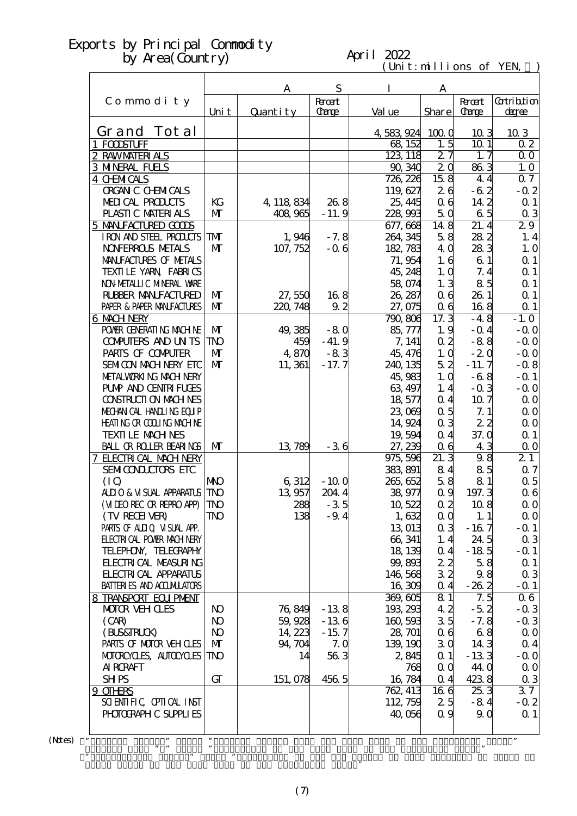#### April 2022

 $(\text{Uni t}: \text{mi} \text{lli} \text{ons of } \text{YEN})$ 

|                                                            |                         | A         | S              | I                 | A               |                 |                                  |
|------------------------------------------------------------|-------------------------|-----------|----------------|-------------------|-----------------|-----------------|----------------------------------|
| Commodity                                                  |                         |           | <b>R</b> rcent |                   |                 | <b>Root</b>     | <b>Cotribition</b>               |
|                                                            | Uni t                   | Quantity  | <b>Carge</b>   | Val ue            | Share           | <b>Carge</b>    | degree                           |
| Grand Tot al                                               |                         |           |                | 4,583,924         | 1000            | 103             | 10 3                             |
| 1 FODSTUFF                                                 |                         |           |                | 68, 152           | 1.5             | 10 <sub>1</sub> | 02                               |
| 2 RAWMATERIALS                                             |                         |           |                | 123, 118          | 27              | 1, 7            | 0 <sub>0</sub>                   |
| <b>3 MNERAL FUELS</b>                                      |                         |           |                | 90, 340           | $\overline{2}0$ | 863             | 1.0                              |
| 4 CHMICALS                                                 |                         |           |                | 726, 226          | 158             | 4.4             | 07                               |
| <b>ORGAN C CHEMICALS</b>                                   |                         |           |                | 119,627           | 26              | $-62$           | $-0.2$                           |
| MEDICAL PRODUCTS                                           | KG                      | 4 118 834 | 26.8           | 25, 445           | 06              | 14 2            | Q <sub>1</sub>                   |
| PLASTIC MATERIALS                                          | $\mathbf{M}$            | 408,965   | $-11.9$        | 228,993           | 5Q              | 65              | $\alpha$ 3                       |
| 5 MANIFACTURED GODS                                        |                         |           |                | 677, 668          | 148             | 21.4            | 29                               |
| IRON AND STEEL PRODUCTS                                    | <b>TM</b>               | 1,946     | $-7.8$         | 264, 345          | 58              | 282             | 1.4                              |
| <b>NOVERROLS METALS</b>                                    | $\mathbf{M}$            | 107, 752  | $-0.6$         | 182, 783          | 4 Q             | 283             | 1.0                              |
| MANIFACTURES OF METALS                                     |                         |           |                | 71,954            | 1.6             | 61              | $\Omega$ 1                       |
| TEXILE YARN FABRICS<br>NON METALLIC MINERAL WARE           |                         |           |                | 45, 248<br>58,074 | 1.0             | 7.4<br>85       | Q <sub>1</sub><br>Q <sub>1</sub> |
| <b>RUBBER MANUFACTURED</b>                                 | $\mathbf{M}$            | 27,550    | 168            | 26, 287           | 1.3<br>06       | 26.1            | Q <sub>1</sub>                   |
| PAPER & PAPER MANJFACTURES                                 | $\mathbf{M}$            | 220, 748  | 9.2            | 27,075            | 0 <sub>6</sub>  | 168             | $\Omega$ 1                       |
| <b>6 MACH NERY</b>                                         |                         |           |                | 790,806           | 17.3            | $-4.8$          | $-1.0$                           |
| POWIR GENERATING MACHINE                                   | $\mathbf{M}$            | 49,385    | $-80$          | 85,777            | 1.9             | $-$ Q 4         | $-$ Q O                          |
| <b>CONFUTERS AND UNTS</b>                                  | <b>TNO</b>              | 459       | $-41.9$        | 7, 141            | $\alpha$ 2      | $-88$           | $-0.0$                           |
| PARIS OF COMPUTER                                          | $\mathbf{M}$            | 4,870     | $-83$          | 45, 476           | 1.0             | $-20$           | $-0.0$                           |
| <b>SEMICON MACH NERY ETC</b>                               | $\mathbf{M}$            | 11, 361   | $-17.7$        | 240, 135          | 52              | $-11.7$         | $-0.8$                           |
| METALWORKING MACHINERY                                     |                         |           |                | 45,983            | 1.0             | $-68$           | $-$ Q 1                          |
| <b>PUMP AND CENTRIFUGES</b>                                |                         |           |                | 63, 497           | 1.4             | $-0.3$          | $-0.0$                           |
| <b>CONSTRUCTION MACHINES</b>                               |                         |           |                | 18,577            | 0.4             | 10.7            | $\Omega$ O                       |
| MECHANICAL HANDLING EQUIP                                  |                         |           |                | 23,069            | 0.5             | 7.1             | $\Omega$ O                       |
| <b>HEATING OR COLLING MACHINE</b>                          |                         |           |                | 14,924            | 0 <sub>3</sub>  | 22              | $\Omega$ O                       |
| <b>TEXTILE MACHNES</b>                                     |                         |           |                | 19,594            | 0.4             | 37.0            | $\Omega$ 1                       |
| <b>BALL OR ROLLER BEARINGS</b>                             | $\mathbf{M}$            | 13,789    | $-36$          | 27, 239           | 06              | 43              | $\Omega$ O                       |
| 7 ELECTRICAL MACH NERY                                     |                         |           |                | 975, 596          | 21.3            | 98              | 21                               |
| SEMICONDUCTORS ETC                                         |                         |           |                | 383, 891          | 84              | 85              | $\alpha$ 7                       |
| (IQ)                                                       | <b>NKO</b>              | 6,312     | $-100$         | 265, 652          | 58              | 81              | $\alpha$ 5                       |
| <b>ALLIO &amp; VISUAL APPARATUS</b>                        | <b>TNO</b>              | 13 957    | 204.4          | 38,977            | 0.9             | 197.3           | 06                               |
| (MIEO REC OR REPRO APP)                                    | <b>TNO</b>              | 288       | $-35$          | 10,522            | 0 <sub>2</sub>  | 10.8            | $\Omega$ O                       |
| (TV RECEIVER)                                              | $\mathbf{T} \mathbf{N}$ | 138       | $-9.4$         | 1,632             | 0 <sub>0</sub>  | 1.1             | $\Omega$ O                       |
| PARIS OF ALLIO VISUAL APP.                                 |                         |           |                | 13 013            | 0 <sub>3</sub>  | $-167$          | $-$ Q 1                          |
| <b>ELECTRICAL POWER MACHINERY</b>                          |                         |           |                | 66, 341           | 1.4             | 24.5            | $\alpha$ 3                       |
| TELEPHON, TELECRAPHY                                       |                         |           |                | 18, 139           | 0.4             | $-185$          | $-$ Q 1                          |
| <b>FLECTRICAL MEASURING</b><br><b>FLECTRICAL APPARATUS</b> |                         |           |                | 99,893            | 22<br>32        | 58              | $\Omega$ 1                       |
| <b>BATTERIES AND ACCUMULATORS</b>                          |                         |           |                | 146,568<br>16,309 |                 | 98<br>$-262$    | $\alpha$ 3                       |
|                                                            |                         |           |                | 369,605           | 0.4<br>81       | 7.5             | $-$ Q 1<br>06                    |
| 8 TRANSPORT EQUIPMENT<br><b>MOTOR VEHOLES</b>              | N <sub>O</sub>          | 76,849    | $-138$         | 193, 293          | 42              | $-5.2$          | $-0.3$                           |
| (CAB)                                                      | N <sub>O</sub>          | 59,928    | $-136$         | 160,593           | 35              | $-7.8$          | $-0.3$                           |
| (BLS&FRLCK)                                                | N <sub>O</sub>          | 14, 223   | $-15.7$        | 28, 701           | 06              | 68              | $\Omega$ O                       |
| PARIS OF MOTOR VEH OLES                                    | $\mathbf{M}$            | 94, 704   | 7.0            | 139, 190          | 30              | 14 3            | 0 <sub>4</sub>                   |
| MOTORCYCLES, AUTOCYCLES                                    | TNO                     | 14        | 563            | 2,845             | $\alpha$ 1      | $-133$          | $-0.0$                           |
| <b>AI RCRAFT</b>                                           |                         |           |                | 768               | 0 <sub>0</sub>  | <b>44 O</b>     | $\Omega$ O                       |
| <b>SHPS</b>                                                | GT                      | 151, 078  | 456 5          | 16,784            | 0.4             | 4238            | $\alpha$ 3                       |
| 9 OTHRS                                                    |                         |           |                | 762, 413          | 166             | 25.3            | 37                               |
| SCIENTIFIC CPIICAL INST                                    |                         |           |                | 112, 759          | 25              | $-84$           | $-0.2$                           |
| PHOTOGRAPH C SUPPLIES                                      |                         |           |                | 40,056            | 0.9             | 9Q              | $\Omega$ 1                       |
|                                                            |                         |           |                |                   |                 |                 |                                  |
|                                                            |                         |           |                |                   |                 |                 | ,,                               |

 $(Mtes)$  "

Grand Total of the same term in the preceding year."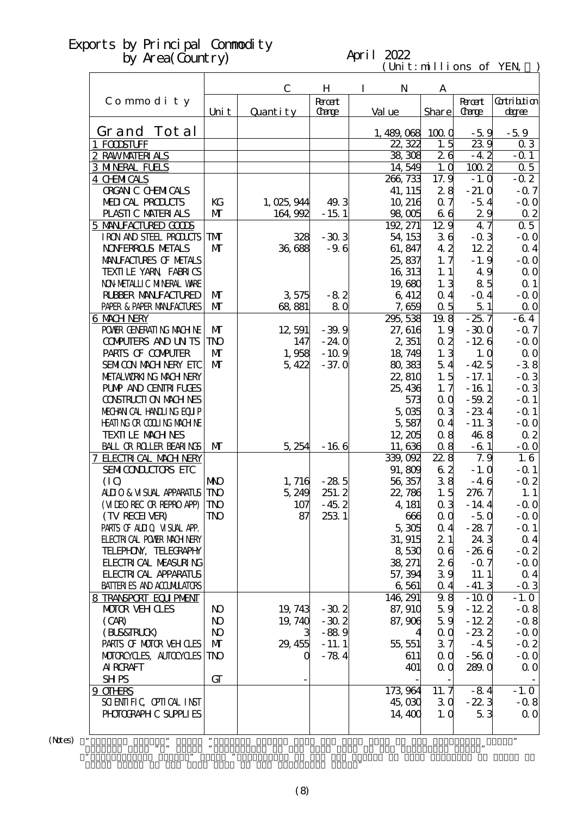#### April 2022

 $(\text{Uni t}: \text{mi} \text{lli} \text{ons of } \text{YEN})$ 

|                                              |                | $\mathbf C$ | H                    | $\bf{I}$<br>N     | A              |                               |                       |
|----------------------------------------------|----------------|-------------|----------------------|-------------------|----------------|-------------------------------|-----------------------|
| Commodity                                    | Uni t          | Quantity    | <b>Root</b><br>Carge | Val ue            | Share          | <b>Recent</b><br><b>Carge</b> | Gatribition<br>degree |
| Grand Tot al                                 |                |             |                      | 1,489,068         | 1000           | $-5.9$                        | $-5.9$                |
| 1 FODSTUFF                                   |                |             |                      | 22, 322           | 1.5            | 239                           | 03                    |
| 2 RAWMATERIALS                               |                |             |                      | 38,308            | 26             | $-4.2$                        | $-0.1$                |
| <b>3 MNERAL FUELS</b>                        |                |             |                      | 14,549            | 1.0            | $100\overline{2}$             | 0.5                   |
| <b>4 CHMICALS</b>                            |                |             |                      | 266, 733          | 17.9           | $-1.0$                        | $-0.2$                |
| <b>ORGAN C CHEMICALS</b>                     |                |             |                      | 41, 115           | 28             | $-21.0$                       | $-0.7$                |
| MEDICAL PRODUCTS                             | KG             | 1,025,944   | 49.3                 | 10, 216           | 0.7            | $-5.4$                        | $-0.0$                |
| PLASTIC MATERIALS                            | $\mathbf{M}$   | 164,992     | $-15.1$              | 98,005            | 66             | 29                            | $\alpha$ 2            |
| 5 MANIFACTURED GOODS                         |                |             |                      | 192, 271          | 129            | 47                            | 0.5                   |
| IRON AND STEEL PRODUCTS                      | TMT            | 328         | $-303$               | 54, 153           | 36             | $-0.3$                        | $-0.0$                |
| <b>NOVERROLS NETALS</b>                      | $\mathbf{M}$   | 36,688      | $-9.6$               | 61, 847           | 42             | 122                           | $\alpha$ 4            |
| MANIFACTURES OF METALS                       |                |             |                      | 25,837            | 1, 7           | $-1.9$                        | $-0.0$                |
| TEXILLE YARN FABRICS                         |                |             |                      | 16, 313           | 1.1            | 49                            | 0 <sub>0</sub>        |
| NON METALLIC MINERAL WARE                    |                |             |                      | 19,680            | 1, 3           | 85                            | $\Omega$ 1            |
| <b>RUBBER MANUFACTURED</b>                   | M              | 3575        | $-82$                | 6 412             | 0 <sub>4</sub> | $-$ Q 4                       | $-0.0$                |
| PAPER & PAPER MANJFACTURES                   | $\mathbf{M}$   | 68,881      | 80                   | 7,659             | 0.5            | 51                            | $\Omega$ O            |
| 6 MACH NERY                                  |                |             |                      | 295, 538          | 19.8           | $-25.7$                       | $-64$                 |
| POWER GENERATING MACHINE                     | $\mathbf{M}$   | 12,591      | $-39.9$              | 27, 616           | 1.9            | $-300$                        | $-0.7$                |
| <b>CONPUTERS AND UNTS</b>                    | <b>TNO</b>     | 147         | $-24.0$              | 2 351             | 0.2            | $-126$                        | $-0.0$                |
| PARIS OF COMPUTER                            | $\mathbf{M}$   | 1,958       | $-10.9$              | 18, 749           | 1.3            | 1.0                           | 0 <sub>0</sub>        |
| SEMICON MACH NERY ETC                        | $\mathbf{M}$   | 5,422       | $-37.0$              | 80,383            | 54             | $-42.5$                       | $-38$                 |
| METALWORKING MACH NERY                       |                |             |                      | 22,810            | 1.5            | $-17.1$                       | $-0.3$                |
| <b>PUMP AND CENTRI FUGES</b>                 |                |             |                      | 25, 436           | 1, 7           | $-161$                        | $-0.3$                |
| CONSTRUCTION MACHINES                        |                |             |                      | 573               | QQ             | $-59.2$                       | $-$ Q 1               |
| MECHANICAL HANDLING EQUIP                    |                |             |                      | $5 \, \times$     | 0 <sub>3</sub> | $-234$                        | $-$ Q 1               |
| <b>HEATING OR COLLING MACHINE</b>            |                |             |                      | 5,587             | 0.4            | $-11.3$                       | $-0.0$                |
| <b>TEXTI LE MACH NES</b>                     |                |             |                      | 12, 205           | 08             | 468                           | $\alpha$ 2            |
| <b>BALL OR ROLLER BEARINGS</b>               | M              | 5,254       | $-166$               | 11,636            | 08             | $-61$<br>7.9                  | $-0.0$<br>1.6         |
| 7 ELECTRICAL MACH NERY<br>SEMICONDUCTORS ETC |                |             |                      | 339,092<br>91,809 | 22.8<br>62     | $-1.0$                        | $-$ Q 1               |
| (IO)                                         | <b>NKO</b>     | 1, 716      | $-28.5$              | 56,357            | 38             | $-46$                         | $-0.2$                |
| ALLIO & VISUAL APPARATUS                     | <b>TNO</b>     | 5,249       | 251.2                | 22,786            | 1.5            | 276.7                         | 1.1                   |
| (MIEO REC OR REPRO APP)                      | $ \text{TD}$   | 107         | $-45.2$              | 4, 181            | $\alpha$ 3     | $-14.4$                       | $-0.0$                |
| (TV RECEIVER)                                | TNO            | 87          | 253 1                | 666               | $\alpha$ 0     | $-50$                         | $-0.0$                |
| PARIS OF ALLIQ VISUAL APP.                   |                |             |                      | 5,305             | $\Omega$ 4     | $-287$                        | $-$ Q 1               |
| <b>ELECTRICAL POWER MACH NERY</b>            |                |             |                      | 31, 915           | 21             | 24.3                          | $\alpha$ 4            |
| TELEPHON, TELECRAPHY                         |                |             |                      | 8530              | 06             | $-266$                        | $-0.2$                |
| <b>FLECTRICAL MEASURING</b>                  |                |             |                      | 38, 271           | 26             | $-0.7$                        | $-0.0$                |
| <b>FLECTRICAL APPARATUS</b>                  |                |             |                      | 57, 394           | 39             | 11.1                          | 0 <sub>4</sub>        |
| <b>BATTERIES AND ACCUMILATORS</b>            |                |             |                      | 6,561             | $\Omega$ 4     | $-41.3$                       | $-0.3$                |
| 8 TRANSPORT EQUIPMENT                        |                |             |                      | 146, 291          | 98             | $-100$                        | $-1.0$                |
| <b>MOTOR VEH CLES</b>                        | N <sub>O</sub> | 19, 743     | $-30.2$              | 87, 910           | 59             | $-122$                        | $-0.8$                |
| (CAR)                                        | N <sub>O</sub> | 19, 740     | $-30.2$              | 87,906            | 59             | $-12.2$                       | $-0.8$                |
| (BLS&TRLCK)                                  | $\bf{N}$       | 3           | $-88.9$              |                   | 0 <sub>0</sub> | $-232$                        | $-0.0$                |
| PARIS OF MOTOR VEH CLES                      | $\mathbf{M}$   | 29, 455     | $-11.1$              | 55, 551           | 37             | $-4.5$                        | $-0.2$                |
| MOTOROYCLES, AUTOCYCLES                      | TNO            | O           | $-784$               | 611               | QQ             | $-560$                        | $-0.0$                |
| AI RORAFT                                    |                |             |                      | 401               | 0 <sub>0</sub> | 289.0                         | 0 <sub>0</sub>        |
| <b>SHPS</b>                                  | GT             |             |                      |                   |                |                               |                       |
| 9 OTHRS                                      |                |             |                      | 173 964           | 11.7           | $-84$                         | $-1.0$                |
| SCIENTIFIC CPIICAL INST                      |                |             |                      | 45,030            | 30             | $-22.3$                       | $-0.8$                |
| PHOTOGRAPH C SUPPLIES                        |                |             |                      | 14,400            | 1,0            | 53                            | $\Omega$ O            |
|                                              |                |             |                      |                   |                |                               |                       |
| $\pmb{\mathcal{P}}$                          | $\pmb{\cdot}$  |             |                      |                   |                |                               | $\pmb{\mathfrak{y}}$  |

 $(N$ tes $)$ 

Grand Total of the same term in the preceding year."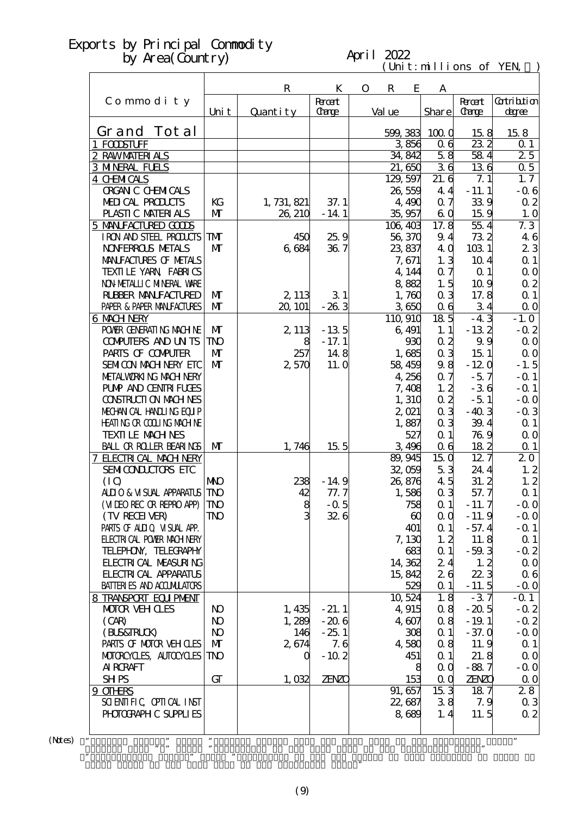#### April 2022

 $(\text{Uni t}: \text{mi} \text{lli} \text{ons of } \text{YEN})$ 

|                                             |                | $\mathbf R$ | K                    | $\mathbf{O}$ | $\mathbf R$ | E                     | A                  |                               |                             |
|---------------------------------------------|----------------|-------------|----------------------|--------------|-------------|-----------------------|--------------------|-------------------------------|-----------------------------|
| Commodity                                   | Uni t          | Quantity    | <b>Root</b><br>Carge |              | Val ue      |                       | Share              | <b>Recent</b><br><b>Carge</b> | <b>Cotribtion</b><br>degree |
| Grand Tot al                                |                |             |                      |              | 599, 383    |                       | 1000               | 158                           | 158                         |
| 1 FODSTUFF                                  |                |             |                      |              |             | 3856                  | 06                 | 232                           | 0 <sub>1</sub>              |
| 2 RAWMATERIALS                              |                |             |                      |              |             | 34, 842               | 58                 | 584                           | 25                          |
| <b>3 MNERAL FUELS</b>                       |                |             |                      |              |             | 21,650                | 36                 | 136                           | 0.5                         |
| <b>4 CHMICALS</b>                           |                |             |                      |              |             | 129, 597              | 21.6               | 7.1                           | 1, 7                        |
| <b>ORGAN C CHEMICALS</b>                    |                |             |                      |              |             | 26,559                | 44                 | $-11.1$                       | $-0.6$                      |
| MEDICAL PRODUCTS                            | KG             | 1, 731, 821 | 37.1                 |              |             | 4,490                 | 0.7                | 339                           | $\alpha$ 2                  |
| PLASTIC MATERIALS                           | $\mathbf{M}$   | 26, 210     | $-14.1$              |              |             | 35,957                | 6Q                 | 159                           | 1.0                         |
| 5 MANIFACTURED GOODS                        |                |             |                      |              |             | 106,403               | 17.8               | 55.4                          | 7.3                         |
| I RON AND STEEL PRODUCTS                    | TMT            | 450         | 25.9                 |              |             | 56,370                | 9.4                | 732                           | 46                          |
| <b>NOVERROLS NETALS</b>                     | $\mathbf{M}$   | 6 684       | 367                  |              |             | 23,837                | 4 Q                | 103 1                         | 23                          |
| MANIFACTURES OF METALS                      |                |             |                      |              |             | 7,671                 | 1.3                | 10 <sub>4</sub>               | $\Omega$ 1                  |
| TEXILLE YARN FABRICS                        |                |             |                      |              |             | 4, 144                | 0.7                | Q <sub>1</sub>                | $\Omega$ O                  |
| NON METALLIC MINERAL VARE                   |                |             |                      |              |             | 882                   | 1.5                | 10.9                          | $\alpha$ 2                  |
| <b>RUBBER MANUFACTURED</b>                  | M              | 2, 113      | 31                   |              |             | 1,760                 | 0 <sub>3</sub>     | 17.8                          | $\Omega$ 1                  |
| PAPER & PAPER MANJFACTURES                  | $\mathbf{M}$   | 20, 101     | $-263$               |              |             | 3650                  | 0 <sub>6</sub>     | 34                            | $\Omega$ O                  |
| 6 MACH NERY                                 |                |             |                      |              |             | 110,910               | 18 <sub>5</sub>    | $-43$                         | $-1.0$                      |
| POWER GENERATING MACHINE                    | $\mathbf{M}$   | 2, 113      | $-13.5$              |              |             | 6,491                 | 1.1                | $-132$                        | $-0.2$                      |
| <b>COMPUTERS AND UN TS</b>                  | <b>TNO</b>     | 8           | $-17.1$              |              |             | 930                   | $\alpha$ 2         | 9.9                           | 0 <sub>0</sub>              |
| PARIS OF COMPUTER                           | $\mathbf{M}$   | 257         | 148                  |              |             | 1,685                 | 0 <sub>3</sub>     | 15.1                          | $\Omega$ O                  |
| SEMICON MACH NERY ETC                       | $\mathbf{M}$   | 2,570       | 11. Q                |              |             | 58 459                | 98                 | $-120$                        | $-1.5$                      |
| METALWORKING MACH NERY                      |                |             |                      |              |             | 4,256                 | 0.7                | $-57$                         | $-$ Q 1                     |
| <b>PUMP AND CENTRI FUGES</b>                |                |             |                      |              |             | 7,408                 | 1, 2               | $-36$                         | $-$ Q 1                     |
| CONSTRUCTION MACHINES                       |                |             |                      |              |             | 1,310                 | $\alpha$ 2         | $-5.1$                        | $-0.0$                      |
| MECHANICAL HANDLING EQUIP                   |                |             |                      |              |             | 2,021                 | 0 <sub>3</sub>     | $-40.3$                       | $-0.3$                      |
| HEATING OR COLLING MACHINE                  |                |             |                      |              |             | 1,887                 | 0 <sub>3</sub>     | 39.4                          | $\Omega$ 1                  |
| <b>TEXTILE MACHNES</b>                      |                |             |                      |              |             | 527                   | Q <sub>1</sub>     | 769                           | $\Omega$ O                  |
| <b>BALL OR ROLLER BEARINGS</b>              | $\mathbf{M}$   | 1,746       | 15 <sub>5</sub>      |              |             | 3496                  | 0 <sub>6</sub>     | 182                           | $\Omega$ 1                  |
| 7 ELECIRICAL MACH NERY                      |                |             |                      |              |             | 89,945                | 150                | $12\bar{7}$                   | 20                          |
| SEMICONDUCTORS ETC                          |                |             |                      |              |             | 32,059                | 53                 | 24.4                          | 1, 2                        |
| (IO)                                        | <b>NNO</b>     | 238         | $-14.9$              |              |             | 26,876                | 45                 | 31.2                          | 1, 2                        |
| ALLIO & VISUAL APPARATUS                    | <b>TNO</b>     | 42          | 77.7                 |              |             | 1,586                 | 0 <sub>3</sub>     | 57.7                          | $\Omega$ 1                  |
| (VIDEO RECOR REPRO APP)                     | <b>TNO</b>     | 8<br>3      | $-0.5$               |              |             | 758                   | $\Omega$ 1         | $-11.7$                       | $-0.0$                      |
| (TV RECEIVER)<br>PARIS OF ALLIO VISUAL APP. | TNO            |             | 326                  |              |             | $\boldsymbol{\omega}$ | $\alpha$ 0         | $-11.9$                       | $-0.0$                      |
| <b>ELECTRICAL POWER MACH NERY</b>           |                |             |                      |              |             | 401                   | $\alpha$ 1<br>1, 2 | $-57.4$                       | $-$ Q 1<br>$\alpha$ 1       |
| TELEPHON, TELECRAPHY                        |                |             |                      |              |             | 7,130<br>683          | $\alpha$ 1         | 11.8<br>$-59.3$               | $-0.2$                      |
| <b>FLECTRI CAL MEASURING</b>                |                |             |                      |              |             | 14, 362               | 24                 | 1, 2                          | 0 <sub>0</sub>              |
| <b>FLECTRICAL APPARATUS</b>                 |                |             |                      |              |             |                       | 26                 | 223                           |                             |
| <b>BATTERIES AND ACCUMILATORS</b>           |                |             |                      |              |             | 15,842<br>529         | $\alpha$ 1         | $-11.5$                       | 06<br>$-0.0$                |
| 8 TRANSPORT EQUIPMENT                       |                |             |                      |              |             | 10,524                | 1.8                | $-37$                         | $-Q_1$                      |
| <b>MOTOR VEHOLES</b>                        | N <sub>O</sub> | 1,435       | $-21.1$              |              |             | 4,915                 | 0.8                | $-20.5$                       | $-0.2$                      |
| (CAR)                                       | N <sub>O</sub> | 1,289       | $-206$               |              |             | 4.607                 | 0.8                | $-19.1$                       | $-0.2$                      |
| (BLS&TRLCK)                                 | N <sub>O</sub> | 146         | $-25.1$              |              |             | 308                   | $\alpha$ 1         | $-37.0$                       | $-0.0$                      |
| PARIS OF MOTOR VEH CLES                     | $\mathbf{M}$   | 2,674       | 7.6                  |              |             | 4580                  | 0.8                | 11.9                          | $\alpha$ 1                  |
| MOTOROYCLES, AUTOCYCLES                     | TNO            | Q           | $-10.2$              |              |             | 451                   | $\alpha$ 1         | 21.8                          | $\Omega$ O                  |
| AI RORAFT                                   |                |             |                      |              |             | 8                     | QQ                 | $-88.7$                       | $-0.0$                      |
| <b>SHPS</b>                                 | GT             | 1,032       | <b>ZENZO</b>         |              |             | 153                   | $\alpha$ $\alpha$  | <b>ZENZO</b>                  | 0 <sub>0</sub>              |
| 9 OTHRS                                     |                |             |                      |              |             | 91, 657               | 15 <sub>3</sub>    | 187                           | 28                          |
| SCIENTIFIC CPIICAL INST                     |                |             |                      |              |             | 22,687                | 38                 | 7.9                           | $\alpha$ 3                  |
| PHOTOGRAPH C SUPPLIES                       |                |             |                      |              |             | 8689                  | 1, 4               | 11.5                          | 02                          |
|                                             |                |             |                      |              |             |                       |                    |                               |                             |
| $\pmb{\mathcal{P}}$                         | $\pmb{\cdot}$  |             |                      |              |             |                       |                    |                               | $\pmb{\mathfrak{y}}$        |

 $(N$ tes) "

Grand Total of the same term in the preceding year."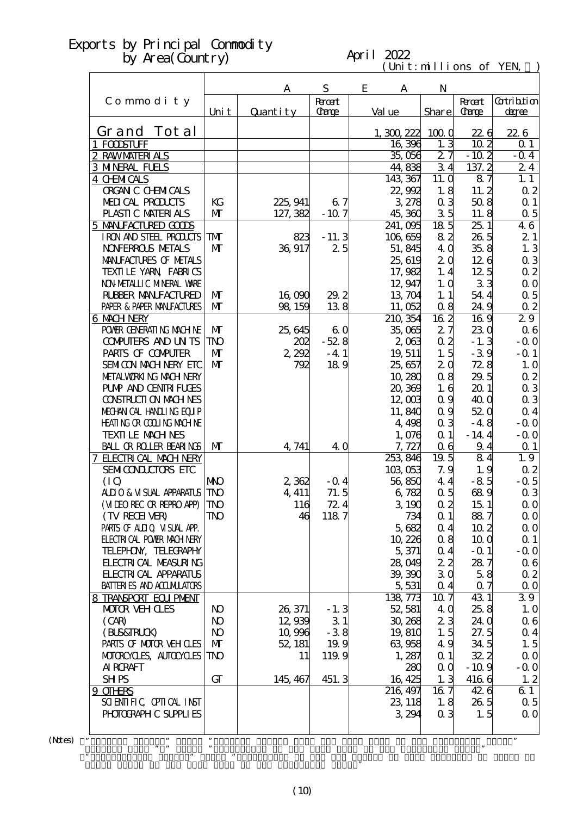#### April 2022

 $(\text{Uni t}: \text{mi} \text{lli} \text{ons of } \text{YEN})$ 

|                                                       |                 | A        | ${\bf S}$      | E<br>A            | N                 |                        |                          |
|-------------------------------------------------------|-----------------|----------|----------------|-------------------|-------------------|------------------------|--------------------------|
| Commodity                                             |                 |          | <b>R</b> rcent |                   |                   | <b>Recent</b>          | <b>Cotribtion</b>        |
|                                                       | Uni t           | Quantity | Carge          | Val ue            | Share             | <b>Carge</b>           | degree                   |
| Grand Tot al                                          |                 |          |                | 1,300222          | 1000              | 226                    | 226                      |
| 1 FODSTUFF                                            |                 |          |                | 16,396            | 1.3               | 10 <sub>2</sub>        | 0 <sub>1</sub>           |
| 2 RAWMATERIALS                                        |                 |          |                | 35,056            | 27                | $-10.2$                | $-0.4$                   |
| <b>3 MNERAL FUELS</b>                                 |                 |          |                | 44,838            | 34                | 137.2                  | 24                       |
| 4 CHMICALS                                            |                 |          |                | 143, 367          | 11. Q             | 87                     | 1.1                      |
| <b>ORGAN C CHEMICALS</b>                              |                 |          |                | 22,992            | 1.8               | 11.2                   | $\alpha$ 2               |
| MEDICAL PRODUCTS                                      | KG              | 225, 941 | 67             | 3278              | 0 <sub>3</sub>    | 508                    | $\Omega$ 1               |
| PLASTIC MATERIALS<br>5 MANIFACTURED GOODS             | $\mathbf{M}$    | 127, 382 | $-107$         | 45,360<br>241,095 | 35<br>$18\bar{5}$ | 11.8<br>251            | $\alpha$ 5<br>46         |
| I RON AND STEEL PRODUCTS                              | <b>TM</b>       | 823      | $-11.3$        | 106,659           | 82                | 26.5                   | 21                       |
| <b>NOVERROLS METALS</b>                               | $\mathbf{M}$    | 36,917   | 25             | 51,845            | 4 Q               | 35.8                   | 1.3                      |
| MANIFACTURES OF METALS                                |                 |          |                | 25, 619           | 2 <sub>0</sub>    | 126                    | $\alpha$ 3               |
| TEXILLE YARN FABRICS                                  |                 |          |                | 17,982            | 1.4               | 12.5                   | $\alpha$ 2               |
| NON METALLIC MINERAL WARE                             |                 |          |                | 12,947            | 1.0               | 33                     | $\Omega$ O               |
| <b>RUBBER MANUFACTURED</b>                            | $\mathbf{M}$    | 16,090   | 29.2           | 13,704            | 1.1               | 54.4                   | $\alpha$ 5               |
| PAPER & PAPER MANJFACTURES                            | $\mathbf{M}$    | 98 159   | 138            | 11,052            | 0.8               | 24.9                   | $\alpha$ 2               |
| <b>6 MACH NERY</b>                                    |                 |          |                | 210, 354          | $\overline{162}$  | 169                    | 29                       |
| POWER GENERATING MACHINE                              | $\mathbf{M}$    | 25,645   | 60             | 35,065            | 27                | 230                    | 06                       |
| <b>COMPUTERS AND UN TS</b>                            | <b>TNO</b>      | 202      | $-528$         | 2063              | 0 <sub>2</sub>    | $-1.3$                 | $-0.0$                   |
| PARIS OF COMPUTER                                     | $\mathbf{M}$    | 2,292    | $-4.1$         | 19, 511           | 1.5               | $-39$                  | $-$ Q 1                  |
| SEMICON MACH NERY ETC                                 | $\mathbf{M}$    | 792      | 189            | 25,657            | 2 <sub>0</sub>    | 72.8                   | 1.0                      |
| METALWORKING MACH NERY                                |                 |          |                | 10,280            | 08                | 29.5                   | $\alpha$ 2               |
| <b>PUMP AND CENTRI FUGES</b><br>CONSTRUCTION MACHINES |                 |          |                | 20,369<br>12,003  | 1.6<br>0.9        | 201<br>40 <sub>0</sub> | $\alpha$ 3<br>$\alpha$ 3 |
| MECHANICAL HANDLING EQUIP                             |                 |          |                | 11,840            | 0.9               | 520                    | $\alpha$ 4               |
| <b>HEATING OR COLLING MACHINE</b>                     |                 |          |                | 4,498             | 0 <sub>3</sub>    | $-4.8$                 | $-0.0$                   |
| <b>TEXTI LE MACH NES</b>                              |                 |          |                | 1,076             | Q <sub>1</sub>    | $-14.4$                | $-0.0$                   |
| <b>BALL OR ROLLER BEARINGS</b>                        | $\mathbf{M}$    | 4,741    | 40             | 7,727             | 0 <sub>6</sub>    | 9.4                    | $\Omega$ 1               |
| 7 ELECTRICAL MACH NERY                                |                 |          |                | 253,846           | 19.5              | 84                     | 1.9                      |
| SEMICONDUCTORS ETC                                    |                 |          |                | 103,053           | 7.9               | 1.9                    | $\alpha$ 2               |
| (IQ)                                                  | <b>NKO</b>      | 2,362    | $-0.4$         | 56850             | 44                | $-85$                  | $-0.5$                   |
| ALLIO & VISUAL APPARATUS                              | <b>TNO</b>      | 4, 411   | 71.5           | 6,782             | 0.5               | 689                    | $\alpha$ 3               |
| (MIEO REC OR REPRO APP)                               | <b>TNO</b>      | 116      | 72.4           | 3,190             | 0 <sub>2</sub>    | 151                    | $\Omega$ O               |
| (TV RECEIVER)                                         | ${\rm I\!N\!O}$ | 46       | 1187           | 734               | $\alpha$ 1        | 887                    | $\Omega$ O               |
| PARIS OF ALLIO VISUAL APP.                            |                 |          |                | 5,682             | 0.4               | 10 <sub>2</sub>        | $\Omega$ O               |
| <b>FLECTRICAL POWIR MACH NERY</b>                     |                 |          |                | 10,226            | 08                | 100                    | $\Omega$ 1               |
| TELEPHON, TELECRAPHY<br><b>FLECTRI CAL MEASURING</b>  |                 |          |                | 5,371             | $\alpha$ 4<br>22  | $-Q$ 1<br>287          | $-0.0$<br>06             |
| <b>FLECTRICAL APPARATUS</b>                           |                 |          |                | 28,049<br>39, 390 | 3 <sub>0</sub>    | 58                     | $\alpha$ 2               |
| <b>BATTERIES AND ACCUMULATORS</b>                     |                 |          |                | 5,531             | $\Omega$ 4        | 0.7                    | $\Omega$ O               |
| 8 TRANSPORT EQUIPMENT                                 |                 |          |                | 138,773           | 10.7              | 43 1                   | 39                       |
| <b>MOTOR VEH CLES</b>                                 | N <sub>O</sub>  | 26, 371  | $-1.3$         | 52, 581           | 4 Q               | 25.8                   | 1.0                      |
| (CAB)                                                 | $\bf{N}$        | 12,939   | 31             | 30, 268           | 23                | 24 <sub>0</sub>        | 06                       |
| (BLS&TRLCK)                                           | N <sub>O</sub>  | 10,996   | $-38$          | 19,810            | 1.5               | 27.5                   | $\Omega$ 4               |
| PARIS OF MOTOR VEH OLES                               | $\mathbf{M}$    | 52, 181  | 19.9           | 63,958            | 49                | 34.5                   | 1.5                      |
| MOTOROYCLES, AUTOCYCLES                               | TNO             | 11       | 119.9          | 1,287             | $\alpha$ 1        | 322                    | $\Omega$ O               |
| <b>AI RCRAFT</b>                                      |                 |          |                | 280               | $\alpha$ $\alpha$ | $-10.9$                | $-0.0$                   |
| <b>SHPS</b>                                           | GT              | 145, 467 | 451.3          | 16, 425           | 1.3               | 4166                   | 1, 2                     |
| 9 OTHRS                                               |                 |          |                | 216, 497          | 167               | 426                    | 61                       |
| SCIENTIFIC CPIICAL INST                               |                 |          |                | 23, 118           | 1.8               | 26.5                   | 0.5                      |
| PHOTOGRAPH C SUPPLIES                                 |                 |          |                | 3,294             | 0 <sub>3</sub>    | 1.5                    | $\alpha$ o               |
| ,,                                                    | ,,              |          |                |                   |                   |                        | $, \,$                   |

 $(Mtes)$  "

Grand Total of the same term in the preceding year."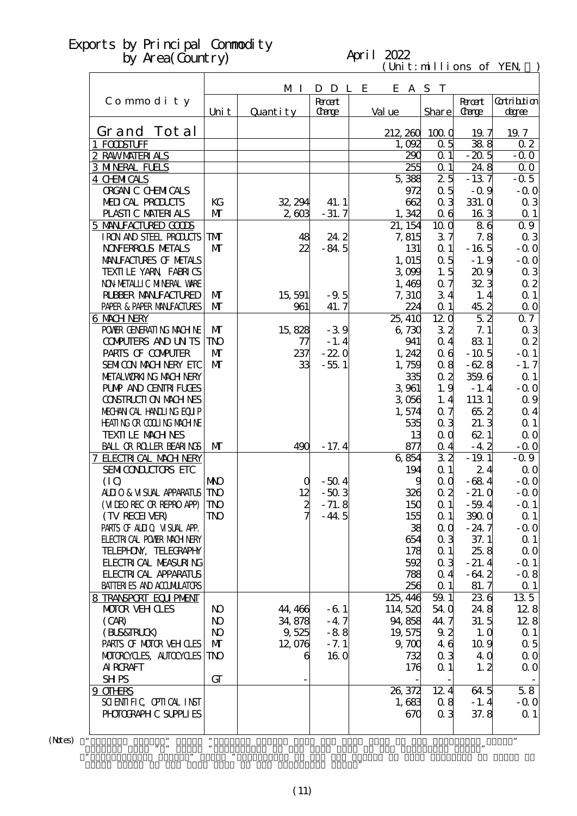#### April 2022

 $(\text{Uni t}: \text{mi} \text{lli} \text{ons of } \text{YEN})$ 

|                                                         |                   | M I           | D D L E            |                | $C1$ . The state of $E1$<br>E A S T |                             |                          |
|---------------------------------------------------------|-------------------|---------------|--------------------|----------------|-------------------------------------|-----------------------------|--------------------------|
| Commodity                                               |                   |               | <b>Root</b>        |                |                                     | <b>Recent</b>               | Gatribition              |
|                                                         | Uni t             | Quantity      | <b>Carge</b>       | Val ue         | Share                               | <b>Carge</b>                | degree                   |
| Grand Tot al                                            |                   |               |                    | 212, 260       | 1000                                | 19.7                        | 19.7                     |
| 1 FODSTUFF                                              |                   |               |                    | 1,092          | 0.5                                 | 388                         | 0 <sub>2</sub>           |
| 2 RAWMATERIALS                                          |                   |               |                    | 290            | $Q_1$                               | $-20.5$                     | $-0.0$                   |
| <b>3 MNERAL FUELS</b>                                   |                   |               |                    | 255            | $Q_1$                               | 24.8                        | 0 <sub>0</sub>           |
| 4 CHMICALS                                              |                   |               |                    | 5,388          | $\overline{25}$                     | $-137$                      | $-0.5$                   |
| <b>ORGAN C CHEMICALS</b>                                |                   |               |                    | 972            | $\alpha$ 5                          | $-0.9$                      | $-0.0$                   |
| MEDICAL PRODUCTS                                        | KG                | 32, 294       | 41.1               | 662            | 0 <sub>3</sub>                      | 331.0                       | $\alpha$ 3               |
| PLASTIC MATERIALS                                       | $\mathbf{M}$      | 2,603         | $-31.7$            | 1,342          | 0 <sub>6</sub>                      | 163                         | Q <sub>1</sub>           |
| 5 MANIFACTURED GOODS                                    |                   |               |                    | 21, 154        | 10 <sub>o</sub>                     | 86                          | 0.9                      |
| I RON AND STEEL PRODUCTS                                | ${\bf T}$         | 48            | 24.2               | 7,815          | 37                                  | 7.8                         | 03                       |
| <b>NOVERROLS NETALS</b>                                 | $\mathbf{M}$      | 22            | $-84.5$            | 131            | Q <sub>1</sub>                      | $-165$                      | $-0.0$                   |
| MANIFACTURES OF METALS                                  |                   |               |                    | 1,015          | $\alpha$ 5                          | $-1.9$                      | $-0.0$                   |
| TEXILE YARN FABRICS                                     |                   |               |                    | 3099           | 1.5                                 | 209                         | 03                       |
| NON METALLIC MINERAL VARE<br><b>RUBBER MANUFACTURED</b> | $\mathbf{M}$      |               |                    | 1,469<br>7,310 | 0.7<br>34                           | 323                         | $\alpha$ 2<br>$\Omega$ 1 |
| PAPER & PAPER MANFACTURES                               | $\mathbf{M}$      | 15,591<br>961 | $-9.5$<br>41.7     | 224            | $Q_1$                               | 1, 4<br>45.2                | $\Omega$ O               |
| 6 MACH NERY                                             |                   |               |                    | 25, 410        | 120                                 | $\overline{5}2$             | 07                       |
| POWER GENERATING MACHINE                                | M                 | 15,828        | $-39$              | 6,730          | 32                                  | 7.1                         | 03                       |
| <b>COMPUTERS AND UNTS</b>                               | <b>TNO</b>        | 77            | $-1.4$             | 941            | $\alpha$ 4                          | 831                         | $\alpha$ 2               |
| PARIS OF COMPUTER                                       | $\mathbf{M}$      | 237           | $-22.0$            | 1,242          | 0 <sub>6</sub>                      | $-10.5$                     | $-Q$ 1                   |
| SEMICON MACH NERY ETC                                   | $\mathbf{M}$      | 33            | $-55.1$            | 1,759          | 0.8                                 | $-628$                      | $-1.7$                   |
| METALWORKING MACH NERY                                  |                   |               |                    | 335            | 0 <sub>2</sub>                      | 359.6                       | $\alpha$ 1               |
| <b>PUMP AND CENTRI FUGES</b>                            |                   |               |                    | 3 961          | 1.9                                 | $-1.4$                      | $-0.0$                   |
| CONSTRUCTION MACHINES                                   |                   |               |                    | 3056           | 1, 4                                | 113 1                       | 0.9                      |
| MECHANICAL HANDLING EQUIP                               |                   |               |                    | 1,574          | 0.7                                 | 65.2                        | $\alpha$ 4               |
| <b>HEATING OR COLLING MACHINE</b>                       |                   |               |                    | 535            | 0 <sub>3</sub>                      | 21.3                        | Q <sub>1</sub>           |
| <b>TEXILE MACHNES</b>                                   |                   |               |                    |                | 13<br>$\alpha$ $\alpha$             | 621                         | $\Omega$ O               |
| <b>BALL OR ROLLER BEARINGS</b>                          | $\mathbf{M}$      | 490           | $-17.4$            | 871            | 0.4                                 | $-4.2$                      | $-0.0$                   |
| 7 ELECTRICAL MACH NERY                                  |                   |               |                    | 6854           | $\overline{32}$                     | $-19.1$                     | $-0.9$                   |
| SEMICONDUCTORS ETC                                      |                   |               |                    | 194            | $\alpha$ 1                          | 24                          | $\Omega$ O               |
| (IO)                                                    | <b>NNO</b>        | O             | $-50.4$            |                | $\alpha$ $\alpha$<br>9              | $-684$                      | $-0.0$                   |
| ALLIO & VISUAL APPARATUS                                | <b>TNO</b>        | 12            | $-503$             | 326            | $\alpha$ 2                          | $-21.0$                     | $-0.0$                   |
| (VIDEO RECOR REPRO APP)                                 | <b>TNO</b><br>TNO | $\frac{2}{7}$ | $-71.8$<br>$-44.5$ | 150            | $\alpha$ 1<br>$\alpha$ 1            | $-59.4$                     | $-$ Q 1                  |
| (TV RECEIVER)<br>PARIS OF ALLIQ VISUAL APP.             |                   |               |                    | 155            | 38<br>$\alpha$ $\alpha$             | 390 <sub>0</sub><br>$-24.7$ | $\alpha$ 1<br>$-0.0$     |
| <b>FLECTRI CAL POWER MACH NERY</b>                      |                   |               |                    | 654            | 0 <sub>3</sub>                      | 37.1                        | $\Omega$ 1               |
| TELEPHON, TELECRAPHY                                    |                   |               |                    | 178            | $\alpha$ 1                          | 25.8                        | $\Omega$ O               |
| <b>FLECTRI CAL MEASURING</b>                            |                   |               |                    | 592            | 0 <sub>3</sub>                      | $-21.4$                     | $-Q_1$                   |
| <b>FLECIRICAL APPARATLS</b>                             |                   |               |                    | 788            | 0.4                                 | $-64.2$                     | $-0.8$                   |
| <b>BATTERIES AND ACCUMILATORS</b>                       |                   |               |                    | 256            | $\alpha$ 1                          | 81.7                        | $\alpha$ 1               |
| 8 TRANSPORT EQUIPMENT                                   |                   |               |                    | 125, 446       | 59.1                                | 236                         | 135                      |
| <b>MOTOR VEH CLES</b>                                   | N <sub>O</sub>    | 44, 466       | $-61$              | 114,520        | 54 0                                | 24.8                        | 128                      |
| (CAR)                                                   | N <sub>O</sub>    | 34,878        | $-47$              | 94,858         | 44.7                                | 31.5                        | 128                      |
| (BLS&TRLCK)                                             | $\bf{N}$          | 9,525         | $-88$              | 19,575         | 9.2                                 | 1.0                         | $\Omega$ 1               |
| PARIS OF MOTOR VEH CLES                                 | $\mathbf{M}$      | 12,076        | $-7.1$             | 9,700          | 46                                  | 10.9                        | $\alpha$ 5               |
| MOTOROYCLES, AUTOCYCLES                                 | TNO               | 6             | 160                | 732            | 0 <sub>3</sub>                      | 4 Q                         | $\Omega$ O               |
| AI RORAFT                                               |                   |               |                    | 176            | $\Omega$ 1                          | 1, 2                        | $\Omega$ O               |
| <b>SHPS</b>                                             | GT                |               |                    |                |                                     |                             |                          |
| 9 OTHRS                                                 |                   |               |                    | 26, 372        | 12.4                                | 64.5                        | 58                       |
| SCIENTIFIC CPITCAL INST                                 |                   |               |                    | 1,683          | 0.8                                 | $-1.4$                      | $-0.0$                   |
| PHOTOGRAPH C SUPPLIES                                   |                   |               |                    | 670            | 0 <sub>3</sub>                      | 37.8                        | $\alpha$ 1               |
| $\pmb{\mathfrak{y}}$                                    | ,,                |               |                    |                |                                     |                             | ,,                       |
|                                                         |                   |               |                    |                |                                     |                             |                          |

 $(Mtes)$  "

Grand Total of the same term in the preceding year."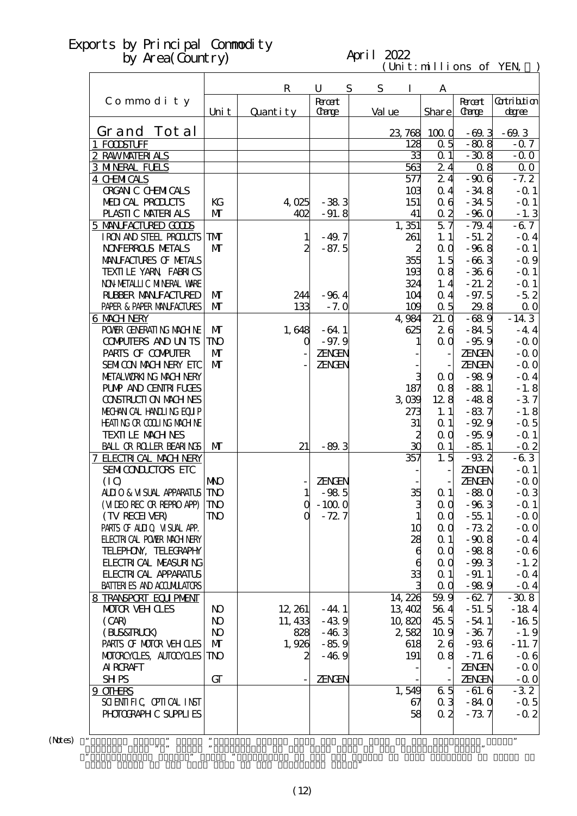#### April 2022

 $(\text{Uni t}: \text{mi} \text{lli} \text{ons of } \text{YEN})$ 

|                                                         |                | $\mathbf R$ | U                    | S | S      | I         | A                 |                               |                             |
|---------------------------------------------------------|----------------|-------------|----------------------|---|--------|-----------|-------------------|-------------------------------|-----------------------------|
| Commodity                                               | Uni t          | Quantity    | <b>Root</b><br>Carge |   | Val ue |           | Share             | <b>Recent</b><br><b>Carge</b> | <b>Cotribtion</b><br>degree |
|                                                         |                |             |                      |   |        |           |                   |                               |                             |
| Grand Tot al                                            |                |             |                      |   |        | 23,768    | 1000              | $-69.3$                       | $-69.3$                     |
| 1 FODSTUFF                                              |                |             |                      |   |        | 128       | 0.5               | $-80.8$                       | $-0.7$                      |
| 2 RAWMATERIALS                                          |                |             |                      |   |        | 33        | $\alpha$ 1        | $-30.8$                       | $-0.0$                      |
| <b>3 MNERAL FUELS</b>                                   |                |             |                      |   |        | 563       | 24                | 0.8                           | 0 <sub>0</sub>              |
| <b>4 CHMICALS</b>                                       |                |             |                      |   |        | 577       | 24                | $-906$                        | $-7.2$                      |
| <b>ORGAN C CHEMICALS</b>                                |                |             |                      |   |        | 103       | 0.4               | $-34.8$                       | $-Q$ 1                      |
| MEDICAL PRODUCTS                                        | KG             | 4,025       | $-383$               |   |        | 151       | 0 <sub>6</sub>    | $-34.5$                       | $-Q$ 1                      |
| PLASTIC MATERIALS                                       | $\mathbf{M}$   | 402         | $-91.8$              |   |        | 41        | 0 <sub>2</sub>    | $-960$                        | $-1.3$                      |
| 5 MANIFACTURED GOODS                                    |                |             |                      |   |        | 1,351     | $\overline{57}$   | $-79.4$                       | $-67$                       |
| I RON AND STEEL PRODUCTS                                | TMT            | 1           | $-49.7$              |   |        | 261       | 1.1               | $-51.2$                       | $-$ Q 4                     |
| <b>NOVERROLS NETALS</b>                                 | $\mathbf{M}$   | 2           | $-87.5$              |   |        | 2         | $\alpha$ $\alpha$ | $-968$                        | $-$ Q 1                     |
| MANIFACTURES OF METALS                                  |                |             |                      |   |        | 355       | 1.5               | $-663$                        | $-0.9$                      |
| TEXILE YARN FABRICS                                     |                |             |                      |   |        | 193       | 0.8               | $-366$                        | $-$ Q 1                     |
| NON METALLIC MINERAL WARE                               |                |             |                      |   |        | 324       | 1, 4              | $-21.2$                       | $-$ Q 1                     |
| <b>RUBBER MANUFACTURED</b>                              | M              | 244         | $-964$               |   |        | 104       | $\alpha$ 4        | $-97.5$                       | $-5.2$                      |
| PAPER & PAPER MANJFACTURES                              | $\mathbf{M}$   | 133         | $-7.0$               |   |        | 109       | 0.5               | 29.8                          | $\Omega$ O                  |
| 6 MACH NERY                                             |                |             |                      |   |        | 4,984     | 21.0              | $-689$                        | $-14\,3$                    |
| POWER GENERATING MACHINE                                | $\mathbf{M}$   | 1,648       | $-64.1$              |   |        | 625       | 26                | $-84.5$                       | $-4.4$                      |
| <b>COMPUTERS AND UN TS</b>                              | <b>TNO</b>     | $\mathbf 0$ | $-97.9$              |   |        |           | $\alpha$ $\alpha$ | $-95.9$                       | $-0.0$                      |
| PARIS OF COMPUTER                                       | $\mathbf{M}$   |             | ZENGEN               |   |        |           |                   | <b>ZENGEN</b>                 | $-0.0$                      |
| SEMICON MACH NERY EIC                                   | $\mathbf{M}$   |             | <b>ZENGEN</b>        |   |        |           |                   | <b>ZENGEN</b>                 | $-$ Q O                     |
| METALWORKING MACH NERY                                  |                |             |                      |   |        | 3         | QQ                | $-989$                        | $-$ Q 4                     |
| <b>PUMP AND CENTRI FUGES</b>                            |                |             |                      |   |        | 187       | 08                | $-881$                        | $-1.8$                      |
| CONSTRUCTION MACHINES                                   |                |             |                      |   |        | 3000      | 128               | $-488$                        | $-37$                       |
| MECHANICAL HANDLING EQUIP<br>HEATING OR COLLING MACHINE |                |             |                      |   |        | 273<br>31 | 1.1<br>$\alpha$ 1 | $-837$<br>$-92.9$             | $-1.8$<br>$-$ 0.5           |
| <b>TEXTILE MACHNES</b>                                  |                |             |                      |   |        |           | $\alpha$ $\alpha$ | $-959$                        | $-$ Q 1                     |
| <b>BALL OR ROLLER BEARINGS</b>                          | $\mathbf{M}$   | 21          | $-89.3$              |   |        | 2<br>30   | $\alpha$ 1        | $-85.1$                       | $-$ Q $2 $                  |
| 7 ELECTRICAL MACH NERY                                  |                |             |                      |   |        | 357       | 1.5               | $-93.2$                       | $-63$                       |
| SEMICONDUCTORS ETC                                      |                |             |                      |   |        |           |                   | <b>ZENGEN</b>                 | $-$ Q 1                     |
| (IO)                                                    | <b>NKO</b>     |             | ZENEN                |   |        |           |                   | ZENGEN                        | $-0.0$                      |
| ALLIO & VISUAL APPARATUS                                | <b>TNO</b>     | 1           | $-985$               |   |        | 35        | $\alpha$ 1        | $-880$                        | $-0.3$                      |
| (VIDEO RECOR REPRO APP)                                 | <b>TNO</b>     | $\mathbf 0$ | $-1000$              |   |        | 3         | $\alpha$ o        | $-963$                        | $-Q_1$                      |
| (TV RECEIVER)                                           | TNO            | O           | $-72.7$              |   |        |           | $\alpha$ 0        | $-55.1$                       | $-0.0$                      |
| PARIS OF ALLIQ VISUAL APP.                              |                |             |                      |   |        | 10        | $\alpha$ $\alpha$ | $-73.2$                       | $-0.0$                      |
| <b>ELECTRICAL POWIR MACH NERY</b>                       |                |             |                      |   |        | 28        | $\alpha$ 1        | $-90.8$                       | $-$ Q 4                     |
| TELEPHON, TELECRAPHY                                    |                |             |                      |   |        | 6         | QQ                | $-988$                        | $-06$                       |
| <b>FLECTRICAL MEASURING</b>                             |                |             |                      |   |        | 6         | QQ                | $-99.3$                       | $-1.2$                      |
| <b>FLECTRICAL APPARATUS</b>                             |                |             |                      |   |        | 33        | $\alpha$ 1        | $-91.1$                       | $-$ Q 4                     |
| BATTERIES AND ACCUMULATORS                              |                |             |                      |   |        |           | QQ                | $-989$                        | $-$ Q 4                     |
| 8 TRANSPORT EQUIPMENT                                   |                |             |                      |   |        | 14, 226   | 59.9              | $-627$                        | $-308$                      |
| <b>MOTOR VEH CLES</b>                                   | N <sub>O</sub> | 12, 261     | $-44.1$              |   |        | 13,402    | 564               | $-51.5$                       | $-184$                      |
| (CAR)                                                   | N <sub>O</sub> | 11, 433     | $-439$               |   |        | 10,820    | 45.5              | $-54.1$                       | $-165$                      |
| (BLS&TRLCK)                                             | $\bf{N}$       | 828         | $-463$               |   |        | 2,582     | 10.9              | $-367$                        | $-1.9$                      |
| PARIS OF MOTOR VEH CLES                                 | $\mathbf{M}$   | 1,926       | $-85.9$              |   |        | 618       | 26                | $-936$                        | $-11.7$                     |
| MOTOROYCLES, AUTOCYCLES                                 | TNO            | 2           | $-469$               |   |        | 191       | 08                | $-71.6$                       | $-06$                       |
| <b>AI RCRAFT</b>                                        |                |             |                      |   |        |           |                   | <b>ZENGEN</b>                 | $-0.0$                      |
| <b>SHPS</b>                                             | GT             |             | ZENGEN               |   |        |           |                   | <b>ZENGEN</b>                 | $-0.0$                      |
| 9 OTHRS                                                 |                |             |                      |   |        | 1,549     | 65                | $-61.6$                       | $-32$                       |
| SCIENTIFIC CPIICAL INST                                 |                |             |                      |   |        | 67        | 0 <sub>3</sub>    | $-840$                        | $-0.5$                      |
| PHOTOGRAPH C SUPPLIES                                   |                |             |                      |   |        | 58        | 0 <sub>2</sub>    | $-737$                        | $-0.2$                      |
|                                                         |                |             |                      |   |        |           |                   |                               |                             |
| $\pmb{\mathcal{P}}$                                     | $\pmb{\cdot}$  |             |                      |   |        |           |                   |                               | $\pmb{\mathfrak{y}}$        |

 $(Mtes)$  "

Grand Total of the same term in the preceding year."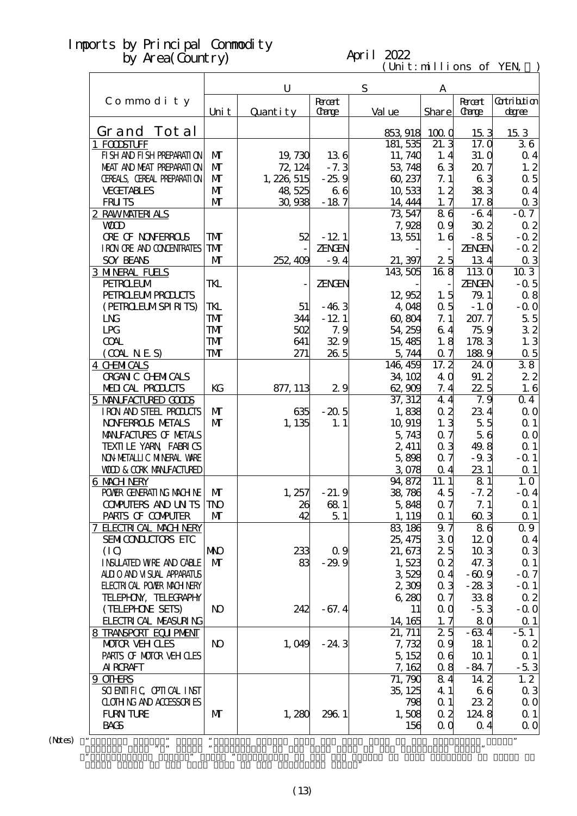#### April 2022

 $(\text{Uni t}: \text{mi} \text{lli} \text{ons of } \text{YEN})$ 

|                                              |                | U           |               | ${\bf S}$           | A                 |                 |                      |
|----------------------------------------------|----------------|-------------|---------------|---------------------|-------------------|-----------------|----------------------|
| Commodity                                    |                |             | <b>Roott</b>  |                     |                   | <b>R</b> rat    | Gatribition          |
|                                              | Uni t          | Quantity    | Carge         | Val ue              | Share             | <b>Carge</b>    | degree               |
| Grand Tot al                                 |                |             |               |                     |                   |                 |                      |
| 1 FODSTUFF                                   |                |             |               | 853 918<br>181, 535 | 1000<br>21.3      | 153<br>17.0     | 153<br>36            |
| FI SH AND FI SH PREPARATI ON                 | $\mathbf{M}$   | 19,730      | 136           | 11, 740             | 1, 4              | 31. O           | $\alpha$ 4           |
| MEAT AND MEAT PREPARAII ON                   | $\mathbf{M}$   | 72, 124     | $-7.3$        | 53, 748             | 63                | 207             | 1, 2                 |
| CEREALS, CEREAL PREPARATION                  | $\mathbf{M}$   | 1, 226, 515 | $-25.9$       | 60, 237             | 7.1               | 63              | $\alpha$ 5           |
| <b>VECETABLES</b>                            | $\mathbf{M}$   | 48,525      | 66            | 10,533              | 1, 2              | 383             | $Q_4$                |
| <b>FRUTS</b>                                 | $\mathbf{M}$   | 30,938      | $-187$        | 14, 444             | 1.7               | 17.8            |                      |
| 2 RAWMATERIALS                               |                |             |               | 73,547              | 86                | $-64$           | $\alpha$ 3<br>$-0.7$ |
| <b>WD</b>                                    |                |             |               | 7,928               | 0.9               | 30 <sub>2</sub> | 02                   |
| <b>ORE OF NONFERROLS</b>                     | TMT            | 52          | $-12.1$       | 13,551              | 1.6               | $-85$           | $-0.2$               |
| I RON ORE AND CONDENTRATES                   | TMT            |             | ZENGEN        |                     |                   | <b>ZENGEN</b>   | $-0.2$               |
| <b>SOY BEANS</b>                             | $\mathbf{M}$   | 252, 409    | $-9.4$        | 21, 397             | 25                | 134             | $\alpha$ 3           |
|                                              |                |             |               | 143 505             | 168               | 1130            | 103                  |
| <b>3 MNERAL FUELS</b><br><b>PEIROEUM</b>     | TKL            |             | <b>ZENGEN</b> |                     |                   | ZENGEN          | $-0.5$               |
|                                              |                |             |               |                     |                   |                 |                      |
| <b>PEIRO EUMPROLCIS</b><br>(PEIRCELMSPIRITS) | TKL            | 51          | $-463$        | 12,952<br>4 048     | 1.5<br>$\alpha$ 5 | 79.1<br>$-1.0$  | 08<br>$-0.0$         |
| L <sub>N</sub>                               |                |             |               |                     |                   |                 |                      |
|                                              | TMT            | 344         | $-121$        | 60,804              | 7.1               | 207.7           | 55                   |
| LPG                                          | TMT            | 502         | 7.9           | 54 259              | 64                | 75.9            | 32                   |
| <b>COAL</b>                                  | TMT            | 641         | 329           | 15, 485             | 1.8               | 1783            | 1.3                  |
| (OMINES)                                     | TMT            | 271         | 26.5          | 5,744               | 0.7               | 1889            | 0.5                  |
| <b>4 CHMICALS</b>                            |                |             |               | 146, 459            | $17.\overline{2}$ | 24 O            | 38                   |
| <b>ORGAN C CHEMICALS</b>                     |                |             |               | 34, 102             | 4 Q               | 91.2            | 22                   |
| MEDICAL PRODUCTS                             | KG             | 877, 113    | 29            | 62,909              | 7.4               | 225             | 1.6                  |
| 5 MANIFACTURED GOODS                         |                |             |               | 37, 312             | 44                | 7.9             | 04                   |
| IRON AND STEEL PRODUCTS                      | $\mathbf{M}$   | 635         | $-20.5$       | 1,838               | 0 <sub>2</sub>    | 234             | 0 <sub>0</sub>       |
| <b>NOVERROLS NETALS</b>                      | $\mathbf{M}$   | 1, 135      | 1.1           | 10,919              | 1.3               | 5.5             | $\Omega$ 1           |
| MANIFACTURES OF METALS                       |                |             |               | 5,743               | 0.7               | 56              | $\Omega$ O           |
| TEXILLE YARN FABRICS                         |                |             |               | 2, 411              | 0 <sub>3</sub>    | 49.8            | $\alpha$ 1           |
| NON METALLIC MINERAL VARE                    |                |             |               | 5,898               | 0.7               | $-9.3$          | $-$ Q 1              |
| <b>WOD &amp; CORK MANEACTURED</b>            |                |             |               | 3078                | 0.4               | 231             | $\Omega$ 1           |
| 6 MACH NERY                                  |                |             |               | 94,872              | 11.1              | 81              | 1.0                  |
| POWER GENERATING MACHINE                     | $\mathbf{M}$   | 1, 257      | $-21.9$       | 38,786              | 45                | $-7.2$          | $-0.4$               |
| <b>COMPUTERS AND UN TS TNO</b>               |                | 26          | 681           | 5,848               | 0.7               | 7.1             | $\alpha$ 1           |
| PARIS OF COMPUTER                            | M              | 42          | 51            | 1, 119              | $\Omega$ 1        | 603             | $\alpha$ 1           |
| 7 ELECTRICAL MACH NERY                       |                |             |               | 83, 186             | 9.7               | 86              | 0.9                  |
| SEMICONDUCTORS ETC                           |                |             |               | 25, 475             | 30                | 120             | 0 <sub>4</sub>       |
| (IQ)                                         | <b>NNO</b>     | 233         | 0.9           | 21, 673             | 25                | 103             | $\alpha$ 3           |
| <b>INSUATED WRE AND CABLE</b>                | $\mathbf{M}$   | 83          | $-29.9$       | 1,523               | 0.2               | 47.3            | $\Omega$ 1           |
| ALLIO AND VISUAL APPARATUS                   |                |             |               | 3529                | $\alpha$ 4        | $-60.9$         | $-0.7$               |
| <b>ELECTRICAL POWER MACH NERY</b>            |                |             |               | 2,300               | 0 <sub>3</sub>    | $-283$          | $-$ Q 1              |
| TELEPHON, TELECRAPHY                         |                |             |               | 6,280               | 0.7               | 338             | $\alpha$ 2           |
| (TELEPHONE SETS)                             | N <sub>O</sub> | 242         | $-67.4$       | 11                  | 0 <sub>0</sub>    | $-53$           | $-0.0$               |
| <b>FLECIRI CAL MEASURING</b>                 |                |             |               | 14, 165             | 1, 7              | 80              | $\alpha$ 1           |
| 8 TRANSPORT EQUIPMENT                        |                |             |               | 21, 711             | 25                | $-634$          | $-5.1$               |
| <b>MOTOR VEHOLES</b>                         | N <sub>O</sub> | 1,049       | $-24.3$       | 7,732               | 0.9               | 18 1            | 02                   |
| PARIS OF MOTOR VEH OLES                      |                |             |               | 5, 152              | 06                | 10 <sub>1</sub> | $\Omega$ 1           |
| <b>AI RCRAFT</b>                             |                |             |               | 7,162               | 0.8               | $-84.7$         | $-53$                |
| 9 OTHRS                                      |                |             |               | 71, 790             | 84                | 14.2            | 1, 2                 |
| SCIENTIFIC CPIICAL INST                      |                |             |               | 35, 125             | 4 1               | 66              | $\alpha$ 3           |
| <b>CLOTHING AND ACCESSORIES</b>              |                |             |               | 798                 | $\alpha$ 1        | 232             | $\Omega$ O           |
| <b>FURN TURE</b>                             | M              | 1,280       | 2961          | 1,508               | 0 <sub>2</sub>    | 124.8           | $\Omega$ 1           |
| <b>BACS</b>                                  |                |             |               | 156                 | $\alpha$ $\alpha$ | $\Omega$ 4      | $\Omega$ O           |
| ,,                                           | $, \,$         |             |               |                     |                   |                 | $\pmb{\mathfrak{y}}$ |

 $(N$ tes $)$ 

Grand Total of the same term in the preceding year."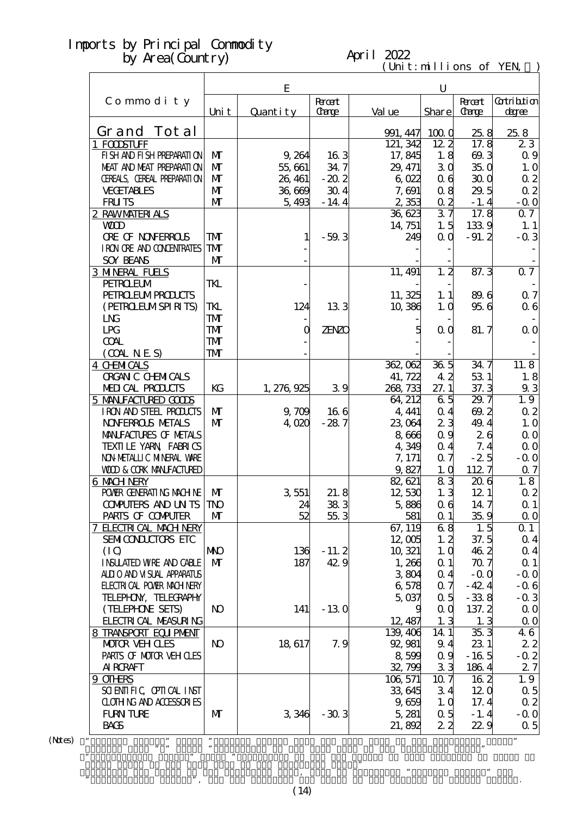#### April 2022

 $(\text{Uni t}: \text{mi} \text{lli} \text{ons of } \text{YEN})$ 

|                                   |                | E           |                             |                      | $\mathbf U$       |                             |                             |
|-----------------------------------|----------------|-------------|-----------------------------|----------------------|-------------------|-----------------------------|-----------------------------|
| Commodity                         | Uni t          | Quantity    | <b>Root</b><br><b>Carge</b> | Val ue               | Share             | <b>Root</b><br><b>Carge</b> | <b>Cotribtion</b><br>degree |
| Grand Tot al                      |                |             |                             |                      |                   |                             |                             |
|                                   |                |             |                             | 991, 447<br>121, 342 | 1000              | 25.8<br>17.8                | 25.8                        |
| 1 FODSTUFF                        |                |             |                             |                      | 12.2              |                             | 23                          |
| FI SH AND FI SH PREPARATI ON      | $\mathbf{M}$   | 9,264       | 163                         | 17,845               | 1.8               | 69.3                        | 0.9                         |
| MEAT AND MEAT PREPARATION         | $\mathbf{M}$   | 55,661      | 34.7                        | 29, 471              | 30                | 35.0                        | 1.0                         |
| CEREALS, CEREAL PREPARATION       | $\mathbf{M}$   | 26, 461     | $-20.2$                     | 6022                 | 06                | 300                         | $\alpha$ 2                  |
| <b>VECETABLES</b>                 | $\mathbf{M}$   | 36,669      | 304                         | 7,691                | 08                | 29.5                        | $\alpha$ 2                  |
| <b>FRUTS</b>                      | $\mathbf{M}$   | 5,493       | $-14.4$                     | 2,353                | $\alpha$ 2        | $-1.4$                      | $-0.0$                      |
| 2 RAWMATERIALS                    |                |             |                             | 36,623               | 37                | 17.8                        | $Q \overline{7}$            |
| <b>WD</b>                         |                |             |                             | 14, 751              | 1.5               | 1339                        | 1.1                         |
| <b>ORE OF NONFERROLS</b>          | TMT            | 1           | $-59.3$                     | 249                  | $\alpha$ $\alpha$ | $-91.2$                     | $-0.3$                      |
| I RON ORE AND CONENTRATES         | <b>TM</b>      |             |                             |                      |                   |                             |                             |
| <b>SOY BEANS</b>                  | $\mathbf{M}$   |             |                             |                      |                   |                             |                             |
| <b>3 MNERAL FUELS</b>             |                |             |                             | 11, 491              | 1, 2              | 87.3                        | $\overline{Q}$              |
| <b>PEIROEUM</b>                   | TKL            |             |                             |                      |                   |                             |                             |
| <b>PEIRO EUMPROUCIS</b>           |                |             |                             | 11, 325              | 1.1               | 89.6                        | 0.7                         |
| (PEIROELMSPIRITS)                 | TKL            | 124         | 133                         | 10,386               | 1,0               | 956                         | $\alpha$ 6                  |
| L <sub>N</sub>                    | <b>TMT</b>     |             |                             |                      |                   |                             |                             |
| LPG                               | <b>TM</b>      | $\mathbf 0$ | <b>ZENZO</b>                | 5                    | 0 <sub>0</sub>    | 81.7                        | $\Omega$ O                  |
| <b>COAL</b>                       | <b>TM</b>      |             |                             |                      |                   |                             |                             |
| (COALNES)                         | <b>TMT</b>     |             |                             |                      |                   |                             |                             |
| <b>4 CHMICALS</b>                 |                |             |                             | 362,062              | 36 <sub>5</sub>   | 34.7                        | 11.8                        |
| <b>ORGAN C CHEMICALS</b>          |                |             |                             | 41, 722              | 42                | 53 1                        | 1.8                         |
| MEDICAL PRODUCTS                  | KG             | 1, 276, 925 | 39                          | 268, 733             | 27.1              | 37.3                        | 93                          |
| 5 MANIFACTURED GOODS              |                |             |                             | 64, 212              | 65                | 29.7                        | 1.9                         |
| IRON AND STEEL PRODUCTS           | $\mathbf{M}$   | 9,709       | 166                         | 4, 441               | 0.4               | 69.2                        | $\alpha$ 2                  |
| <b>NOVERROLS METALS</b>           | $\mathbf{M}$   | 4,020       | $-287$                      | 23,064               | 23                | 49.4                        | 1.0                         |
| MANIFACTURES OF METALS            |                |             |                             | 8,666                | 0.9               | 26                          | $\Omega$ O                  |
| TEXILLE YARN FABRICS              |                |             |                             | 4,349                | 0.4               | 7.4                         | 0 <sub>0</sub>              |
| NON METALLI C MINERAL VARE        |                |             |                             | 7, 171               | 0.7               | $-2.5$                      | $-0.0$                      |
| <b>WOD &amp; CORK MANEACTURED</b> |                |             |                             | 9,827                | 1.0               | 1127                        | 0.7                         |
| 6 MACH NERY                       |                |             |                             | 82, 621              | 83                | 206                         | 1.8                         |
| POWER GENERATING MACHINE          | $\mathbf{M}$   | 3551        | 21.8                        | 12,530               | 1.3               | 12 <sub>1</sub>             | $\alpha$ 2                  |
| <b>CONPUTERS AND UNTS</b>         | <b>TNO</b>     | 24          | 383                         | 5,886                | 0 <sub>6</sub>    | 147                         | $\Omega$ 1                  |
| PARIS OF COMPUTER                 | $\mathbf{M}$   | 52          | 553                         | 581                  | $\alpha$ 1        | 35.9                        | 0 <sub>0</sub>              |
| 7 ELECTRICAL MACH NERY            |                |             |                             | 67, 119              | 68                | 1.5                         | $\Omega$ 1                  |
| SEMICONDUCTORS ETC                |                |             |                             | 12,005               | 1, 2              | 37.5                        | $\alpha$ 4                  |
| (IQ)                              | <b>NNO</b>     | 136         | $-11.2$                     | 10, 321              | 1.0               | 46 2                        | $\alpha$ 4                  |
| <b>INSUATED WRE AND CABLE</b>     | $\mathbf{M}$   | 187         | 42.9                        | 1,206                | $\Omega$ 1        | 707                         | $\Omega$ 1                  |
| ALII O AND VI SUAL APPARATUS      |                |             |                             | 3804                 | 0 <sub>4</sub>    | $-$ Q Q                     | $-0.0$                      |
|                                   |                |             |                             |                      | 0.7               | $-42.4$                     |                             |
| <b>FLECTRICAL POWIR MACH NERY</b> |                |             |                             | 6,578                |                   |                             | $-0.6$                      |
| TELEPHON, TELECRAPHY              |                |             |                             | 5,037                | 0.5               | $-338$                      | $-0.3$                      |
| (TELEPHONE SETS)                  | N <sub>O</sub> | 141         | $-130$                      |                      | 0 <sub>0</sub>    | 137.2                       | $\Omega$ O                  |
| <b>FLECTRICAL MEASURING</b>       |                |             |                             | 12, 487              | 1.3               | 1.3                         | $\Omega$ O                  |
| 8 TRANSPORT EQUIPMENT             |                |             |                             | 139, 406             | 14 1              | 35.3                        | 46                          |
| <b>MOTOR VEH CLES</b>             | N <sub>O</sub> | 18,617      | 7.9                         | 92, 981              | 9.4               | 231                         | 22                          |
| PARIS OF MOTOR VEH OLES           |                |             |                             | 8,599                | 0.9               | $-165$                      | $-0.2$                      |
| <b>AI RCRAFT</b>                  |                |             |                             | 32,799               | 33                | 1864                        | 27                          |
| 9 OTHRS                           |                |             |                             | 106, 571             | 10.7              | 162                         | 1.9                         |
| SCIENTIFIC CPIICAL INST           |                |             |                             | 33,645               | 34                | 120                         | $\alpha$ 5                  |
| <b>CLOTHING AND ACCESSORIES</b>   |                |             |                             | 9,659                | 1,0               | 17.4                        | $\alpha$ 2                  |
| <b>FURN TURE</b>                  | M              | 3,346       | $-303$                      | 5,281                | 0.5               | $-1.4$                      | $-0.0$                      |
| <b>BACS</b>                       |                |             |                             | 21,892               | 22                | 22.9                        | $\alpha$ 5                  |
| ,,                                |                |             |                             |                      |                   |                             | $\pmb{\mathfrak{y}}$        |

 $(N$ tes $)$ 

 Figures with "\*" means "Multiplier to the same term in the preceding year." ・"Contribution degree" means "Percentage of the Yen Change of that category of goods to Grand Total of the same term in the preceding year." , we are the preceding year, used to calculate  $\mathcal{P}$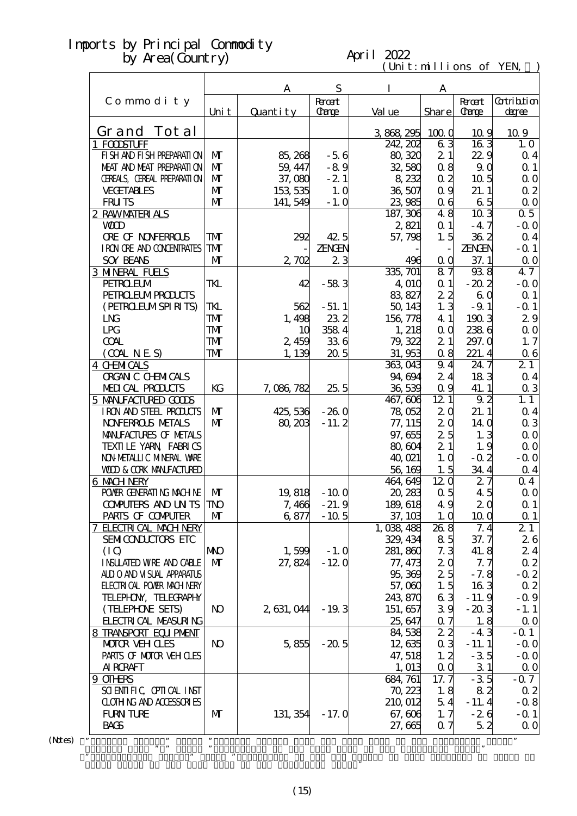#### April 2022

 $(\text{Uni t}: \text{mi} \text{lli} \text{ons of } \text{YEN})$ 

|                                   |                | A           | S            | I         | А                 |                  |                   |
|-----------------------------------|----------------|-------------|--------------|-----------|-------------------|------------------|-------------------|
| Commodity                         |                |             | <b>Root</b>  |           |                   | <b>Root</b>      | <b>Cotribtion</b> |
|                                   | Uni t          | Quantity    | <b>Carge</b> | Val ue    | <b>Share</b>      | <b>Carge</b>     | degree            |
| Grand Tot al                      |                |             |              | 3868295   | 1000              | 10.9             | 109               |
| 1 FODSTUFF                        |                |             |              | 242, 202  | 63                | 163              | 1.0               |
| FI SH AND FI SH PREPARATI ON      | M              | 85, 268     | $-56$        | 80,320    | 21                | 229              | $\alpha$ 4        |
| MEAT AND MEAT PREPARATION         | $\mathbf{M}$   | 59, 447     | $-89$        | 32,580    | 0.8               | 9.0              | $\Omega$ 1        |
| CEREALS, CEREAL PREPARATION       | $\mathbf{M}$   | 37,080      | $-2.1$       | 8,232     | 0 <sub>2</sub>    | 10 <sub>5</sub>  | $\Omega$ O        |
| <b>VECETABLES</b>                 | M              | 153 535     | 1.0          | 36,507    | 0.9               | 21.1             | $\alpha$ 2        |
| <b>FRUTS</b>                      | $\mathbf{M}$   | 141, 549    | $-1.0$       | 23,985    | 0 <sub>6</sub>    | 65               | $\Omega$ O        |
| 2 RAWMATERIALS                    |                |             |              | 187, 306  | 48                | $10\overline{3}$ | 0.5               |
| <b>WD</b>                         |                |             |              | 2,821     | $\alpha$ 1        | $-47$            | $-0.0$            |
| <b>ORE OF NONFERROLS</b>          | ${\bf T}$      | 292         | 42.5         | 57,798    | 1.5               | 362              | $\alpha$ 4        |
| I RON ORE AND CONENTRATES         | <b>TM</b>      |             | ZENGEN       |           |                   | ZENGEN           | $-$ Q 1           |
| <b>SOY BEANS</b>                  | M              | 2,702       | 23           | 496       | $\alpha$ $\alpha$ | 37.1             | 0 <sub>0</sub>    |
| <b>3 MNERAL FUELS</b>             |                |             |              | 335, 701  | 87                | 938              | 47                |
| <b>PEIROEUM</b>                   | TKL            | 42          | $-583$       | 4,010     | $\alpha$ 1        | $-20.2$          | $-0.0$            |
| <b>PEIRO EUMPROUCIS</b>           |                |             |              | 83, 827   | 22                | 60               | $\Omega$ 1        |
| (PEIRCLEUMSPIRITS)                | TKL            | 562         | $-51.1$      | 50, 143   | 1.3               | $-9.1$           | $-0.1$            |
| L <sub>N</sub>                    | <b>TM</b>      | 1,498       | 232          | 156,778   | 4 1               | 1903             | 29                |
| LPG                               | <b>TM</b>      | 10          | 358 4        | 1, 218    | $\alpha$ $\alpha$ | 2386             | $\Omega$ O        |
| <b>COAL</b>                       | <b>TM</b>      | 2,459       | 336          | 79, 322   | 21                | 297.0            | 1, 7              |
| (OMINES)                          | TM             | 1, 139      | 205          | 31,953    | 0.8               | 221.4            | 06                |
| <b>4 CHMICALS</b>                 |                |             |              | 363,043   | 9.4               | 24.7             | 21                |
| <b>ORGAN C CHEMICALS</b>          |                |             |              | 94,694    | 24                | 183              | $\alpha$ 4        |
| MEDICAL PRODUCTS                  | KG             | 7,086,782   | 255          | 36,539    | 0.9               | 41.1             | $\alpha$ 3        |
| 5 MANIFACTURED GODS               |                |             |              | 467, 606  | 121               | 9.2              | 1.1               |
| IRON AND STEEL PRODUCTS           | $\mathbf{M}$   | 425, 536    | $-260$       | 78,052    | 20                | 21.1             | $\alpha$ 4        |
| <b>NOVERROLS METALS</b>           | $\mathbf{M}$   | 80, 203     | $-11.2$      | 77, 115   | 20                | 14 <sub>0</sub>  | $\alpha$ 3        |
| MANIFACTURES OF METALS            |                |             |              | 97,655    | 25                | 1.3              | $\Omega$ O        |
| TEXILLE YARN FABRICS              |                |             |              | 80,604    | 21                | 1.9              | $\alpha$ o        |
| NON METALLIC MINERAL WARE         |                |             |              | 40,021    | 1.0               | $-0.2$           | $-0.0$            |
| <b>WOD &amp; CORK MANEACTURED</b> |                |             |              | 56,169    | 1.5               | 34.4             | $\alpha$ 4        |
| 6 MACH NERY                       |                |             |              | 464, 649  | 120               | 27               | $\Omega$ 4        |
| POWER GENERATING MACHINE          | M              | 19,818      | $-100$       | 20, 283   | 0.5               | 45               | $\Omega$ O        |
| <b>CONPUTERS AND UNTS</b>         | <b>TNO</b>     | 7,466       | $-21.9$      | 189, 618  | 49                | 20               | $\Omega$ 1        |
| PARIS OF COMPUTER                 | M              | 6,877       | $-10.5$      | 37, 103   | 1.0               | 100              | $\alpha$ 1        |
| <b>7 ELECTRICAL MACH NERY</b>     |                |             |              | 1,038,488 | 26.8              | 7.4              | 21                |
| SEMICONDUCTORS ETC                |                |             |              | 329, 434  | 85                | 37.7             | 26                |
| (IO)                              | <b>NNO</b>     | 1,599       | $-1.0$       | 281, 860  | 7.3               | 41.8             | 24                |
| <b>INSUATED WRE AND CABLE</b>     | M              | 27,824      | $-120$       | 77, 473   | 20                | 7.7              | $\alpha$ 2        |
| ALLIO AND VISUAL APPARATUS        |                |             |              | 95,369    | 25                | $-7.8$           | $-0.2$            |
| <b>FLECTRICAL POWIR MACH NERY</b> |                |             |              | 57,000    | 1.5               | 163              | $\alpha$ 2        |
| TELEPHON, TELECRAPHY              |                |             |              | 243,870   | 63                | $-11.9$          | $-0.9$            |
| (TELEPHONE SEIS)                  | N <sub>O</sub> | 2, 631, 044 | $-19.3$      | 151, 657  | 39                | $-203$           | $-1.1$            |
| <b>FLECTRICAL MEASURING</b>       |                |             |              | 25,647    | $\alpha$ 7        | 1.8              | $\Omega$ O        |
| 8 TRANSPORT EQUIPMENT             |                |             |              | 84,538    | $2\,2$            | $-43$            | $-0.1$            |
| <b>MOTOR VEH CLES</b>             | N <sub>O</sub> | 5,855       | $-20.5$      | 12,635    | 0 <sub>3</sub>    | $-11.1$          | $-0.0$            |
| PARIS OF MOTOR VEH OLES           |                |             |              | 47, 518   | 1, 2              | $-35$            | $-0.0$            |
| <b>AI RCRAFT</b>                  |                |             |              | 1, 013    | $\alpha$ $\alpha$ | 31               | 0 <sub>0</sub>    |
| 9 OTHRS                           |                |             |              | 684, 761  | 17.7              | $-35$            | $-0.7$            |
| SCIENTIFIC CPITCAL INST           |                |             |              | 70,223    | 1.8               | 82               | 02                |
| <b>CLOTHING AND ACCESSORIES</b>   |                |             |              | 210,012   | 54                | $-11.4$          | $-0.8$            |
| <b>FURN TURE</b>                  | M              | 131, 354    | $-17.0$      | 67,606    | 1, 7              | $-26$            | $-Q_1$            |
| <b>BACS</b>                       |                |             |              | 27,665    | Q 7               | 52               | 0 <sub>0</sub>    |
| ,,                                |                |             |              |           |                   |                  | 99                |

 $(N$ tes $)$ 

Grand Total of the same term in the preceding year."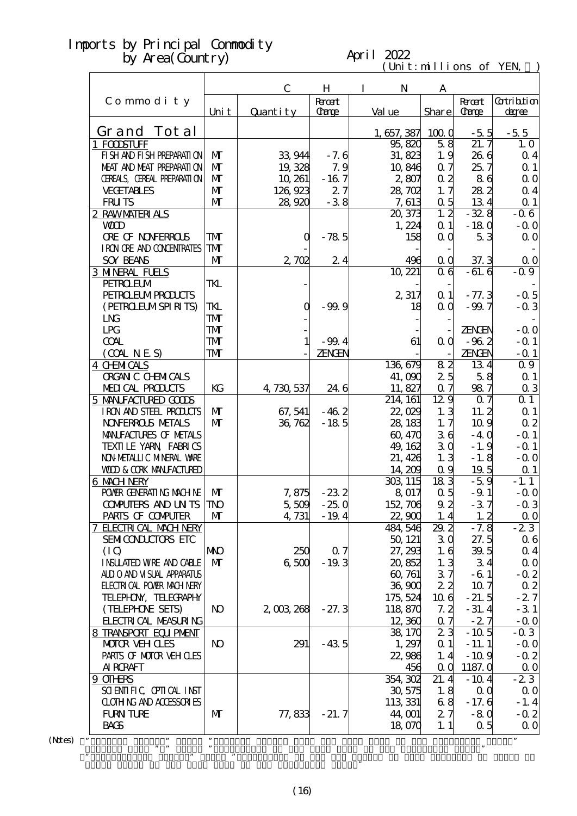#### April 2022

 $(\text{Uni t}: \text{mi} \text{lli} \text{ons of } \text{YEN})$ 

|                                   |                |              |                         |                       | C.11111011     |                        |                             |
|-----------------------------------|----------------|--------------|-------------------------|-----------------------|----------------|------------------------|-----------------------------|
|                                   |                | $\mathbf C$  | H                       | $\bf{I}$<br>N         | A              |                        |                             |
| Commodity                         | Uni t          | Quantity     | <b>R</b> rcent<br>Carge | Val ue                | Share          | <b>Recent</b><br>Carge | <b>Cotribtion</b><br>degree |
| Grand Tot al                      |                |              |                         |                       |                |                        |                             |
| 1 FODSTUFF                        |                |              |                         | 1, 657, 387<br>95,820 | 1000<br>58     | $-5.5$<br>21.7         | $-55$<br>1.0                |
| FI SH AND FI SH PREPARATI ON      | $\mathbf{M}$   | 33 944       | $-7.6$                  | 31, 823               | 1.9            | 26 6                   |                             |
| MEAT AND MEAT PREPARATION         | $\mathbf{M}$   |              |                         |                       |                |                        | $\alpha$ 4                  |
|                                   |                | 19,328       | 7.9                     | 10,846                | 0.7            | 25.7                   | $\Omega$ 1                  |
| CEREALS, CEREAL PREPARATION       | $\mathbf{M}$   | 10, 261      | $-167$                  | 2,807                 | $\alpha$ 2     | 86                     | 0 <sub>0</sub>              |
| <b>VECETABLES</b>                 | $\mathbf{M}$   | 126, 923     | 27                      | 28,702                | 1, 7           | 282                    | $\alpha$ 4                  |
| <b>FRUTS</b>                      | $\mathbf{M}$   | 28,920       | $-38$                   | 7,613                 | 0.5            | 134                    | $\Omega$ 1                  |
| 2 RAWMATERIALS                    |                |              |                         | 20, 373               | 1, 2           | $-328$                 | $-0.6$                      |
| <b>WOD</b>                        |                |              |                         | 1,224                 | $\alpha$ 1     | $-180$                 | $-0.0$                      |
| <b>ORE OF NONFERROLS</b>          | TMT            | O            | $-78.5$                 | 158                   | QQ             | 53                     | 0 <sub>0</sub>              |
| I RON ORE AND CONDENIRATES        | TMT            |              |                         |                       |                |                        |                             |
| <b>SOY BEANS</b>                  | $\mathbf{M}$   | 2,702        | 24                      | 496                   | 0 <sub>0</sub> | 37.3                   | $\Omega$ O                  |
| <b>3 MNERAL FUELS</b>             |                |              |                         | 10, 221               | 06             | $-61.6$                | $-0.9$                      |
| <b>PEIROEUM</b>                   | TKL            |              |                         |                       |                |                        |                             |
| <b>PEIRO EUMPROLCIS</b>           |                |              |                         | 2,317                 | $\alpha$ 1     | $-77.3$                | $-0.5$                      |
| (PEIRCELMSPIRITS)                 | TKL            | $\mathbf 0$  | $-99.9$                 | 18                    | 0 <sub>0</sub> | $-99.7$                | $-0.3$                      |
| L <sub>N</sub>                    | TMT            |              |                         |                       |                |                        |                             |
| LPG                               | TMT            |              |                         |                       |                | <b>ZENGEN</b>          | $-0.0$                      |
| <b>COAL</b>                       | TMT            | $\mathbf{1}$ | $-99.4$                 | 61                    | 0 <sub>0</sub> | $-962$                 | $-$ 0 1                     |
| (OMINES)                          | TMT            |              | ZENGEN                  |                       |                | ZENGEN                 | $-$ Q 1                     |
| <b>4 CHMICALS</b>                 |                |              |                         | 136,679               | 82             | 134                    | 0.9                         |
| <b>ORGAN C CHEMICALS</b>          |                |              |                         | 41,090                | 25             | 58                     | $\Omega$ 1                  |
| MEDICAL PRODUCTS                  | KG             | 4, 730, 537  | 24 6                    | 11,827                | 0.7            | 987                    | 0 <sub>3</sub>              |
| 5 MANIFACTURED GOODS              |                |              |                         | 214, 161              | 129            | Q <sub>7</sub>         | 0 <sub>1</sub>              |
| IRON AND STEEL PRODUCTS           | $\mathbf{M}$   | 67, 541      | $-462$                  | 22,029                | 1, 3           | 11.2                   | Q <sub>1</sub>              |
| <b>NOVERROLS NETALS</b>           | $\mathbf{M}$   | 36, 762      | $-185$                  | 28, 183               | 1, 7           | 10.9                   | 0 <sub>2</sub>              |
| MANIFACTURES OF METALS            |                |              |                         | 60, 470               | 36             | $-40$                  | $-$ Q 1                     |
| TEXILLE YARN FABRICS              |                |              |                         | 49, 162               | 30             | $-1.9$                 | $-$ Q 1                     |
| NON METALLIC MINERAL WARE         |                |              |                         | 21, 426               | 1.3            | $-1.8$                 | $-0.0$                      |
| <b>WOD &amp; CORK MANEACTURED</b> |                |              |                         | 14, 209               | 0.9            | 19.5                   | $\Omega$ 1                  |
| 6 MACH NERY                       |                |              |                         | 303, 115              | 183            | $-5.9$                 | $-1.1$                      |
| POWER GENERATING MACHINE          | $\mathbf{M}$   | 7,875        | $-232$                  | 8.017                 | $\alpha$ 5     | $-9.1$                 | $-0.0$                      |
| COMPUTERS AND UN TS TNO           |                | 5,509        | $-250$                  | 152, 706              | 92             | $-37$                  | $-0.3$                      |
| PARIS OF COMPUTER                 | M              | 4, 731       | $-19.4$                 | 22,900                | 1.4            | 1, 2                   | 0 <sub>0</sub>              |
| <b>7 ELECTRICAL MACH NERY</b>     |                |              |                         | 484, 546              | 29.2           | $-7.8$                 | $-23$                       |
| SEMICONDUCTORS ETC                |                |              |                         | 50, 121               | 30             | 27.5                   | $\alpha$ 6                  |
| (IQ)                              | <b>NNO</b>     | 250          | 07                      | 27, 293               | 1.6            | 39.5                   | 04                          |
| <b>INSUATED WRE AND CABLE</b>     | M              | 6500         | $-19.3$                 | 20,852                | 1, 3           | 34                     | 0 <sub>0</sub>              |
| ALLIO AND VISUAL APPARATUS        |                |              |                         | 60, 761               | 37             | $-61$                  | $-0.2$                      |
| <b>ELECTRICAL POWIR MACH NERY</b> |                |              |                         | 36,900                | 22             | 10 <sub>7</sub>        | $\alpha$ 2                  |
| TELEPHON, TELECRAPHY              |                |              |                         | 175, 524              | 106            | $-21.5$                | $-27$                       |
| (TELEPHONE SEIS)                  | N <sub>O</sub> | 2,003,268    | $-27.3$                 | 118,870               | 7.2            | $-31.4$                | $-31$                       |
| <b>FLECTRICAL MEASURING</b>       |                |              |                         | 12,360                | 0.7            | $-27$                  | $-0.0$                      |
| 8 TRANSPORT EQUIPMENT             |                |              |                         | 38,170                | 23             | $-10.5$                | $-0.3$                      |
| MOTOR VEH CLES                    | N <sub>O</sub> | 291          | $-43.5$                 | 1,297                 | $\alpha$ 1     | $-11.1$                | $-0.0$                      |
| PARIS OF MOTOR VEH CLES           |                |              |                         | 22,986                | 1.4            | $-10.9$                | $-0.2$                      |
| <b>AI RCRAFT</b>                  |                |              |                         | 456                   | $\alpha$ 0     | 1187.0                 | $\Omega$ O                  |
| 9 OTHRS                           |                |              |                         | 354, 302              | 21.4           | $-10.4$                | $-23$                       |
| SCIENTIFIC CPIICAL INST           |                |              |                         | 30, 575               | 1.8            | $\alpha$               | 0 <sub>0</sub>              |
| <b>CLOTHING AND ACCESSORIES</b>   |                |              |                         | 113 331               | 68             | $-17.6$                | $-1.4$                      |
| <b>FURN TURE</b>                  | $\mathbf{M}$   | 77,833       | $-21.7$                 | 44, CO1               | 27             | $-80$                  | $-0.2$                      |
| <b>BACS</b>                       |                |              |                         | 18,070                | 1, 1           | 0.5                    | $\alpha$ o                  |
|                                   |                |              |                         |                       |                |                        |                             |
| ,,                                | $, \,$         |              |                         |                       |                |                        | $, \,$                      |

 $(N$ tes $)$ 

Grand Total of the same term in the preceding year."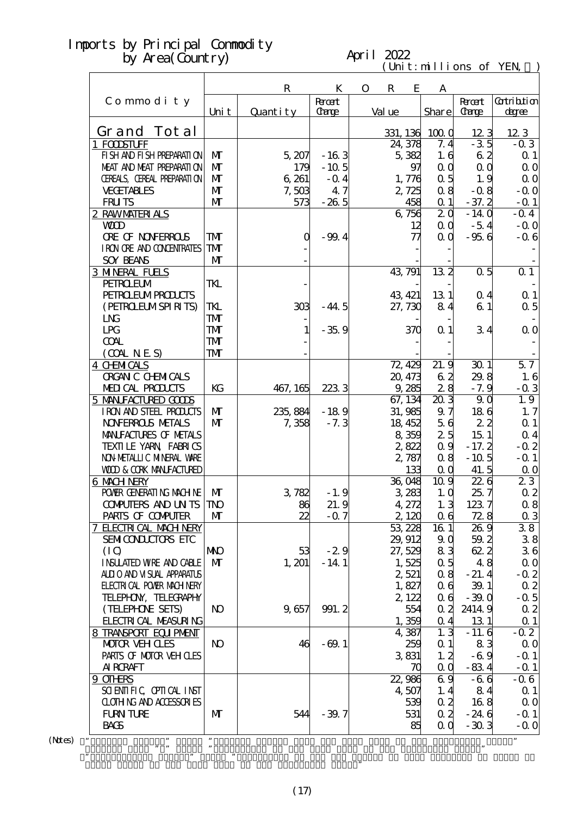#### April 2022

 $(\text{Uni t}: \text{mi} \text{lli} \text{ons of } \text{YEN})$ 

|                                                      |                         | $\mathbf R$ | K                             | $\mathbf{O}$ | $\mathbf R$ | E              | A               |                        |                             |
|------------------------------------------------------|-------------------------|-------------|-------------------------------|--------------|-------------|----------------|-----------------|------------------------|-----------------------------|
| Commodity                                            | Uni t                   | Quantity    | <b>Recent</b><br><b>Carge</b> | Val ue       |             |                | Share           | <b>Record</b><br>Carge | <b>Cotribtion</b><br>degree |
| Grand Tot al                                         |                         |             |                               |              |             |                |                 |                        |                             |
|                                                      |                         |             |                               |              | 331, 136    |                | 1000            | 123<br>$-35$           | 123                         |
| 1 FODSTUFF<br>FI SH AND FI SH PREPARATI ON           | $\mathbf{M}$            | 5,207       |                               |              | 24, 378     |                | 7.4<br>1.6      | 62                     | $-0.3$                      |
| MEAT AND MEAT PREPARAII ON                           | $\mathbf{M}$            |             | $-163$<br>$-10.5$             |              |             | 5,382          |                 |                        | $\Omega$ 1                  |
|                                                      |                         | 179         |                               |              |             | 97             | QQ              | 0 <sub>0</sub>         | $\Omega$ O                  |
| CEREALS, CEREAL PREPARATION                          | $\mathbf{M}$            | 6 261       | $-0.4$                        |              |             | 1,776          | 0.5             | 1.9                    | 0 <sub>0</sub>              |
| <b>VECETABLES</b>                                    | $\mathbf{M}$            | 7,503       | 4.7                           |              |             | 2,725          | 08              | $-0.8$                 | $-0.0$                      |
| <b>FRUTS</b>                                         | $\mathbf{M}$            | 573         | $-265$                        |              |             | 458            | $\alpha$ 1      | $-37.2$                | $-$ Q 1                     |
| 2 RAWMATERIALS                                       |                         |             |                               |              |             | 6,756          | 20              | $-140$                 | $-0.4$                      |
| <b>WD</b>                                            |                         |             |                               |              |             | 12             | 0 <sub>0</sub>  | $-54$                  | $-0.0$                      |
| <b>ORE OF NONFERROLS</b>                             | TMT                     | Q           | $-99.4$                       |              |             | 77             | 0 <sub>0</sub>  | $-956$                 | $-0.6$                      |
| I RON ORE AND CONDENTRATES                           | TMT                     |             |                               |              |             |                |                 |                        |                             |
| <b>SOY BEANS</b>                                     | $\mathbf{M}$            |             |                               |              |             |                |                 |                        |                             |
| <b>3 MNERAL FUELS</b>                                |                         |             |                               |              | 43, 791     |                | 13 <sub>2</sub> | 0.5                    | $\overline{0\,1}$           |
| <b>PEIROELM</b>                                      | TKL                     |             |                               |              |             |                |                 |                        |                             |
| <b>PEIROEUMPROLCIS</b>                               |                         |             |                               |              | 43, 421     |                | 131             | 0.4                    | $\Omega$ 1                  |
| (PEIRCLEUMSPIRITS)                                   | TKL                     | 303         | $-44.5$                       |              | 27, 730     |                | 84              | 61                     | $\alpha$ 5                  |
| L <sub>N</sub>                                       | TMT                     |             |                               |              |             |                |                 |                        |                             |
| LPG                                                  | TMT                     |             | $-35.9$                       |              |             | 370            | $\alpha$ 1      | 34                     | $\Omega$ O                  |
| <b>COAL</b>                                          | TMT                     |             |                               |              |             |                |                 |                        |                             |
| (OMNES)                                              | $\mathbf{T} \mathbf{M}$ |             |                               |              |             |                |                 |                        |                             |
| <b>4 CHMICALS</b>                                    |                         |             |                               |              | 72, 429     |                | 21.9            | 301                    | $\overline{57}$             |
| <b>ORGAN C CHEMICALS</b>                             |                         |             |                               |              | 20, 473     |                | 62              | 29.8                   | 1.6                         |
| MEDICAL PRODUCTS                                     | KG                      | 467, 165    | 2233                          |              |             | 9,285          | 28              | $-7.9$                 | $-0.3$                      |
| 5 MANIFACTURED GOODS                                 |                         |             |                               |              | 67, 134     |                | $20\bar{3}$     | 90                     | 1.9                         |
| IRON AND STEEL PRODUCTS                              | $\mathbf{M}$            | 235, 884    | $-189$                        |              | 31,985      |                | 9.7             | 186                    | 1.7                         |
| <b>NOVERROLS NETALS</b>                              | $\mathbf{M}$            | 7,358       | $-7.3$                        |              | 18, 452     |                | 56              | 22                     | $\Omega$ 1                  |
| MANIFACTURES OF METALS                               |                         |             |                               |              |             | 8 359          | 25              | 151                    | $\alpha$ 4                  |
| TEXILLE YARN FABRICS                                 |                         |             |                               |              |             | 2,822          | 0.9             | $-17.2$                | $-0.2$                      |
| NON METALLIC MINERAL WARE                            |                         |             |                               |              |             | 2,787          | 08              | $-10.5$                | $-$ Q 1                     |
| <b>WOD &amp; CORK MANIFACTURED</b>                   |                         |             |                               |              |             | 133            | 0 <sub>0</sub>  | 41.5                   | $\Omega$ O                  |
| 6 MACH NERY                                          |                         |             |                               |              | 36 048      |                | 10.9            | 226                    | 23                          |
| POWER GENERATING MACHINE                             | $\mathbf{M}$            | 3,782       | $-1.9$                        |              |             | 3,283          | 1.0             | 25.7                   | $\alpha$ 2                  |
| COMPUTERS AND UN TS TNO                              |                         | 86          | 21.9                          |              |             | 4,272          | 1.3             | 1237                   | 0.8                         |
| PARIS OF COMPUTER                                    | M                       | 22          | $-0.7$                        |              |             | 2, 120         | 0 <sub>6</sub>  | 728                    | $\alpha$ 3                  |
| 7 ELECTRICAL MACH NERY                               |                         |             |                               |              | 53,228      |                | 161             | 26.9                   | 38                          |
| SEMICONDUCTORS ETC                                   |                         |             |                               |              | 29, 912     |                | 9 <sub>0</sub>  | 59.2                   | 38                          |
| (IO)                                                 | <b>NNO</b>              | 53          | $-29$                         |              | 27,529      |                | 83              | 622                    | 36                          |
| <b>INSUATED WRE AND CABLE</b>                        | $\mathbf{M}$            | 1, 201      | $-14.1$                       |              |             | 1,525          | 0.5             | 48                     | $\Omega$ O                  |
| ALLIO AND VISUAL APPARATUS                           |                         |             |                               |              |             | 2,521          | 08              | $-21.4$                | $-0.2$                      |
| <b>FLECTRI CAL POWER MACH NERY</b>                   |                         |             |                               |              |             | 1,827          | 06              | 39.1                   | $\alpha$ 2                  |
| TELEPHON, TELECRAPHY                                 |                         |             |                               |              |             | 2, 122         | 06              | $-39.0$                | $-0.5$                      |
| (TELEPHONE SEIS)                                     | N <sub>O</sub>          | 9,657       | 991.2                         |              |             | 554            | 0 <sub>2</sub>  | 24149                  | $\alpha$ 2                  |
|                                                      |                         |             |                               |              |             |                | $\alpha$ 4      |                        |                             |
| <b>FLECTRICAL MEASURING</b><br>8 TRANSPORT EQUIPMENT |                         |             |                               |              |             | 1,359<br>4,387 | 1.3             | 131                    | $\Omega$ 1<br>$-0.2$        |
| <b>MOTOR VEHOLES</b>                                 | <b>N</b>                | 46          | $-69.1$                       |              |             | 259            | $\alpha$ 1      | $-11.6$<br>83          | $\Omega$ O                  |
|                                                      |                         |             |                               |              |             |                |                 |                        |                             |
| PARIS OF MOTOR VEH CLES                              |                         |             |                               |              |             | 3831           | 1, 2            | $-6.9$                 | $-$ Q 1                     |
| <b>AI RCRAFT</b>                                     |                         |             |                               |              |             | 70             | QQ              | $-834$                 | $-$ Q 1                     |
| 9 OTHRS                                              |                         |             |                               |              | 22,986      |                | 69              | $-66$                  | $-0.6$                      |
| SCIENTIFIC CPITCAL INST                              |                         |             |                               |              |             | 4,507          | 1, 4            | 84                     | $\Omega$ 1                  |
| <b>CLOTHING AND ACCESSORIES</b>                      |                         |             |                               |              |             | 539            | 0.2             | 168                    | 0 <sub>0</sub>              |
| <b>FURN TURE</b>                                     | $\mathbf{M}$            | 544         | $-39.7$                       |              |             | 531            | $\alpha$ 2      | $-246$                 | $-$ 0 1                     |
| <b>BACS</b>                                          |                         |             |                               |              |             | 85             | 0 <sub>0</sub>  | $-303$                 | $-0.0$                      |
| $\pmb{v}$                                            | $, \,$                  |             |                               |              |             |                |                 |                        | $\pmb{\mathcal{D}}$         |

 $(N$ tes $)$ 

Grand Total of the same term in the preceding year."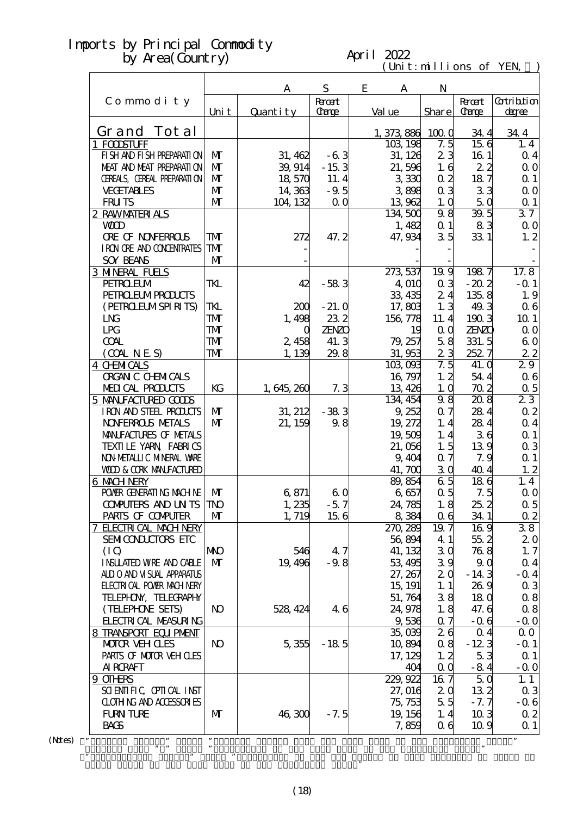#### April 2022

 $(\text{Uni t}: \text{mi} \text{lli} \text{ons of } \text{YEN})$ 

|                                          |                |             |                  |                         | 0.111111110110 |                |                  |
|------------------------------------------|----------------|-------------|------------------|-------------------------|----------------|----------------|------------------|
|                                          |                | A           | S<br><b>Root</b> | E<br>A                  | N              | <b>Record:</b> | Gatribition      |
| Commodity                                | Uni t          | Quantity    | Carge            | Val ue                  | Share          | <b>Carge</b>   | degree           |
| Grand Tot al                             |                |             |                  |                         |                |                |                  |
| 1 FODSTUFF                               |                |             |                  | 1, 373, 886<br>103, 198 | 1000<br>7.5    | 34.4<br>156    | 34.4<br>1.4      |
| FI SH AND FI SH PREPARATI ON             | $\mathbf{M}$   | 31, 462     | $-63$            | 31, 126                 | 23             | 161            | $\alpha$ 4       |
| MEAT AND MEAT PREPARAII ON               | $\mathbf{M}$   | 39, 914     | $-153$           | 21,596                  | 1.6            | 22             | $\Omega$ O       |
| CEREALS, CEREAL PREPARATION              | $\mathbf{M}$   | 18,570      | 11.4             | 3330                    | $\alpha$ 2     | 187            | Q <sub>1</sub>   |
| <b>VECETABLES</b>                        | $\mathbf{M}$   | 14,363      | $-9.5$           | 3898                    | 0 <sub>3</sub> | 33             | $\Omega$ O       |
| <b>FRUTS</b>                             | $\mathbf{M}$   | 104, 132    | 0 <sub>0</sub>   | 13 962                  |                | 5Q             |                  |
| 2 RAWMATERIALS                           |                |             |                  | 134,500                 | 1.0<br>98      | 39.5           | $\Omega$ 1<br>37 |
| <b>WD</b>                                |                |             |                  | 1,482                   | $\alpha$ 1     | 83             | $\Omega$ O       |
| <b>ORE OF NONFERROLS</b>                 | TMT            | 272         | 47.2             | 47, 934                 | 35             | 331            | 1, 2             |
| I RON ORE AND CONDENTRATES               | ${\bf T}$      |             |                  |                         |                |                |                  |
| <b>SOY BEANS</b>                         | $\mathbf{M}$   |             |                  |                         |                |                |                  |
|                                          |                |             |                  |                         | 19.9           | 1987           | 17.8             |
| <b>3 MNERAL FUELS</b><br><b>PEIROEUM</b> | TKL            | 42          | $-583$           | 273 537<br>4 010        | 0 <sub>3</sub> | $-202$         | $-$ Q 1          |
| <b>PEIRO EUMPROLCIS</b>                  |                |             |                  | 33, 435                 | 24             | 135.8          |                  |
| (PEIRCELMSPIRITS)                        | TKL            | 200         | $-21.0$          | 17,803                  | 1.3            | 49.3           | 1.9              |
|                                          |                | 1,498       |                  |                         |                |                | 06               |
| L <sub>N</sub>                           | ${\bf T}$      |             | 232              | 156,778                 | 11.4           | 1903           | 10 <sub>1</sub>  |
| LPG                                      | TMT            | O           | <b>ZENZO</b>     | 19                      | $\alpha$       | <b>ZENZO</b>   | $\Omega$ O       |
| <b>COAL</b>                              | TMT            | 2,458       | 41.3             | 79, 257                 | 58             | 331.5          | 60               |
| (OMNES)                                  | ${\bf T\!M}$   | 1,139       | 29.8             | 31,953                  | 23             | 252.7          | 22               |
| <b>4 CHMICALS</b>                        |                |             |                  | 103,093                 | 7.5            | 41.0           | 29               |
| <b>ORGAN C CHEMICALS</b>                 |                |             |                  | 16, 797                 | 1, 2           | 54.4           | 06               |
| MEDICAL PRODUCTS                         | KG             | 1, 645, 260 | 7.3              | 13, 426                 | 1.0            | 702            | $\alpha$ 5       |
| 5 MANIFACTURED GOODS                     |                |             |                  | 134, 454                | 98             | 208            | 23               |
| IRON AND STEEL PRODUCTS                  | $\mathbf{M}$   | 31, 212     | $-383$           | 9,252                   | 0.7            | 284            | $\alpha$ 2       |
| <b>NOVERROLS NETALS</b>                  | $\mathbf{M}$   | 21, 159     | 98               | 19, 272                 | 1.4            | 284            | $\alpha$ 4       |
| MANIFACTURES OF METALS                   |                |             |                  | 19,509                  | 1.4            | 36             | $\Omega$ 1       |
| TEXILLE YARN FABRICS                     |                |             |                  | 21,056                  | 1.5            | 139            | $\alpha$ 3       |
| NON METALLIC MINERAL WARE                |                |             |                  | 9,404                   | 0.7            | 7.9            | $\alpha$ 1       |
| <b>WOD &amp; CORK MANIFACTURED</b>       |                |             |                  | 41,700                  | 30             | 40.4           | 1.2              |
| 6 MACH NERY                              |                |             |                  | 89, 854                 | 65             | 186            | 1.4              |
| POWER GENERATING MACHINE                 | M              | 6,871       | 60               | 6657                    | $\alpha$ 5     | 7.5            | $\Omega$ O       |
| COMPUTERS AND UN TS TNO                  |                | 1,235       | $-57$            | 24, 785                 | 1.8            | 25.2           | $\alpha$ 5       |
| PARIS OF COMPUTER                        | $\mathbf{M}$   | 1, 719      | 156              | 8 3 8 4                 | 06             | 34.1           | $\Omega$ 2       |
| 7 ELECTRICAL MACH NERY                   |                |             |                  | 270, 289                | 19.7           | 169            | 38               |
| SEMICONDUCTORS ETC                       |                |             |                  | 56,894                  | 4 1            | 552            | 20               |
| (IO)                                     | МЮ             | 546         | 4.7              | 41, 132                 | 30             | 768            | 1.7              |
| <b>INSUATED WRE AND CABLE</b>            | $\mathbf{M}$   | 19,496      | $-9.8$           | 53, 495                 | 39             | 90             | $\alpha$ 4       |
| ALLIO AND VISUAL APPARATUS               |                |             |                  | 27, 267                 | 20             | $-14.3$        | $-$ Q 4          |
| <b>ELECTRICAL POWIR MACH NERY</b>        |                |             |                  | 15, 191                 | 1.1            | 269            | $\alpha$ 3       |
| TELEPHON, TELECRAPHY                     |                |             |                  | 51, 764                 | 38             | 180            | 0.8              |
| (TELEPHONE SETS)                         | N <sub>O</sub> | 528, 424    | 46               | 24, 978                 | 1.8            | 47.6           | 08               |
| <b>FLECTRICAL MEASURING</b>              |                |             |                  | 9,536                   | 07             | $-0.6$         | $-0.0$           |
| 8 TRANSPORT EQUIPMENT                    |                |             |                  | 35,039                  | 26             | $\Omega$ 4     | $\Omega$ O       |
| <b>MOTOR VEH CLES</b>                    | <b>N</b>       | 5,355       | $-185$           | 10,894                  | 08             | $-123$         | $-$ Q 1          |
| PARIS OF MOTOR VEH CLES                  |                |             |                  | 17, 129                 | 1, 2           | 53             | $\Omega$ 1       |
| AI RORAFT                                |                |             |                  | 404                     | $\alpha$       | $-84$          | $-0.0$           |
| 9 OTHRS                                  |                |             |                  | 229, 922                | 167            | 50             | 1.1              |
| SCIENTIFIC CPITCAL INST                  |                |             |                  | 27,016                  | 2 <sub>0</sub> | 132            | 0 <sub>3</sub>   |
| <b>CLOTHING AND ACCESSORIES</b>          |                |             |                  | 75, 753                 | 55             | $-7.7$         | $-0.6$           |
| <b>FURN TURE</b>                         | M              | 46,300      | $-7.5$           | 19, 156                 | 1.4            | 103            | $\alpha$ 2       |
| <b>BACS</b>                              |                |             |                  | 7,859                   | 06             | 10.9           | $\Omega$ 1       |
| ,,                                       | ,,             |             |                  |                         |                |                | $\pmb{\cdot}$    |

 $(N$ tes $)$ 

Grand Total of the same term in the preceding year."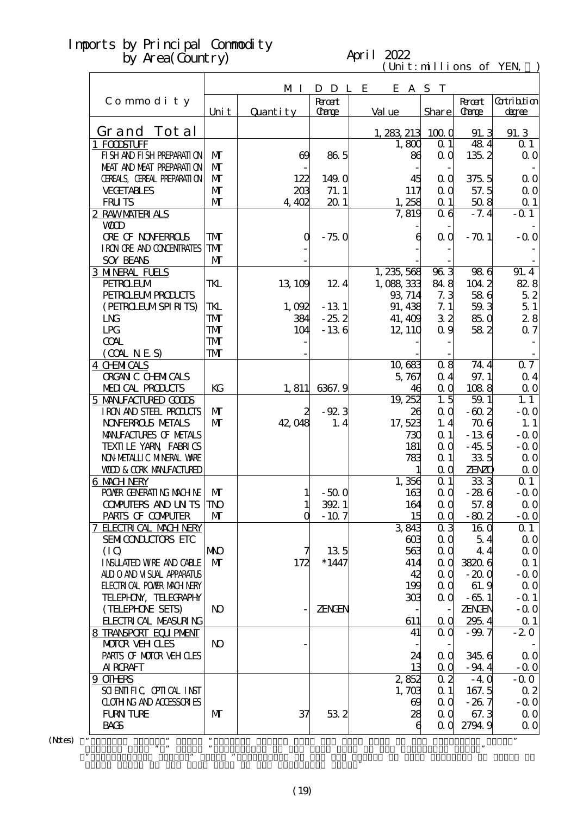#### April 2022

 $(\text{Uni t}: \text{mi} \text{lli} \text{ons of } \text{YEN})$ 

| M I<br>D D L E<br>E A S T<br><b>Root</b><br>Commodity<br><b>Recent</b><br>Val ue<br>Share<br>Carge<br><b>Carge</b><br>Uni t<br>Quantity<br>Grand Tot al<br>1, 283, 213, 100, 0<br>91.3<br>1 FODSTUFF<br>1,800<br>$\alpha$ 1<br>484<br>FI SH AND FI SH PREPARATI ON<br>$\mathbf{M}$<br>135.2<br>86.5<br>$\alpha$ $\alpha$<br>$\Theta$<br>86<br>MEAT AND MEAT PREPARATION<br>$\mathbf{M}$<br>CEREALS, CEREAL PREPARATION<br>$\mathbf{M}$<br>122<br>149.0<br>375.5<br>45<br>0 <sub>0</sub><br><b>VECETABLES</b><br>$\mathbf{M}$<br>57.5<br>203<br>71.1<br>117<br>QQ<br>$\mathbf{M}$<br><b>FRUTS</b><br>201<br>1,258<br>508<br>4,402<br>$\alpha$ 1<br>$-7.4$<br>2 RAWMATERIALS<br>7,819<br>0 <sub>6</sub><br><b>WD</b><br><b>ORE OF NONFERROLS</b><br>TMT<br>$\mathbf 0$<br>$-750$<br>0 <sub>0</sub><br>$-70.1$<br>6<br>I RON ORE AND CONDENTRATES<br>${\bf T}$<br><b>SOY BEANS</b><br>$\mathbf{M}$<br>$96\overline{3}$<br><b>3 MNERAL FUELS</b><br>1, 235, 568<br>986<br>84.8<br><b>PEIROEUM</b><br>TKL<br>13, 109<br>12.4<br>1,088,333<br>1042<br><b>PEIRO EUMPROLCIS</b><br>93, 714<br>7.3<br>586<br>(PEIRCELMSPIRITS)<br>91, 438<br>7.1<br>59.3<br>TKL<br>$-131$<br>1,092<br>32<br>L <sub>N</sub><br>TMT<br>$-25.2$<br>384<br>41, 409<br>85.0<br>LPG<br>TMT<br>104<br>$-136$<br>12, 110<br>0.9<br>582<br><b>TMT</b><br><b>COAL</b><br>(OMINES)<br>${\bf T\!M}$<br>08<br>74.4<br><b>4 CHMICALS</b><br>10,683 | Gatribition<br>degree<br>91.3<br>$\Omega$ 1<br>$\Omega$ O<br>$\Omega$ O<br>$\Omega$ O<br>$\Omega$ 1<br>$-$ Q 1<br>$-0.0$<br>91.4<br>82.8<br>52<br>51<br>28<br>$\alpha$ 7<br>07 |
|-------------------------------------------------------------------------------------------------------------------------------------------------------------------------------------------------------------------------------------------------------------------------------------------------------------------------------------------------------------------------------------------------------------------------------------------------------------------------------------------------------------------------------------------------------------------------------------------------------------------------------------------------------------------------------------------------------------------------------------------------------------------------------------------------------------------------------------------------------------------------------------------------------------------------------------------------------------------------------------------------------------------------------------------------------------------------------------------------------------------------------------------------------------------------------------------------------------------------------------------------------------------------------------------------------------------------------------------------------------------------------------------------------------|--------------------------------------------------------------------------------------------------------------------------------------------------------------------------------|
|                                                                                                                                                                                                                                                                                                                                                                                                                                                                                                                                                                                                                                                                                                                                                                                                                                                                                                                                                                                                                                                                                                                                                                                                                                                                                                                                                                                                             |                                                                                                                                                                                |
|                                                                                                                                                                                                                                                                                                                                                                                                                                                                                                                                                                                                                                                                                                                                                                                                                                                                                                                                                                                                                                                                                                                                                                                                                                                                                                                                                                                                             |                                                                                                                                                                                |
|                                                                                                                                                                                                                                                                                                                                                                                                                                                                                                                                                                                                                                                                                                                                                                                                                                                                                                                                                                                                                                                                                                                                                                                                                                                                                                                                                                                                             |                                                                                                                                                                                |
|                                                                                                                                                                                                                                                                                                                                                                                                                                                                                                                                                                                                                                                                                                                                                                                                                                                                                                                                                                                                                                                                                                                                                                                                                                                                                                                                                                                                             |                                                                                                                                                                                |
|                                                                                                                                                                                                                                                                                                                                                                                                                                                                                                                                                                                                                                                                                                                                                                                                                                                                                                                                                                                                                                                                                                                                                                                                                                                                                                                                                                                                             |                                                                                                                                                                                |
|                                                                                                                                                                                                                                                                                                                                                                                                                                                                                                                                                                                                                                                                                                                                                                                                                                                                                                                                                                                                                                                                                                                                                                                                                                                                                                                                                                                                             |                                                                                                                                                                                |
|                                                                                                                                                                                                                                                                                                                                                                                                                                                                                                                                                                                                                                                                                                                                                                                                                                                                                                                                                                                                                                                                                                                                                                                                                                                                                                                                                                                                             |                                                                                                                                                                                |
|                                                                                                                                                                                                                                                                                                                                                                                                                                                                                                                                                                                                                                                                                                                                                                                                                                                                                                                                                                                                                                                                                                                                                                                                                                                                                                                                                                                                             |                                                                                                                                                                                |
|                                                                                                                                                                                                                                                                                                                                                                                                                                                                                                                                                                                                                                                                                                                                                                                                                                                                                                                                                                                                                                                                                                                                                                                                                                                                                                                                                                                                             |                                                                                                                                                                                |
|                                                                                                                                                                                                                                                                                                                                                                                                                                                                                                                                                                                                                                                                                                                                                                                                                                                                                                                                                                                                                                                                                                                                                                                                                                                                                                                                                                                                             |                                                                                                                                                                                |
|                                                                                                                                                                                                                                                                                                                                                                                                                                                                                                                                                                                                                                                                                                                                                                                                                                                                                                                                                                                                                                                                                                                                                                                                                                                                                                                                                                                                             |                                                                                                                                                                                |
|                                                                                                                                                                                                                                                                                                                                                                                                                                                                                                                                                                                                                                                                                                                                                                                                                                                                                                                                                                                                                                                                                                                                                                                                                                                                                                                                                                                                             |                                                                                                                                                                                |
|                                                                                                                                                                                                                                                                                                                                                                                                                                                                                                                                                                                                                                                                                                                                                                                                                                                                                                                                                                                                                                                                                                                                                                                                                                                                                                                                                                                                             |                                                                                                                                                                                |
|                                                                                                                                                                                                                                                                                                                                                                                                                                                                                                                                                                                                                                                                                                                                                                                                                                                                                                                                                                                                                                                                                                                                                                                                                                                                                                                                                                                                             |                                                                                                                                                                                |
|                                                                                                                                                                                                                                                                                                                                                                                                                                                                                                                                                                                                                                                                                                                                                                                                                                                                                                                                                                                                                                                                                                                                                                                                                                                                                                                                                                                                             |                                                                                                                                                                                |
|                                                                                                                                                                                                                                                                                                                                                                                                                                                                                                                                                                                                                                                                                                                                                                                                                                                                                                                                                                                                                                                                                                                                                                                                                                                                                                                                                                                                             |                                                                                                                                                                                |
|                                                                                                                                                                                                                                                                                                                                                                                                                                                                                                                                                                                                                                                                                                                                                                                                                                                                                                                                                                                                                                                                                                                                                                                                                                                                                                                                                                                                             |                                                                                                                                                                                |
|                                                                                                                                                                                                                                                                                                                                                                                                                                                                                                                                                                                                                                                                                                                                                                                                                                                                                                                                                                                                                                                                                                                                                                                                                                                                                                                                                                                                             |                                                                                                                                                                                |
|                                                                                                                                                                                                                                                                                                                                                                                                                                                                                                                                                                                                                                                                                                                                                                                                                                                                                                                                                                                                                                                                                                                                                                                                                                                                                                                                                                                                             |                                                                                                                                                                                |
|                                                                                                                                                                                                                                                                                                                                                                                                                                                                                                                                                                                                                                                                                                                                                                                                                                                                                                                                                                                                                                                                                                                                                                                                                                                                                                                                                                                                             |                                                                                                                                                                                |
|                                                                                                                                                                                                                                                                                                                                                                                                                                                                                                                                                                                                                                                                                                                                                                                                                                                                                                                                                                                                                                                                                                                                                                                                                                                                                                                                                                                                             |                                                                                                                                                                                |
|                                                                                                                                                                                                                                                                                                                                                                                                                                                                                                                                                                                                                                                                                                                                                                                                                                                                                                                                                                                                                                                                                                                                                                                                                                                                                                                                                                                                             |                                                                                                                                                                                |
|                                                                                                                                                                                                                                                                                                                                                                                                                                                                                                                                                                                                                                                                                                                                                                                                                                                                                                                                                                                                                                                                                                                                                                                                                                                                                                                                                                                                             |                                                                                                                                                                                |
|                                                                                                                                                                                                                                                                                                                                                                                                                                                                                                                                                                                                                                                                                                                                                                                                                                                                                                                                                                                                                                                                                                                                                                                                                                                                                                                                                                                                             |                                                                                                                                                                                |
| <b>ORGAN C CHEMICALS</b><br>97.1<br>5,767<br>0.4                                                                                                                                                                                                                                                                                                                                                                                                                                                                                                                                                                                                                                                                                                                                                                                                                                                                                                                                                                                                                                                                                                                                                                                                                                                                                                                                                            | $\alpha$ 4                                                                                                                                                                     |
| MEDICAL PRODUCTS<br>KG<br>1,811<br>6367.9<br>46<br>$\alpha$ $\alpha$<br>1088                                                                                                                                                                                                                                                                                                                                                                                                                                                                                                                                                                                                                                                                                                                                                                                                                                                                                                                                                                                                                                                                                                                                                                                                                                                                                                                                | $\Omega$ O                                                                                                                                                                     |
| 1.5<br>19, 252<br>5 MANIFACTURED GOODS<br>59.1                                                                                                                                                                                                                                                                                                                                                                                                                                                                                                                                                                                                                                                                                                                                                                                                                                                                                                                                                                                                                                                                                                                                                                                                                                                                                                                                                              | 1.1                                                                                                                                                                            |
| $-92.3$<br>IRON AND STEEL PRODUCTS<br>$\mathbf{M}$<br>QQ<br>$-60.2$<br>2<br>26                                                                                                                                                                                                                                                                                                                                                                                                                                                                                                                                                                                                                                                                                                                                                                                                                                                                                                                                                                                                                                                                                                                                                                                                                                                                                                                              | $-0.0$                                                                                                                                                                         |
| <b>NOVERROLS METALS</b><br>$\mathbf{M}$<br>1, 4<br>42,048<br>17,523<br>1.4<br>706                                                                                                                                                                                                                                                                                                                                                                                                                                                                                                                                                                                                                                                                                                                                                                                                                                                                                                                                                                                                                                                                                                                                                                                                                                                                                                                           | 1.1                                                                                                                                                                            |
| MANIFACTURES OF METALS<br>$\alpha$ 1<br>$-136$<br>730                                                                                                                                                                                                                                                                                                                                                                                                                                                                                                                                                                                                                                                                                                                                                                                                                                                                                                                                                                                                                                                                                                                                                                                                                                                                                                                                                       | $-0.0$                                                                                                                                                                         |
| TEXILE YARN FABRICS<br>181<br>$\alpha$ $\alpha$<br>$-45.5$                                                                                                                                                                                                                                                                                                                                                                                                                                                                                                                                                                                                                                                                                                                                                                                                                                                                                                                                                                                                                                                                                                                                                                                                                                                                                                                                                  | $-0.0$                                                                                                                                                                         |
| NON METALLIC MINERAL WARE<br>335<br>$\alpha$ 1<br>783                                                                                                                                                                                                                                                                                                                                                                                                                                                                                                                                                                                                                                                                                                                                                                                                                                                                                                                                                                                                                                                                                                                                                                                                                                                                                                                                                       | $\Omega$ O                                                                                                                                                                     |
| <b>WOD &amp; CORK MANIFACTURED</b><br>$\alpha$ $\alpha$<br><b>ZENZO</b>                                                                                                                                                                                                                                                                                                                                                                                                                                                                                                                                                                                                                                                                                                                                                                                                                                                                                                                                                                                                                                                                                                                                                                                                                                                                                                                                     | $\Omega$ O                                                                                                                                                                     |
| 1,356<br>333<br>$\alpha$ 1<br>6 MACH NERY                                                                                                                                                                                                                                                                                                                                                                                                                                                                                                                                                                                                                                                                                                                                                                                                                                                                                                                                                                                                                                                                                                                                                                                                                                                                                                                                                                   | $Q_1$                                                                                                                                                                          |
| POWER GENERATING MACHINE<br>M<br>$-500$<br>QQ<br>$-286$<br>163                                                                                                                                                                                                                                                                                                                                                                                                                                                                                                                                                                                                                                                                                                                                                                                                                                                                                                                                                                                                                                                                                                                                                                                                                                                                                                                                              | $-0.0$                                                                                                                                                                         |
| 3921<br>57.8<br><b>CONPUTERS AND UN TS TNO</b><br>164<br>QQ<br>$1\overline{ }$                                                                                                                                                                                                                                                                                                                                                                                                                                                                                                                                                                                                                                                                                                                                                                                                                                                                                                                                                                                                                                                                                                                                                                                                                                                                                                                              | $\alpha$ o                                                                                                                                                                     |
| $\mathbf 0$<br>$-10.7$<br>15<br>PARIS OF COMPUTER<br>$\mathbf{M}$<br>$-80.2$<br>$\alpha$ $\alpha$                                                                                                                                                                                                                                                                                                                                                                                                                                                                                                                                                                                                                                                                                                                                                                                                                                                                                                                                                                                                                                                                                                                                                                                                                                                                                                           | $-$ Q O                                                                                                                                                                        |
| 7 ELECTRICAL MACH NERY<br>3843<br>0 <sub>3</sub><br>160                                                                                                                                                                                                                                                                                                                                                                                                                                                                                                                                                                                                                                                                                                                                                                                                                                                                                                                                                                                                                                                                                                                                                                                                                                                                                                                                                     | $\Omega$ 1                                                                                                                                                                     |
| <b>SEMICONLUITES ETC</b><br>$\alpha$ $\alpha$<br>5.4<br>603                                                                                                                                                                                                                                                                                                                                                                                                                                                                                                                                                                                                                                                                                                                                                                                                                                                                                                                                                                                                                                                                                                                                                                                                                                                                                                                                                 | $\Omega$ O                                                                                                                                                                     |
| 135<br>563<br>(IO)<br><b>NKO</b><br>QQ<br>44                                                                                                                                                                                                                                                                                                                                                                                                                                                                                                                                                                                                                                                                                                                                                                                                                                                                                                                                                                                                                                                                                                                                                                                                                                                                                                                                                                | $\Omega$ O                                                                                                                                                                     |
| $*1447$<br><b>INSUATED WRE AND CABLE</b><br>$\mathbf{M}$<br>172<br>414<br>38206<br>$\alpha$ $\alpha$                                                                                                                                                                                                                                                                                                                                                                                                                                                                                                                                                                                                                                                                                                                                                                                                                                                                                                                                                                                                                                                                                                                                                                                                                                                                                                        | $\Omega$ 1                                                                                                                                                                     |
| ALLIO AND VISUAL APPARATUS<br>$-200$<br>42<br>$\alpha$ $\alpha$                                                                                                                                                                                                                                                                                                                                                                                                                                                                                                                                                                                                                                                                                                                                                                                                                                                                                                                                                                                                                                                                                                                                                                                                                                                                                                                                             | $-0.0$                                                                                                                                                                         |
| <b>ELECTRICAL POWER MACH NERY</b><br>199<br>61.9<br>$\alpha$ $\alpha$                                                                                                                                                                                                                                                                                                                                                                                                                                                                                                                                                                                                                                                                                                                                                                                                                                                                                                                                                                                                                                                                                                                                                                                                                                                                                                                                       | $\Omega$ O                                                                                                                                                                     |
| TELEPHON, TELECRAPHY                                                                                                                                                                                                                                                                                                                                                                                                                                                                                                                                                                                                                                                                                                                                                                                                                                                                                                                                                                                                                                                                                                                                                                                                                                                                                                                                                                                        |                                                                                                                                                                                |
| $-65.1$<br>303<br>$\alpha$ $\alpha$                                                                                                                                                                                                                                                                                                                                                                                                                                                                                                                                                                                                                                                                                                                                                                                                                                                                                                                                                                                                                                                                                                                                                                                                                                                                                                                                                                         | $-$ Q 1                                                                                                                                                                        |
| (TELEPHONE SEIS)<br>ZENGEN<br><b>ZENGEN</b><br>N <sub>O</sub>                                                                                                                                                                                                                                                                                                                                                                                                                                                                                                                                                                                                                                                                                                                                                                                                                                                                                                                                                                                                                                                                                                                                                                                                                                                                                                                                               | $-$ Q O                                                                                                                                                                        |
| <b>FLECIRI CAL MEASURING</b><br>611<br>295.4<br>$\alpha$                                                                                                                                                                                                                                                                                                                                                                                                                                                                                                                                                                                                                                                                                                                                                                                                                                                                                                                                                                                                                                                                                                                                                                                                                                                                                                                                                    | $\Omega$ 1                                                                                                                                                                     |
| 8 TRANSPORT EQUIPMENT<br>$-99.7$<br>41<br>$\alpha$ o                                                                                                                                                                                                                                                                                                                                                                                                                                                                                                                                                                                                                                                                                                                                                                                                                                                                                                                                                                                                                                                                                                                                                                                                                                                                                                                                                        | $-20$                                                                                                                                                                          |
| $\bf{N}$<br><b>MOTOR VEHOLES</b>                                                                                                                                                                                                                                                                                                                                                                                                                                                                                                                                                                                                                                                                                                                                                                                                                                                                                                                                                                                                                                                                                                                                                                                                                                                                                                                                                                            |                                                                                                                                                                                |
| PARIS OF MOTOR VEH OLES<br>24<br>345.6<br>$\alpha$ $\alpha$                                                                                                                                                                                                                                                                                                                                                                                                                                                                                                                                                                                                                                                                                                                                                                                                                                                                                                                                                                                                                                                                                                                                                                                                                                                                                                                                                 | $\Omega$ O                                                                                                                                                                     |
| <b>AI RCRAFT</b><br>13<br>QQ<br>$-94.4$                                                                                                                                                                                                                                                                                                                                                                                                                                                                                                                                                                                                                                                                                                                                                                                                                                                                                                                                                                                                                                                                                                                                                                                                                                                                                                                                                                     | $-Q$ O                                                                                                                                                                         |
| 0 <sub>2</sub><br>2852<br>9 OIHRS<br>$-40$                                                                                                                                                                                                                                                                                                                                                                                                                                                                                                                                                                                                                                                                                                                                                                                                                                                                                                                                                                                                                                                                                                                                                                                                                                                                                                                                                                  | $-0.0$                                                                                                                                                                         |
| SCIENTIFIC CPITCAL INST<br>$\alpha$ 1<br>167.5<br>1,703                                                                                                                                                                                                                                                                                                                                                                                                                                                                                                                                                                                                                                                                                                                                                                                                                                                                                                                                                                                                                                                                                                                                                                                                                                                                                                                                                     | $\alpha$ 2                                                                                                                                                                     |
| <b>CLOTHING AND ACCESSORIES</b><br>$-267$<br>69<br>$\alpha$ $\alpha$                                                                                                                                                                                                                                                                                                                                                                                                                                                                                                                                                                                                                                                                                                                                                                                                                                                                                                                                                                                                                                                                                                                                                                                                                                                                                                                                        | $-0.0$                                                                                                                                                                         |
| 532<br><b>FURN TURE</b><br>$\mathbf{M}$<br>37<br>67.3<br>28<br>$\alpha$ $\alpha$                                                                                                                                                                                                                                                                                                                                                                                                                                                                                                                                                                                                                                                                                                                                                                                                                                                                                                                                                                                                                                                                                                                                                                                                                                                                                                                            | $\Omega$ O                                                                                                                                                                     |
| <b>BACS</b><br>2794.9<br>0 <sub>0</sub>                                                                                                                                                                                                                                                                                                                                                                                                                                                                                                                                                                                                                                                                                                                                                                                                                                                                                                                                                                                                                                                                                                                                                                                                                                                                                                                                                                     | $\Omega$ O                                                                                                                                                                     |

 $(N$ tes $)$ 

Grand Total of the same term in the preceding year."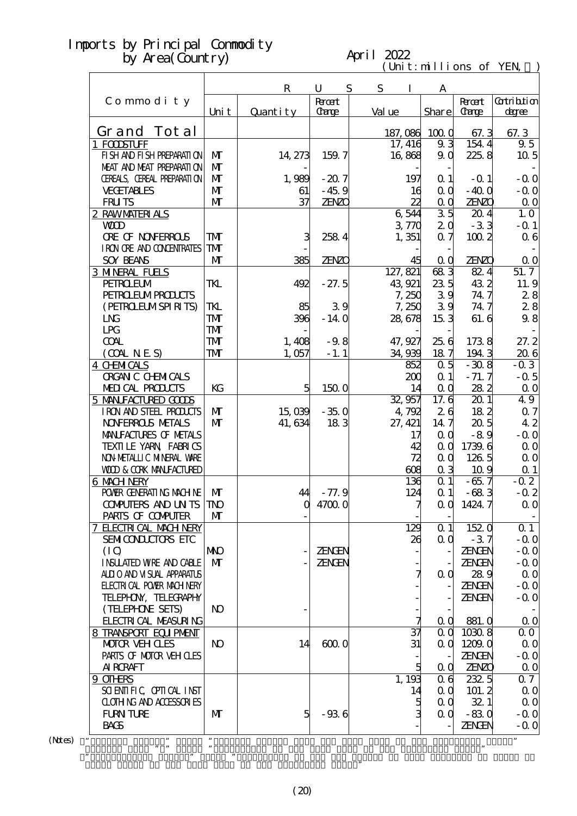#### April 2022

 $(\text{Uni t}: \text{mi} \text{lli} \text{ons of } \text{YEN})$ 

| $\mathbf R$<br>S<br>S<br>U<br>Ι<br>A<br><b>Root</b><br>Gatribition<br>Commodity<br><b>Recent</b><br>Share<br><b>Carge</b><br>Carge<br>Val ue<br>Uni t<br>Quantity<br>degree<br>Grand Tot al<br>1000<br>187,086<br>67.3<br>1 FODSTUFF<br>17, 416<br>93<br>154.4<br>FI SH AND FI SH PREPARATI ON<br>$\mathbf{M}$<br>16,868<br>225.8<br>14, 273<br>159.7<br>9 <sub>0</sub><br>MEAT AND MEAT PREPARAII ON<br>$\mathbf{M}$<br>CEREALS, CEREAL PREPARATION<br>$\mathbf{M}$<br>1,989<br>197<br>$\Omega$ 1<br>$-207$<br>$-$ Q 1<br>$\mathbf{M}$<br><b>VECETABLES</b><br>$-400$<br>$-45.9$<br>$\alpha$ $\alpha$<br>61<br>16<br>$\mathbf{M}$<br>37<br>ZENZO<br><b>FRUTS</b><br><b>ZENZO</b><br>22<br>0 <sub>0</sub><br>$\overline{35}$<br>6544<br>2 RAWMATERIALS<br>204<br>3770<br>2 <sub>0</sub><br>$-33$<br><b>WD</b><br>3<br><b>ORE OF NONFERROLS</b><br>TMT<br>2584<br>1,351<br>0.7<br>1002<br>I RON ORE AND CONDENTRATES<br><b>TM</b><br>M<br><b>SOY BEANS</b><br>385<br><b>ZENZO</b><br><b>ZENZO</b><br>$\alpha$ $\alpha$<br>45<br>683<br>127, 821<br><b>3 MNERAL FUELS</b><br>824<br><b>PEIROELM</b><br>235<br>432<br>TKL<br>$-27.5$<br>43.921<br>492<br>39<br><b>PEIRO EUMPROLCIS</b><br>74.7<br>7,250<br>39<br>(PEIRCELMSPIRITS)<br>TKL<br>39<br>85<br>7,250<br>74.7<br>L <sub>N</sub><br>TMT<br>396<br>$-140$<br>153<br>61.6<br>28,678<br>LPG<br>TMT<br><b>COAL</b><br><b>TMT</b><br>$-9.8$<br>47, 927<br>25.6<br>1738<br>1,408<br>(OMINES)<br>${\bf T\!M}$<br>34,939<br>187<br>1943<br>1,057<br>$-1.1$<br>$\alpha$ 5<br><b>4 CHMICALS</b><br>$-308$<br>852<br><b>ORGAN C CHEMICALS</b><br>$-71.7$<br>200<br>$\alpha$ 1<br>MEDICAL PRODUCTS<br>KG<br>14<br>$\alpha$ $\alpha$<br>282<br>5<br>1500<br>5 MANIFACTURED GODS<br>32,957<br>17.6<br>201<br>26<br>182<br>IRON AND STEEL PRODUCTS<br>$\mathbf{M}$<br>15,039<br>$-350$<br>4,792<br><b>NOVERROLS METALS</b><br>$\mathbf{M}$<br>41, 634<br>183<br>14.7<br>20.5<br>27, 421<br>MANIFACTURES OF METALS<br>17<br>$\alpha$ $\alpha$<br>$-89$<br>TEXILE YARN FABRICS<br>1739.6<br>QQ<br>42<br>NON METALLIC MINERAL WARE<br>72<br>QQ<br>126 5<br><b>WOD &amp; CORK MANEACTURED</b><br>608<br>0 <sub>3</sub><br>10.9<br>$\alpha$ 1<br>$-65.7$<br>6 MACH NERY<br>136<br>POWER GENERATING MACHINE<br>$-683$<br>M<br>44<br>$-77.9$<br>124<br>$\alpha$ 1<br>1424.7<br><b>CONPUTERS AND UN TS TNO</b><br>$\mathbf 0$<br>47000<br>⇁<br>$\alpha$ $\alpha$<br>PARIS OF COMPUTER<br>$\mathbf{M}$<br>152 0<br>7 ELECTRICAL MACH NERY<br>129<br>$\alpha$ 1<br>$-37$<br><b>SEMICONLUIORS ETC</b><br>$\alpha$ $\alpha$<br>26<br>(IO)<br><b>NNO</b><br>ZENGEN<br>ZENGEN |                               |              |        |  | $C1$ . The state of $E1$ |               |
|-------------------------------------------------------------------------------------------------------------------------------------------------------------------------------------------------------------------------------------------------------------------------------------------------------------------------------------------------------------------------------------------------------------------------------------------------------------------------------------------------------------------------------------------------------------------------------------------------------------------------------------------------------------------------------------------------------------------------------------------------------------------------------------------------------------------------------------------------------------------------------------------------------------------------------------------------------------------------------------------------------------------------------------------------------------------------------------------------------------------------------------------------------------------------------------------------------------------------------------------------------------------------------------------------------------------------------------------------------------------------------------------------------------------------------------------------------------------------------------------------------------------------------------------------------------------------------------------------------------------------------------------------------------------------------------------------------------------------------------------------------------------------------------------------------------------------------------------------------------------------------------------------------------------------------------------------------------------------------------------------------------------------------------------------------------------------------------------------------------------------------------------------------------------------------------------------------------------------------------------------------------------------------------------------------------------------------------------------------------------------------------------------------------------------------------------------------------------------------------------------------------------------------------------------------------------------------------------------------|-------------------------------|--------------|--------|--|--------------------------|---------------|
|                                                                                                                                                                                                                                                                                                                                                                                                                                                                                                                                                                                                                                                                                                                                                                                                                                                                                                                                                                                                                                                                                                                                                                                                                                                                                                                                                                                                                                                                                                                                                                                                                                                                                                                                                                                                                                                                                                                                                                                                                                                                                                                                                                                                                                                                                                                                                                                                                                                                                                                                                                                                       |                               |              |        |  |                          |               |
|                                                                                                                                                                                                                                                                                                                                                                                                                                                                                                                                                                                                                                                                                                                                                                                                                                                                                                                                                                                                                                                                                                                                                                                                                                                                                                                                                                                                                                                                                                                                                                                                                                                                                                                                                                                                                                                                                                                                                                                                                                                                                                                                                                                                                                                                                                                                                                                                                                                                                                                                                                                                       |                               |              |        |  |                          |               |
|                                                                                                                                                                                                                                                                                                                                                                                                                                                                                                                                                                                                                                                                                                                                                                                                                                                                                                                                                                                                                                                                                                                                                                                                                                                                                                                                                                                                                                                                                                                                                                                                                                                                                                                                                                                                                                                                                                                                                                                                                                                                                                                                                                                                                                                                                                                                                                                                                                                                                                                                                                                                       |                               |              |        |  |                          |               |
|                                                                                                                                                                                                                                                                                                                                                                                                                                                                                                                                                                                                                                                                                                                                                                                                                                                                                                                                                                                                                                                                                                                                                                                                                                                                                                                                                                                                                                                                                                                                                                                                                                                                                                                                                                                                                                                                                                                                                                                                                                                                                                                                                                                                                                                                                                                                                                                                                                                                                                                                                                                                       |                               |              |        |  |                          | 67.3          |
|                                                                                                                                                                                                                                                                                                                                                                                                                                                                                                                                                                                                                                                                                                                                                                                                                                                                                                                                                                                                                                                                                                                                                                                                                                                                                                                                                                                                                                                                                                                                                                                                                                                                                                                                                                                                                                                                                                                                                                                                                                                                                                                                                                                                                                                                                                                                                                                                                                                                                                                                                                                                       |                               |              |        |  |                          | 9.5           |
|                                                                                                                                                                                                                                                                                                                                                                                                                                                                                                                                                                                                                                                                                                                                                                                                                                                                                                                                                                                                                                                                                                                                                                                                                                                                                                                                                                                                                                                                                                                                                                                                                                                                                                                                                                                                                                                                                                                                                                                                                                                                                                                                                                                                                                                                                                                                                                                                                                                                                                                                                                                                       |                               |              |        |  |                          | $10\,5$       |
|                                                                                                                                                                                                                                                                                                                                                                                                                                                                                                                                                                                                                                                                                                                                                                                                                                                                                                                                                                                                                                                                                                                                                                                                                                                                                                                                                                                                                                                                                                                                                                                                                                                                                                                                                                                                                                                                                                                                                                                                                                                                                                                                                                                                                                                                                                                                                                                                                                                                                                                                                                                                       |                               |              |        |  |                          |               |
|                                                                                                                                                                                                                                                                                                                                                                                                                                                                                                                                                                                                                                                                                                                                                                                                                                                                                                                                                                                                                                                                                                                                                                                                                                                                                                                                                                                                                                                                                                                                                                                                                                                                                                                                                                                                                                                                                                                                                                                                                                                                                                                                                                                                                                                                                                                                                                                                                                                                                                                                                                                                       |                               |              |        |  |                          | $-0.0$        |
|                                                                                                                                                                                                                                                                                                                                                                                                                                                                                                                                                                                                                                                                                                                                                                                                                                                                                                                                                                                                                                                                                                                                                                                                                                                                                                                                                                                                                                                                                                                                                                                                                                                                                                                                                                                                                                                                                                                                                                                                                                                                                                                                                                                                                                                                                                                                                                                                                                                                                                                                                                                                       |                               |              |        |  |                          | $-0.0$        |
|                                                                                                                                                                                                                                                                                                                                                                                                                                                                                                                                                                                                                                                                                                                                                                                                                                                                                                                                                                                                                                                                                                                                                                                                                                                                                                                                                                                                                                                                                                                                                                                                                                                                                                                                                                                                                                                                                                                                                                                                                                                                                                                                                                                                                                                                                                                                                                                                                                                                                                                                                                                                       |                               |              |        |  |                          | $\Omega$ O    |
|                                                                                                                                                                                                                                                                                                                                                                                                                                                                                                                                                                                                                                                                                                                                                                                                                                                                                                                                                                                                                                                                                                                                                                                                                                                                                                                                                                                                                                                                                                                                                                                                                                                                                                                                                                                                                                                                                                                                                                                                                                                                                                                                                                                                                                                                                                                                                                                                                                                                                                                                                                                                       |                               |              |        |  |                          | 1.0           |
|                                                                                                                                                                                                                                                                                                                                                                                                                                                                                                                                                                                                                                                                                                                                                                                                                                                                                                                                                                                                                                                                                                                                                                                                                                                                                                                                                                                                                                                                                                                                                                                                                                                                                                                                                                                                                                                                                                                                                                                                                                                                                                                                                                                                                                                                                                                                                                                                                                                                                                                                                                                                       |                               |              |        |  |                          | $-$ Q 1       |
|                                                                                                                                                                                                                                                                                                                                                                                                                                                                                                                                                                                                                                                                                                                                                                                                                                                                                                                                                                                                                                                                                                                                                                                                                                                                                                                                                                                                                                                                                                                                                                                                                                                                                                                                                                                                                                                                                                                                                                                                                                                                                                                                                                                                                                                                                                                                                                                                                                                                                                                                                                                                       |                               |              |        |  |                          | 06            |
|                                                                                                                                                                                                                                                                                                                                                                                                                                                                                                                                                                                                                                                                                                                                                                                                                                                                                                                                                                                                                                                                                                                                                                                                                                                                                                                                                                                                                                                                                                                                                                                                                                                                                                                                                                                                                                                                                                                                                                                                                                                                                                                                                                                                                                                                                                                                                                                                                                                                                                                                                                                                       |                               |              |        |  |                          |               |
|                                                                                                                                                                                                                                                                                                                                                                                                                                                                                                                                                                                                                                                                                                                                                                                                                                                                                                                                                                                                                                                                                                                                                                                                                                                                                                                                                                                                                                                                                                                                                                                                                                                                                                                                                                                                                                                                                                                                                                                                                                                                                                                                                                                                                                                                                                                                                                                                                                                                                                                                                                                                       |                               |              |        |  |                          | $\Omega$ O    |
|                                                                                                                                                                                                                                                                                                                                                                                                                                                                                                                                                                                                                                                                                                                                                                                                                                                                                                                                                                                                                                                                                                                                                                                                                                                                                                                                                                                                                                                                                                                                                                                                                                                                                                                                                                                                                                                                                                                                                                                                                                                                                                                                                                                                                                                                                                                                                                                                                                                                                                                                                                                                       |                               |              |        |  |                          | 51.7          |
|                                                                                                                                                                                                                                                                                                                                                                                                                                                                                                                                                                                                                                                                                                                                                                                                                                                                                                                                                                                                                                                                                                                                                                                                                                                                                                                                                                                                                                                                                                                                                                                                                                                                                                                                                                                                                                                                                                                                                                                                                                                                                                                                                                                                                                                                                                                                                                                                                                                                                                                                                                                                       |                               |              |        |  |                          | 11.9          |
|                                                                                                                                                                                                                                                                                                                                                                                                                                                                                                                                                                                                                                                                                                                                                                                                                                                                                                                                                                                                                                                                                                                                                                                                                                                                                                                                                                                                                                                                                                                                                                                                                                                                                                                                                                                                                                                                                                                                                                                                                                                                                                                                                                                                                                                                                                                                                                                                                                                                                                                                                                                                       |                               |              |        |  |                          | 28            |
|                                                                                                                                                                                                                                                                                                                                                                                                                                                                                                                                                                                                                                                                                                                                                                                                                                                                                                                                                                                                                                                                                                                                                                                                                                                                                                                                                                                                                                                                                                                                                                                                                                                                                                                                                                                                                                                                                                                                                                                                                                                                                                                                                                                                                                                                                                                                                                                                                                                                                                                                                                                                       |                               |              |        |  |                          | 28            |
|                                                                                                                                                                                                                                                                                                                                                                                                                                                                                                                                                                                                                                                                                                                                                                                                                                                                                                                                                                                                                                                                                                                                                                                                                                                                                                                                                                                                                                                                                                                                                                                                                                                                                                                                                                                                                                                                                                                                                                                                                                                                                                                                                                                                                                                                                                                                                                                                                                                                                                                                                                                                       |                               |              |        |  |                          | 9.8           |
|                                                                                                                                                                                                                                                                                                                                                                                                                                                                                                                                                                                                                                                                                                                                                                                                                                                                                                                                                                                                                                                                                                                                                                                                                                                                                                                                                                                                                                                                                                                                                                                                                                                                                                                                                                                                                                                                                                                                                                                                                                                                                                                                                                                                                                                                                                                                                                                                                                                                                                                                                                                                       |                               |              |        |  |                          |               |
|                                                                                                                                                                                                                                                                                                                                                                                                                                                                                                                                                                                                                                                                                                                                                                                                                                                                                                                                                                                                                                                                                                                                                                                                                                                                                                                                                                                                                                                                                                                                                                                                                                                                                                                                                                                                                                                                                                                                                                                                                                                                                                                                                                                                                                                                                                                                                                                                                                                                                                                                                                                                       |                               |              |        |  |                          | 27.2          |
|                                                                                                                                                                                                                                                                                                                                                                                                                                                                                                                                                                                                                                                                                                                                                                                                                                                                                                                                                                                                                                                                                                                                                                                                                                                                                                                                                                                                                                                                                                                                                                                                                                                                                                                                                                                                                                                                                                                                                                                                                                                                                                                                                                                                                                                                                                                                                                                                                                                                                                                                                                                                       |                               |              |        |  |                          | 206           |
|                                                                                                                                                                                                                                                                                                                                                                                                                                                                                                                                                                                                                                                                                                                                                                                                                                                                                                                                                                                                                                                                                                                                                                                                                                                                                                                                                                                                                                                                                                                                                                                                                                                                                                                                                                                                                                                                                                                                                                                                                                                                                                                                                                                                                                                                                                                                                                                                                                                                                                                                                                                                       |                               |              |        |  |                          | $-0.3$        |
|                                                                                                                                                                                                                                                                                                                                                                                                                                                                                                                                                                                                                                                                                                                                                                                                                                                                                                                                                                                                                                                                                                                                                                                                                                                                                                                                                                                                                                                                                                                                                                                                                                                                                                                                                                                                                                                                                                                                                                                                                                                                                                                                                                                                                                                                                                                                                                                                                                                                                                                                                                                                       |                               |              |        |  |                          | $-0.5$        |
|                                                                                                                                                                                                                                                                                                                                                                                                                                                                                                                                                                                                                                                                                                                                                                                                                                                                                                                                                                                                                                                                                                                                                                                                                                                                                                                                                                                                                                                                                                                                                                                                                                                                                                                                                                                                                                                                                                                                                                                                                                                                                                                                                                                                                                                                                                                                                                                                                                                                                                                                                                                                       |                               |              |        |  |                          | $\Omega$ O    |
|                                                                                                                                                                                                                                                                                                                                                                                                                                                                                                                                                                                                                                                                                                                                                                                                                                                                                                                                                                                                                                                                                                                                                                                                                                                                                                                                                                                                                                                                                                                                                                                                                                                                                                                                                                                                                                                                                                                                                                                                                                                                                                                                                                                                                                                                                                                                                                                                                                                                                                                                                                                                       |                               |              |        |  |                          | 49            |
|                                                                                                                                                                                                                                                                                                                                                                                                                                                                                                                                                                                                                                                                                                                                                                                                                                                                                                                                                                                                                                                                                                                                                                                                                                                                                                                                                                                                                                                                                                                                                                                                                                                                                                                                                                                                                                                                                                                                                                                                                                                                                                                                                                                                                                                                                                                                                                                                                                                                                                                                                                                                       |                               |              |        |  |                          | $\alpha$ 7    |
|                                                                                                                                                                                                                                                                                                                                                                                                                                                                                                                                                                                                                                                                                                                                                                                                                                                                                                                                                                                                                                                                                                                                                                                                                                                                                                                                                                                                                                                                                                                                                                                                                                                                                                                                                                                                                                                                                                                                                                                                                                                                                                                                                                                                                                                                                                                                                                                                                                                                                                                                                                                                       |                               |              |        |  |                          | 42<br>$-$ Q O |
|                                                                                                                                                                                                                                                                                                                                                                                                                                                                                                                                                                                                                                                                                                                                                                                                                                                                                                                                                                                                                                                                                                                                                                                                                                                                                                                                                                                                                                                                                                                                                                                                                                                                                                                                                                                                                                                                                                                                                                                                                                                                                                                                                                                                                                                                                                                                                                                                                                                                                                                                                                                                       |                               |              |        |  |                          | $\Omega$ O    |
|                                                                                                                                                                                                                                                                                                                                                                                                                                                                                                                                                                                                                                                                                                                                                                                                                                                                                                                                                                                                                                                                                                                                                                                                                                                                                                                                                                                                                                                                                                                                                                                                                                                                                                                                                                                                                                                                                                                                                                                                                                                                                                                                                                                                                                                                                                                                                                                                                                                                                                                                                                                                       |                               |              |        |  |                          | $\Omega$ O    |
|                                                                                                                                                                                                                                                                                                                                                                                                                                                                                                                                                                                                                                                                                                                                                                                                                                                                                                                                                                                                                                                                                                                                                                                                                                                                                                                                                                                                                                                                                                                                                                                                                                                                                                                                                                                                                                                                                                                                                                                                                                                                                                                                                                                                                                                                                                                                                                                                                                                                                                                                                                                                       |                               |              |        |  |                          | $\alpha$ 1    |
|                                                                                                                                                                                                                                                                                                                                                                                                                                                                                                                                                                                                                                                                                                                                                                                                                                                                                                                                                                                                                                                                                                                                                                                                                                                                                                                                                                                                                                                                                                                                                                                                                                                                                                                                                                                                                                                                                                                                                                                                                                                                                                                                                                                                                                                                                                                                                                                                                                                                                                                                                                                                       |                               |              |        |  |                          | $-02$         |
|                                                                                                                                                                                                                                                                                                                                                                                                                                                                                                                                                                                                                                                                                                                                                                                                                                                                                                                                                                                                                                                                                                                                                                                                                                                                                                                                                                                                                                                                                                                                                                                                                                                                                                                                                                                                                                                                                                                                                                                                                                                                                                                                                                                                                                                                                                                                                                                                                                                                                                                                                                                                       |                               |              |        |  |                          | $-0.2$        |
|                                                                                                                                                                                                                                                                                                                                                                                                                                                                                                                                                                                                                                                                                                                                                                                                                                                                                                                                                                                                                                                                                                                                                                                                                                                                                                                                                                                                                                                                                                                                                                                                                                                                                                                                                                                                                                                                                                                                                                                                                                                                                                                                                                                                                                                                                                                                                                                                                                                                                                                                                                                                       |                               |              |        |  |                          | $\alpha$ o    |
|                                                                                                                                                                                                                                                                                                                                                                                                                                                                                                                                                                                                                                                                                                                                                                                                                                                                                                                                                                                                                                                                                                                                                                                                                                                                                                                                                                                                                                                                                                                                                                                                                                                                                                                                                                                                                                                                                                                                                                                                                                                                                                                                                                                                                                                                                                                                                                                                                                                                                                                                                                                                       |                               |              |        |  |                          |               |
|                                                                                                                                                                                                                                                                                                                                                                                                                                                                                                                                                                                                                                                                                                                                                                                                                                                                                                                                                                                                                                                                                                                                                                                                                                                                                                                                                                                                                                                                                                                                                                                                                                                                                                                                                                                                                                                                                                                                                                                                                                                                                                                                                                                                                                                                                                                                                                                                                                                                                                                                                                                                       |                               |              |        |  |                          | $Q_1$         |
|                                                                                                                                                                                                                                                                                                                                                                                                                                                                                                                                                                                                                                                                                                                                                                                                                                                                                                                                                                                                                                                                                                                                                                                                                                                                                                                                                                                                                                                                                                                                                                                                                                                                                                                                                                                                                                                                                                                                                                                                                                                                                                                                                                                                                                                                                                                                                                                                                                                                                                                                                                                                       |                               |              |        |  |                          | $-0.0$        |
|                                                                                                                                                                                                                                                                                                                                                                                                                                                                                                                                                                                                                                                                                                                                                                                                                                                                                                                                                                                                                                                                                                                                                                                                                                                                                                                                                                                                                                                                                                                                                                                                                                                                                                                                                                                                                                                                                                                                                                                                                                                                                                                                                                                                                                                                                                                                                                                                                                                                                                                                                                                                       |                               |              |        |  |                          | $-0.0$        |
| <b>ZENGEN</b>                                                                                                                                                                                                                                                                                                                                                                                                                                                                                                                                                                                                                                                                                                                                                                                                                                                                                                                                                                                                                                                                                                                                                                                                                                                                                                                                                                                                                                                                                                                                                                                                                                                                                                                                                                                                                                                                                                                                                                                                                                                                                                                                                                                                                                                                                                                                                                                                                                                                                                                                                                                         | <b>INSUATED WRE AND CABLE</b> | $\mathbf{M}$ | ZENGEN |  |                          | $-$ Q O       |
| ALLIO AND VISUAL APPARATUS<br>289<br>0 <sub>0</sub>                                                                                                                                                                                                                                                                                                                                                                                                                                                                                                                                                                                                                                                                                                                                                                                                                                                                                                                                                                                                                                                                                                                                                                                                                                                                                                                                                                                                                                                                                                                                                                                                                                                                                                                                                                                                                                                                                                                                                                                                                                                                                                                                                                                                                                                                                                                                                                                                                                                                                                                                                   |                               |              |        |  |                          | $\Omega$ O    |
| <b>ELECTRICAL POWER MACH NERY</b><br><b>ZENGEN</b>                                                                                                                                                                                                                                                                                                                                                                                                                                                                                                                                                                                                                                                                                                                                                                                                                                                                                                                                                                                                                                                                                                                                                                                                                                                                                                                                                                                                                                                                                                                                                                                                                                                                                                                                                                                                                                                                                                                                                                                                                                                                                                                                                                                                                                                                                                                                                                                                                                                                                                                                                    |                               |              |        |  |                          | $-0.0$        |
| TELEPHON, TELECRAPHY<br><b>ZENGEN</b>                                                                                                                                                                                                                                                                                                                                                                                                                                                                                                                                                                                                                                                                                                                                                                                                                                                                                                                                                                                                                                                                                                                                                                                                                                                                                                                                                                                                                                                                                                                                                                                                                                                                                                                                                                                                                                                                                                                                                                                                                                                                                                                                                                                                                                                                                                                                                                                                                                                                                                                                                                 |                               |              |        |  |                          | $-0.0$        |
| (TELEPHONE SEIS)<br>N <sub>O</sub>                                                                                                                                                                                                                                                                                                                                                                                                                                                                                                                                                                                                                                                                                                                                                                                                                                                                                                                                                                                                                                                                                                                                                                                                                                                                                                                                                                                                                                                                                                                                                                                                                                                                                                                                                                                                                                                                                                                                                                                                                                                                                                                                                                                                                                                                                                                                                                                                                                                                                                                                                                    |                               |              |        |  |                          |               |
| <b>FLECIRI CAL MEASURING</b><br>881.0<br>0 <sub>0</sub>                                                                                                                                                                                                                                                                                                                                                                                                                                                                                                                                                                                                                                                                                                                                                                                                                                                                                                                                                                                                                                                                                                                                                                                                                                                                                                                                                                                                                                                                                                                                                                                                                                                                                                                                                                                                                                                                                                                                                                                                                                                                                                                                                                                                                                                                                                                                                                                                                                                                                                                                               |                               |              |        |  |                          | $\Omega$ O    |
| 37<br>10308<br>8 TRANSPORT EQUIPMENT<br>0 <sub>0</sub>                                                                                                                                                                                                                                                                                                                                                                                                                                                                                                                                                                                                                                                                                                                                                                                                                                                                                                                                                                                                                                                                                                                                                                                                                                                                                                                                                                                                                                                                                                                                                                                                                                                                                                                                                                                                                                                                                                                                                                                                                                                                                                                                                                                                                                                                                                                                                                                                                                                                                                                                                |                               |              |        |  |                          | $\Omega$ O    |
| <b>MOTOR VEHOLES</b><br><b>N</b><br>6000<br>31<br>$\alpha$ $\alpha$<br>1209.0<br>14                                                                                                                                                                                                                                                                                                                                                                                                                                                                                                                                                                                                                                                                                                                                                                                                                                                                                                                                                                                                                                                                                                                                                                                                                                                                                                                                                                                                                                                                                                                                                                                                                                                                                                                                                                                                                                                                                                                                                                                                                                                                                                                                                                                                                                                                                                                                                                                                                                                                                                                   |                               |              |        |  |                          | $\Omega$ O    |
| PARIS OF MOTOR VEH OLES<br><b>ZENGEN</b>                                                                                                                                                                                                                                                                                                                                                                                                                                                                                                                                                                                                                                                                                                                                                                                                                                                                                                                                                                                                                                                                                                                                                                                                                                                                                                                                                                                                                                                                                                                                                                                                                                                                                                                                                                                                                                                                                                                                                                                                                                                                                                                                                                                                                                                                                                                                                                                                                                                                                                                                                              |                               |              |        |  |                          | $-0.0$        |
| <b>AI RCRAFT</b><br><b>ZENZO</b><br>$\alpha$                                                                                                                                                                                                                                                                                                                                                                                                                                                                                                                                                                                                                                                                                                                                                                                                                                                                                                                                                                                                                                                                                                                                                                                                                                                                                                                                                                                                                                                                                                                                                                                                                                                                                                                                                                                                                                                                                                                                                                                                                                                                                                                                                                                                                                                                                                                                                                                                                                                                                                                                                          |                               |              |        |  |                          | $\Omega$ O    |
| 232.5<br>$9$ OTHRS<br>1, 193<br>06                                                                                                                                                                                                                                                                                                                                                                                                                                                                                                                                                                                                                                                                                                                                                                                                                                                                                                                                                                                                                                                                                                                                                                                                                                                                                                                                                                                                                                                                                                                                                                                                                                                                                                                                                                                                                                                                                                                                                                                                                                                                                                                                                                                                                                                                                                                                                                                                                                                                                                                                                                    |                               |              |        |  |                          | 07            |
| SCIENTIFIC CPITCAL INST<br>101.2<br>14<br>0 <sub>0</sub>                                                                                                                                                                                                                                                                                                                                                                                                                                                                                                                                                                                                                                                                                                                                                                                                                                                                                                                                                                                                                                                                                                                                                                                                                                                                                                                                                                                                                                                                                                                                                                                                                                                                                                                                                                                                                                                                                                                                                                                                                                                                                                                                                                                                                                                                                                                                                                                                                                                                                                                                              |                               |              |        |  |                          | $\Omega$ O    |
| <b>CLOTHING AND ACCESSORIES</b><br>5<br>321<br>0 <sub>0</sub>                                                                                                                                                                                                                                                                                                                                                                                                                                                                                                                                                                                                                                                                                                                                                                                                                                                                                                                                                                                                                                                                                                                                                                                                                                                                                                                                                                                                                                                                                                                                                                                                                                                                                                                                                                                                                                                                                                                                                                                                                                                                                                                                                                                                                                                                                                                                                                                                                                                                                                                                         |                               |              |        |  |                          | $\Omega$ O    |
| 3<br><b>FURN TURE</b><br>$\mathbf{M}$<br>5<br>$-936$<br>$-830$<br>0 <sub>0</sub>                                                                                                                                                                                                                                                                                                                                                                                                                                                                                                                                                                                                                                                                                                                                                                                                                                                                                                                                                                                                                                                                                                                                                                                                                                                                                                                                                                                                                                                                                                                                                                                                                                                                                                                                                                                                                                                                                                                                                                                                                                                                                                                                                                                                                                                                                                                                                                                                                                                                                                                      |                               |              |        |  |                          | $-0.0$        |
| <b>BACS</b><br><b>ZENGEN</b>                                                                                                                                                                                                                                                                                                                                                                                                                                                                                                                                                                                                                                                                                                                                                                                                                                                                                                                                                                                                                                                                                                                                                                                                                                                                                                                                                                                                                                                                                                                                                                                                                                                                                                                                                                                                                                                                                                                                                                                                                                                                                                                                                                                                                                                                                                                                                                                                                                                                                                                                                                          |                               |              |        |  |                          | $-0.0$        |

 $(N$ tes)  $"$ 

Grand Total of the same term in the preceding year."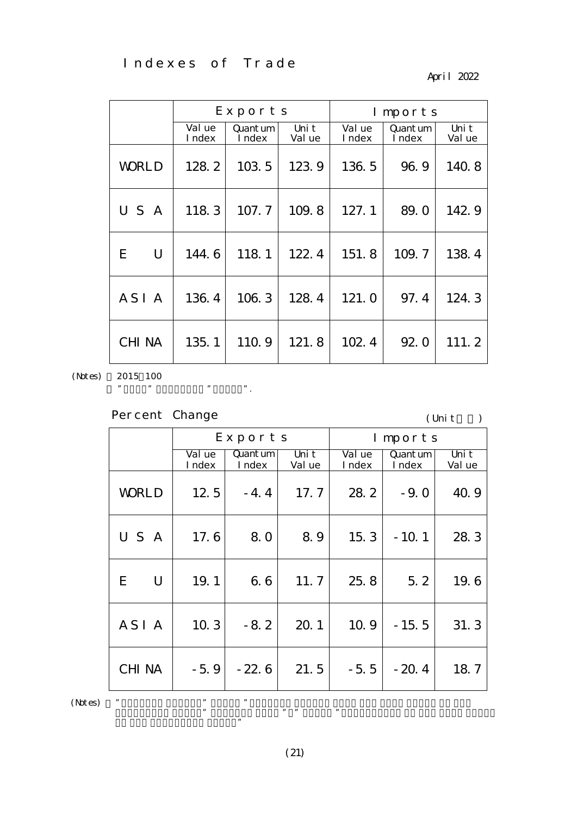Indexes of Trade

April 2022

|                  |                  | Exports            |                 |                  | Imports            |                 |
|------------------|------------------|--------------------|-----------------|------------------|--------------------|-----------------|
|                  | Val ue<br>I ndex | Quant um<br>I ndex | Uni t<br>Val ue | Val ue<br>I ndex | Quant um<br>I ndex | Uni t<br>Val ue |
| <b>WORLD</b>     | 128.2            | 103.5              | 123.9           | 136.5            | 96.9               | 140.8           |
| U S<br>A         | 118.3            | 107.7              | 109.8           | 127.1            | 89.0               | 142.9           |
| U<br>E           | 144.6            | 118.1              | 122.4           | 151.8            | 109.7              | 138.4           |
| ASI <sub>A</sub> | 136.4            | 106.3              | 128.4           | 121.0            | 97.4               | 124.3           |
| <b>CHI NA</b>    | 135.1            | 110.9              | 121.8           | 102.4            | 92.0               | 111.2           |

(Notes)

2015 100

Percent Change

", "CHINA" includes "CHINA".

 $\mathbf{r}$ 

 $($  Unit $)$ 

|         |                  |                  | Exports                                 |                 |                  | Imports                                 |                 |
|---------|------------------|------------------|-----------------------------------------|-----------------|------------------|-----------------------------------------|-----------------|
|         |                  | Val ue<br>I ndex | $\mathsf{Quant}\,\mathsf{um}$<br>I ndex | Uni t<br>Val ue | Val ue<br>I ndex | $\mathsf{Quant}\,\mathsf{um}$<br>I ndex | Uni t<br>Val ue |
|         | <b>WORLD</b>     | 12.5             | $-4.4$                                  | 17.7            | 28.2             | $-9.0$                                  | 40.9            |
|         | USA              | 17.6             | 8.0                                     | 89              | 15.3             | $-10.1$                                 | 28.3            |
|         | E<br>U           | 19.1             | 6.6                                     | 11.7            | 25.8             | 5.2                                     | 19.6            |
|         | ASI <sub>A</sub> | 10.3             | $-8.2$                                  | 20.1            | 10.9             | $-15.5$                                 | 31.3            |
|         | <b>CHI NA</b>    | $-5.9$           | $-22.6$                                 | 21.5            | $-5.5$           | $-20.4$                                 | 18.7            |
| (Notes) | ,,               | ,,               | ,,                                      |                 |                  |                                         |                 |

(21)

preceding year. The same month  $\mathbf{m}$  means  $\mathbf{m}$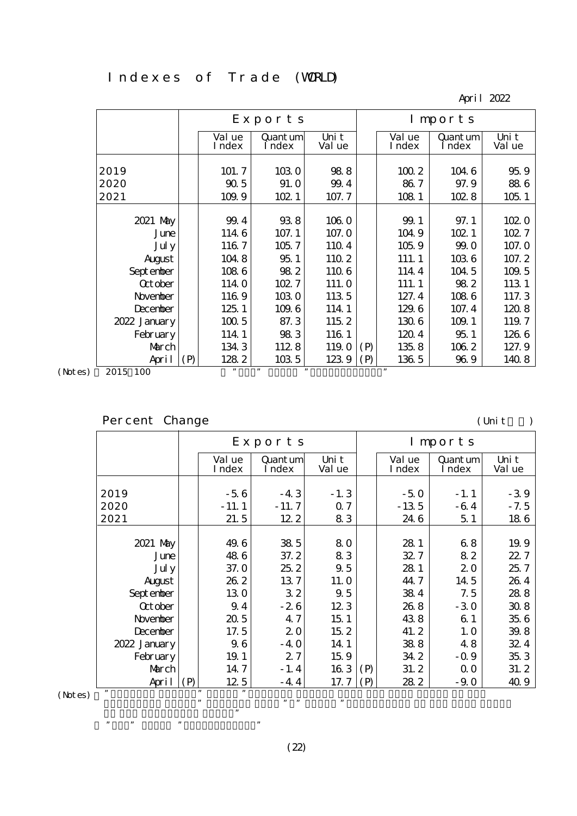#### Indexes of Trade (WRLD)

April 2022

|                 |     |                  | Exports            |                 |     | Imports          |                    |                 |  |  |
|-----------------|-----|------------------|--------------------|-----------------|-----|------------------|--------------------|-----------------|--|--|
|                 |     | Val ue<br>I ndex | Quant um<br>I ndex | Uni t<br>Val ue |     | Val ue<br>I ndex | Quant um<br>I ndex | Uni t<br>Val ue |  |  |
| 2019            |     | 101.7            | 1030               | 988             |     | 1002             | 104 6              | 959             |  |  |
| 2020            |     | 905              | 91. O              | 99.4            |     | 86.7             | 97.9               | 886             |  |  |
| 2021            |     | 109.9            | 102.1              | 107.7           |     | 108 1            | 102.8              | 1051            |  |  |
|                 |     |                  |                    |                 |     |                  |                    |                 |  |  |
| 2021 May        |     | 99.4             | 938                | 1060            |     | 99.1             | 97.1               | 102.0           |  |  |
| June            |     | 1146             | 107.1              | 107.0           |     | 104.9            | 102 1              | 102.7           |  |  |
| Jul y           |     | 1167             | 105.7              | 1104            |     | 1059             | 99.0               | 107.0           |  |  |
| August          |     | 1048             | 951                | 110 2           |     | 111.1            | 1036               | 107.2           |  |  |
| Sept enber      |     | 1086             | 982                | 1106            |     | 114 4            | 104 5              | 109.5           |  |  |
| <b>Q</b> t ober |     | 114.0            | 102.7              | 111.0           |     | 111.1            | 982                | 113 1           |  |  |
| November        |     | 1169             | 1030               | 1135            |     | 127.4            | 1086               | 117.3           |  |  |
| December        |     | 125.1            | 109.6              | 114 1           |     | 129.6            | 107.4              | 1208            |  |  |
| 2022 January    |     | 1005             | 87.3               | 115 2           |     | 1306             | 109.1              | 119.7           |  |  |
| February        |     | 114.1            | 983                | 116 1           |     | 1204             | 951                | 1266            |  |  |
| March           |     | 134.3            | 1128               | 119.0           | (P) | 135.8            | 1062               | 127.9           |  |  |
| April           | (P) | 1282             | 103 5              | 1239            | (P) | 136 5            | 969                | 140 8           |  |  |
| 2015 100        |     | "                | , 1<br>,,          |                 |     |                  |                    |                 |  |  |

(Notes) 2015 100

### Percent Change (Unit: )

|                 |     |                  | Exports            |                 |     |                  | Imports            |                 |
|-----------------|-----|------------------|--------------------|-----------------|-----|------------------|--------------------|-----------------|
|                 |     | Val ue<br>I ndex | Quant um<br>I ndex | Uni t<br>Val ue |     | Val ue<br>I ndex | Quant um<br>I ndex | Uni t<br>Val ue |
|                 |     |                  |                    |                 |     |                  |                    |                 |
| 2019            |     | $-56$            | $-43$              | $-1.3$          |     | $-50$            | $-1.1$             | $-39$           |
| 2020            |     | $-11.1$          | $-11.7$            | 07              |     | $-13.5$          | $-64$              | $-7.5$          |
| 2021            |     | 21.5             | 122                | 83              |     | 24 6             | 51                 | 186             |
|                 |     |                  |                    |                 |     |                  |                    |                 |
| 2021 May        |     | 49.6             | 385                | 80              |     | 28 1             | 68                 | 19.9            |
| June            |     | 486              | 37.2               | 83              |     | 327              | 82                 | 22.7            |
| Jul y           |     | 37.0             | 252                | 9.5             |     | 28 1             | 20                 | 25.7            |
| August          |     | 262              | 137                | 11. O           |     | 44.7             | 14 5               | 264             |
| Sept enber      |     | 130              | 32                 | 9.5             |     | 384              | 7.5                | 288             |
| <b>Q</b> t ober |     | 9.4              | $-26$              | 123             |     | 26.8             | $-30$              | 308             |
| November        |     | 20.5             | 47                 | 15 <sub>1</sub> |     | 438              | 61                 | 35.6            |
| December        |     | 17.5             | 20                 | 152             |     | 41.2             | 1.0                | 39.8            |
| 2022 January    |     | 9.6              | $-40$              | 14 1            |     | 388              | 48                 | 32.4            |
| February        |     | 19.1             | 27                 | 159             |     | 34.2             | $-0.9$             | 353             |
| March           |     | 14.7             | $-1.4$             | 163             | (P) | 31.2             | 0 <sub>0</sub>     | 31.2            |
| April           | (P) | 12.5             | $-4.4$             | 17.7            | (P) | 282              | $-90$              | 40.9            |
| ,,<br>(Notes)   |     | ,<br>,           |                    |                 |     |                  |                    |                 |

in the preceding year."  $\mathbb{R}$  means  $\mathbb{R}$  means  $\mathbb{R}$  means  $\mathbb{R}$  means  $\mathbb{R}$  means  $\mathbb{R}$  means  $\mathbb{R}$  means  $\mathbb{R}$  means  $\mathbb{R}$  means  $\mathbb{R}$  means  $\mathbb{R}$  means  $\mathbb{R}$  means  $\mathbb{R}$  means  $\mathbb{R}$  means  $\mathbb{R}$  me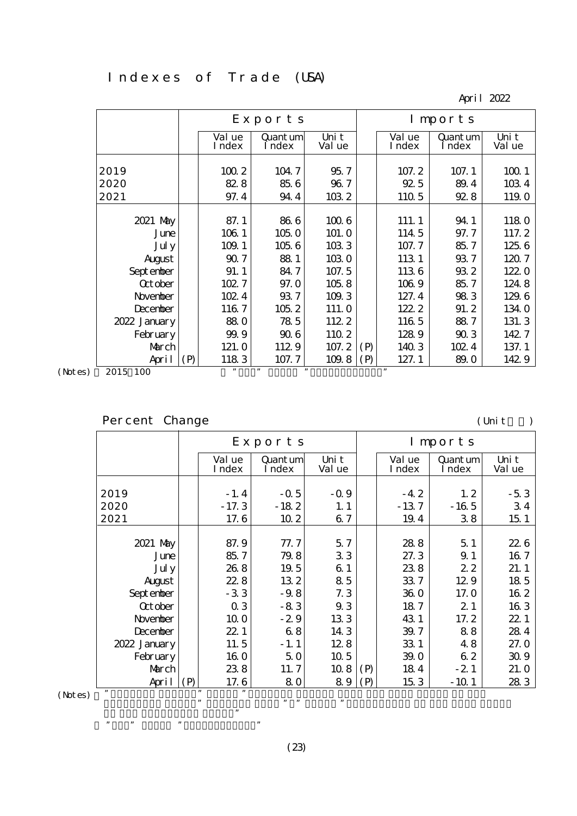#### Indexes of Trade (USA)

April 2022

|                 | Exports<br>Imports |                  |                    |                 |     |                  |                    |                 |
|-----------------|--------------------|------------------|--------------------|-----------------|-----|------------------|--------------------|-----------------|
|                 |                    | Val ue<br>I ndex | Quant um<br>I ndex | Uni t<br>Val ue |     | Val ue<br>I ndex | Quant um<br>I ndex | Uni t<br>Val ue |
| 2019            |                    | 1002             | 104.7              | 95.7            |     | 107.2            | 107.1              | 1001            |
| 2020            |                    | 828              | 856                | 96.7            |     | 925              | 89.4               | 1034            |
| 2021            |                    | 97.4             | 944                | 1032            |     | 110 5            | 928                | 119.0           |
|                 |                    |                  |                    |                 |     |                  |                    |                 |
| 2021 May        |                    | 87.1             | 866                | 1006            |     | 111.1            | 94 1               | 1180            |
| June            |                    | 106 1            | 1050               | 101.0           |     | 114 5            | 97.7               | 117.2           |
| Jul y           |                    | 109.1            | 1056               | 1033            |     | 107.7            | 85.7               | 125.6           |
| August          |                    | 90.7             | 881                | 1030            |     | 113 1            | 93.7               | 1207            |
| Sept enber      |                    | 91.1             | 84.7               | 107.5           |     | 1136             | 932                | 122.0           |
| <b>Q</b> t ober |                    | 102.7            | 97.0               | 1058            |     | 1069             | 85.7               | 124.8           |
| November        |                    | 102.4            | 937                | 109.3           |     | 127.4            | 983                | 129.6           |
| December        |                    | 1167             | 1052               | 111.0           |     | 122.2            | 91.2               | 134.0           |
| 2022 January    |                    | 880              | 785                | 112 2           |     | 116 5            | 887                | 131.3           |
| February        |                    | 99.9             | 906                | 110 2           |     | 1289             | 903                | 142.7           |
| March           |                    | 121.0            | 1129               | 107.2           | (P) | 140 3            | 102.4              | 137.1           |
| April           | (P)                | 1183             | 107.7              | 109.8           | (P) | 127.1            | 89.0               | 142.9           |
| 2015 100        |                    | "                | , 1                | ,,              |     | $^{\bullet}$     |                    |                 |

(Notes) 2015 100

### Percent Change (Unit: )

|                 |     |                  | Exports            |                 |     |                  | Imports            |                 |
|-----------------|-----|------------------|--------------------|-----------------|-----|------------------|--------------------|-----------------|
|                 |     | Val ue<br>I ndex | Quant um<br>I ndex | Uni t<br>Val ue |     | Val ue<br>I ndex | Quant um<br>I ndex | Uni t<br>Val ue |
|                 |     |                  |                    |                 |     |                  |                    |                 |
| 2019            |     | $-1.4$           | $-0.5$             | $-0.9$          |     | $-4.2$           | 1, 2               | $-53$           |
| 2020            |     | $-17.3$          | $-182$             | 1, 1            |     | $-137$           | $-165$             | 34              |
| 2021            |     | 17.6             | 10 <sub>2</sub>    | 67              |     | 19.4             | 38                 | 15 <sub>1</sub> |
|                 |     |                  |                    |                 |     |                  |                    |                 |
| 2021 May        |     | 87.9             | 77.7               | 57              |     | 288              | 51                 | 226             |
| June            |     | 85.7             | 79.8               | 33              |     | 27.3             | 9.1                | 167             |
| Jul y           |     | 268              | 19.5               | 61              |     | 238              | 22                 | 21.1            |
| August          |     | 228              | 132                | 85              |     | 337              | 129                | 18 5            |
| Sept enber      |     | $-33$            | $-9.8$             | 7.3             |     | 360              | 17.0               | 16 2            |
| <b>Q</b> t ober |     | 03               | $-83$              | 93              |     | 187              | 21                 | 163             |
| November        |     | 10 <sub>0</sub>  | $-29$              | 133             |     | 43 1             | 17.2               | 22 1            |
| December        |     | 22.1             | 68                 | 143             |     | 39.7             | 88                 | 284             |
| 2022 January    |     | 11.5             | $-1.1$             | 128             |     | 33 1             | 48                 | 27.0            |
| February        |     | 160              | 50                 | 10 <sub>5</sub> |     | 39.0             | 62                 | 309             |
| March           |     | 238              | 11.7               | 108             | (P) | 184              | $-21$              | 21.0            |
| April           | (P) | 17.6             | 80                 | 89              | (P) | 153              | $-101$             | 28 3            |
| ,,<br>(Notes)   |     | ,,<br>,,         |                    |                 |     |                  |                    |                 |

in the preceding year."  $\mathbb{R}$  means  $\mathbb{R}$  means  $\mathbb{R}$  means  $\mathbb{R}$  means  $\mathbb{R}$  means  $\mathbb{R}$  means  $\mathbb{R}$  means  $\mathbb{R}$  means  $\mathbb{R}$  means  $\mathbb{R}$  means  $\mathbb{R}$  means  $\mathbb{R}$  means  $\mathbb{R}$  means  $\mathbb{R}$  means  $\mathbb{R}$  me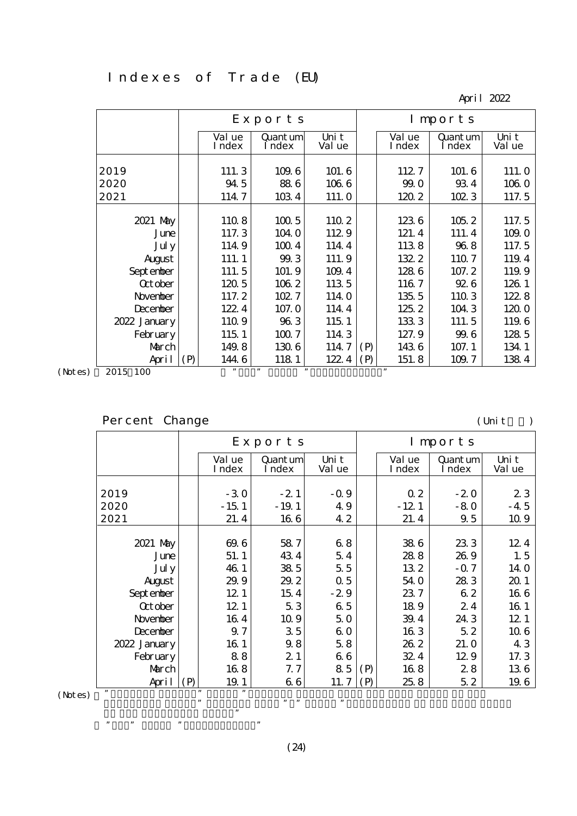#### Indexes of Trade (EU)

April 2022

|                 |     |                  | Exports            |                 | Imports |                  |                    |                 |  |  |
|-----------------|-----|------------------|--------------------|-----------------|---------|------------------|--------------------|-----------------|--|--|
|                 |     | Val ue<br>I ndex | Quant um<br>I ndex | Uni t<br>Val ue |         | Val ue<br>I ndex | Quant um<br>I ndex | Uni t<br>Val ue |  |  |
|                 |     |                  |                    |                 |         |                  |                    |                 |  |  |
| 2019            |     | 111.3            | 109.6              | 101.6           |         | 1127             | 101.6              | 111. O          |  |  |
| 2020            |     | 94 5             | 886                | 1066            |         | 99.0             | 934                | 1060            |  |  |
| 2021            |     | 114.7            | 1034               | 111. O          |         | 1202             | 102.3              | 117.5           |  |  |
|                 |     |                  |                    |                 |         |                  |                    |                 |  |  |
| 2021 May        |     | 1108             | 1005               | 110 2           |         | 1236             | 105.2              | 117.5           |  |  |
| June            |     | 117.3            | 104.0              | 1129            |         | 121.4            | 111.4              | 109.0           |  |  |
| Jul y           |     | 1149             | 1004               | 114.4           |         | 1138             | 968                | 117.5           |  |  |
| August          |     | 111.1            | 99.3               | 111.9           |         | 132.2            | 1107               | 119.4           |  |  |
| Sept enber      |     | 111.5            | 101.9              | 109.4           |         | 1286             | 107.2              | 119.9           |  |  |
| <b>Q</b> t ober |     | 1205             | 106 2              | 1135            |         | 1167             | 926                | 126 1           |  |  |
| November        |     | 117.2            | 102.7              | 114 0           |         | 135.5            | 110 3              | 122.8           |  |  |
| December        |     | 122.4            | 107.0              | 114 4           |         | 125.2            | 104 3              | 1200            |  |  |
| 2022 January    |     | 1109             | 963                | 115 1           |         | 1333             | 111.5              | 1196            |  |  |
| February        |     | 115 1            | 1007               | 114 3           |         | 127.9            | 99.6               | 128 5           |  |  |
| March           |     | 149.8            | 1306               | 114.7           | (P)     | 1436             | 107.1              | 134 1           |  |  |
| April           | (P) | 1446             | 118 1              | 122.4           | (P)     | 151.8            | 109.7              | 1384            |  |  |
| 2015 100        |     | , 2, 3           | ,<br>, 1           |                 |         |                  |                    |                 |  |  |

(Notes) 2015 100

### Percent Change (Unit: )

|                 |     |                  | Exports            |                 |     |                  | Imports            |                 |
|-----------------|-----|------------------|--------------------|-----------------|-----|------------------|--------------------|-----------------|
|                 |     | Val ue<br>I ndex | Quant um<br>I ndex | Uni t<br>Val ue |     | Val ue<br>I ndex | Quant um<br>I ndex | Uni t<br>Val ue |
|                 |     |                  |                    |                 |     |                  |                    |                 |
| 2019            |     | $-30$            | $-21$              | $-0.9$          |     | 0 <sub>2</sub>   | $-20$              | 23              |
| 2020            |     | $-15.1$          | $-19.1$            | 49              |     | $-121$           | $-80$              | -45             |
| 2021            |     | 21.4             | 166                | 42              |     | 21.4             | 9.5                | 10.9            |
|                 |     |                  |                    |                 |     |                  |                    |                 |
| 2021 May        |     | 69.6             | 587                | 68              |     | 386              | 233                | 12.4            |
| June            |     | 51.1             | 434                | 54              |     | 288              | 269                | 1.5             |
| Jul y           |     | 46.1             | 38 5               | 55              |     | 132              | $-0.7$             | 14.0            |
| August          |     | 29.9             | 29.2               | 0.5             |     | 54.0             | 283                | 20 1            |
| Sept enber      |     | 12 <sub>1</sub>  | 154                | $-29$           |     | 237              | 62                 | 166             |
| <b>Q</b> t ober |     | 12.1             | 53                 | 65              |     | 189              | 24                 | 16 1            |
| November        |     | 164              | 109                | 50              |     | 39.4             | 24 3               | 12 <sub>1</sub> |
| December        |     | 9.7              | 35                 | 60              |     | 163              | 52                 | 10 6            |
| 2022 January    |     | 16 1             | 9.8                | 58              |     | 262              | 21.0               | 43              |
| February        |     | 88               | 21                 | 66              |     | 324              | 129                | 17.3            |
| March           |     | 168              | 7. 7               | 85              | (P) | 168              | 28                 | 136             |
| April           | (P) | 19.1             | 66                 | 11.7            | (P) | 25.8             | 52                 | 19.6            |
| ,,<br>(Notes)   |     | ,,<br>,,         |                    |                 |     |                  |                    |                 |

in the preceding year."  $\mathbb{R}$  means  $\mathbb{R}$  means  $\mathbb{R}$  means  $\mathbb{R}$  means  $\mathbb{R}$  means  $\mathbb{R}$  means  $\mathbb{R}$  means  $\mathbb{R}$  means  $\mathbb{R}$  means  $\mathbb{R}$  means  $\mathbb{R}$  means  $\mathbb{R}$  means  $\mathbb{R}$  means  $\mathbb{R}$  means  $\mathbb{R}$  me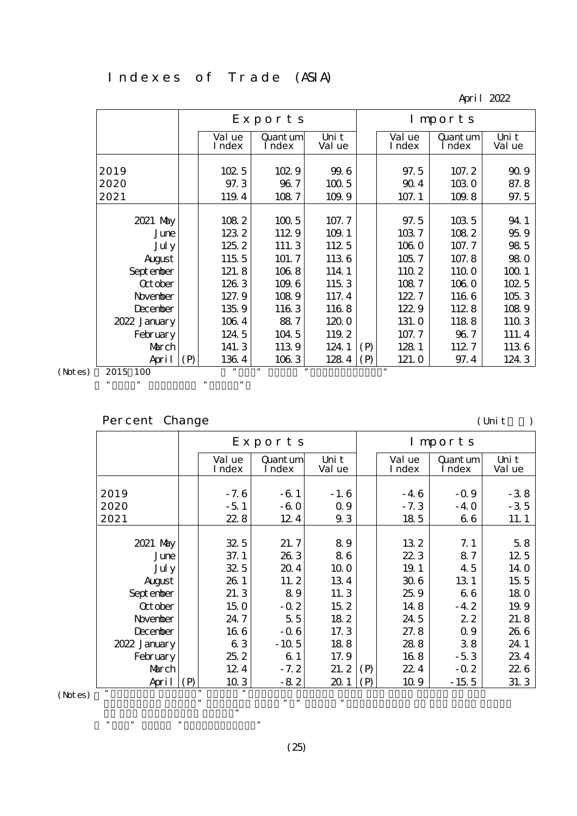#### Indexes of Trade (ASIA)

April 2022

|                 |     |                  | Exports<br>Imports |                 |     |                  |                    |                 |
|-----------------|-----|------------------|--------------------|-----------------|-----|------------------|--------------------|-----------------|
|                 |     | Val ue<br>I ndex | Quant um<br>I ndex | Uni t<br>Val ue |     | Val ue<br>I ndex | Quant um<br>I ndex | Uni t<br>Val ue |
|                 |     |                  |                    |                 |     |                  |                    |                 |
| 2019            |     | 1025             | 102.9              | 99.6            |     | 97.5             | 107.2              | 909             |
| 2020            |     | 97.3             | 96.7               | 1005            |     | 90.4             | 1030               | 87.8            |
| 2021            |     | 119.4            | 1087               | 109.9           |     | 107.1            | 109.8              | 97.5            |
|                 |     |                  |                    |                 |     |                  |                    |                 |
| 2021 May        |     | 1082             | 1005               | 107.7           |     | 97.5             | 103 5              | 94 1            |
| June            |     | 1232             | 1129               | 109.1           |     | 1037             | 1082               | 959             |
| Jul y           |     | 125.2            | 111.3              | 112 5           |     | 1060             | 107.7              | 98 5            |
| August          |     | 115 5            | 101.7              | 1136            |     | 105.7            | 107.8              | 980             |
| Sept enber      |     | 121.8            | 1068               | 114 1           |     | 110 2            | 1100               | 1001            |
| <b>Q</b> t ober |     | 1263             | 109.6              | 1153            |     | 1087             | 106 0              | 1025            |
| November        |     | 127.9            | 1089               | 117.4           |     | 122.7            | 1166               | 1053            |
| <b>December</b> |     | 135.9            | 1163               | 1168            |     | 122.9            | 1128               | 1089            |
| 2022 January    |     | 1064             | 887                | 1200            |     | 131.0            | 1188               | 110 3           |
| February        |     | 124.5            | 104 5              | 119.2           |     | 107.7            | 96.7               | 111.4           |
| March           |     | 141.3            | 1139               | 124.1           | (P) | 128 1            | 1127               | 1136            |
| April           | (P) | 1364             | 1063               | 1284            | (P) | 121.0            | 97.4               | 124.3           |
| 2015 100        |     |                  |                    |                 |     |                  |                    |                 |

(Notes)

", "CHINA". "

### Percent Change (Unit: )

|         |                |          |                  | Exports            |                 |     |                  | Imports            |                 |
|---------|----------------|----------|------------------|--------------------|-----------------|-----|------------------|--------------------|-----------------|
|         |                |          | Val ue<br>I ndex | Quant um<br>I ndex | Uni t<br>Val ue |     | Val ue<br>I ndex | Quant um<br>I ndex | Uni t<br>Val ue |
|         |                |          |                  |                    |                 |     |                  |                    |                 |
|         | 2019           |          | $-7.6$           | $-61$              | $-1.6$          |     | $-46$            | $-0.9$             | $-38$           |
|         | 2020           |          | $-51$            | $-60$              | 0.9             |     | $-7.3$           | $-40$              | $-35$           |
|         | 2021           |          | 228              | 124                | 9.3             |     | 185              | 66                 | 11.1            |
|         |                |          |                  |                    |                 |     |                  |                    |                 |
|         | 2021 May       |          | 325              | 21.7               | 89              |     | 132              | 7.1                | 58              |
|         | June           |          | 37.1             | 263                | 86              |     | 223              | 87                 | 12.5            |
|         | Jul y          |          | 32.5             | 204                | 10 <sub>0</sub> |     | 19.1             | 45                 | 14 O            |
|         | August         |          | 26.1             | 11.2               | 134             |     | 306              | 13 1               | 15 <sub>5</sub> |
|         | Sept enber     |          | 21.3             | 89                 | 11.3            |     | 25.9             | 66                 | 180             |
|         | <b>Q</b> tober |          | 150              | $-0.2$             | 15 2            |     | 148              | $-4.2$             | 19.9            |
|         | November       |          | 24.7             | 5.5                | 182             |     | 24 5             | 22                 | 21.8            |
|         | December       |          | 166              | $-0.6$             | 17.3            |     | 27.8             | 0.9                | 26 6            |
|         | 2022 January   |          | 63               | $-10.5$            | 188             |     | 288              | 38                 | 24.1            |
|         | February       |          | 252              | 61                 | 17.9            |     | 168              | $-53$              | 234             |
|         | March          |          | 12.4             | $-7.2$             | 21.2            | (P) | 22.4             | $-0.2$             | 226             |
|         | April          | (P)      | 103              | $-82$              | 20.1            | (P) | 10.9             | $-15.5$            | 31.3            |
| (Notes) | ,,             | ,,<br>,, | ,                | , 2, 3             | ,,              |     |                  |                    |                 |
|         |                |          | ,,               |                    |                 |     |                  |                    |                 |

in the preceding year."  $\mathbb{R}$  means  $\mathbb{R}$  means  $\mathbb{R}$  means  $\mathbb{R}$  means  $\mathbb{R}$  means  $\mathbb{R}$  means  $\mathbb{R}$  means  $\mathbb{R}$  means  $\mathbb{R}$  means  $\mathbb{R}$  means  $\mathbb{R}$  means  $\mathbb{R}$  means  $\mathbb{R}$  means  $\mathbb{R}$  means  $\mathbb{R}$  me